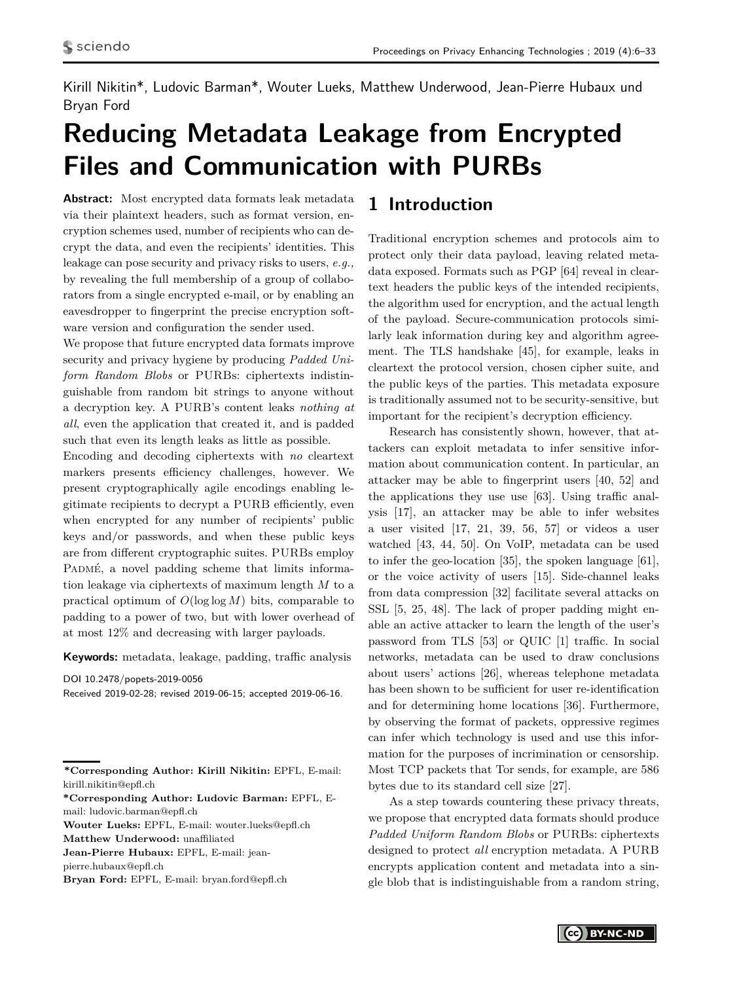<span id="page-0-0"></span>Kirill Nikitin\*, Ludovic Barman\*, Wouter Lueks, Matthew Underwood, Jean-Pierre Hubaux und Bryan Ford

# **Reducing Metadata Leakage from Encrypted Files and Communication with PURBs**

**Abstract:** Most encrypted data formats leak metadata via their plaintext headers, such as format version, encryption schemes used, number of recipients who can decrypt the data, and even the recipients' identities. This leakage can pose security and privacy risks to users, *e.g.,* by revealing the full membership of a group of collaborators from a single encrypted e-mail, or by enabling an eavesdropper to fingerprint the precise encryption software version and configuration the sender used.

We propose that future encrypted data formats improve security and privacy hygiene by producing *Padded Uniform Random Blobs* or PURBs: ciphertexts indistinguishable from random bit strings to anyone without a decryption key. A PURB's content leaks *nothing at all*, even the application that created it, and is padded such that even its length leaks as little as possible.

Encoding and decoding ciphertexts with *no* cleartext markers presents efficiency challenges, however. We present cryptographically agile encodings enabling legitimate recipients to decrypt a PURB efficiently, even when encrypted for any number of recipients' public keys and/or passwords, and when these public keys are from different cryptographic suites. PURBs employ PADMÉ, a novel padding scheme that limits information leakage via ciphertexts of maximum length *M* to a practical optimum of *O*(log log *M*) bits, comparable to padding to a power of two, but with lower overhead of at most 12% and decreasing with larger payloads.

**Keywords:** metadata, leakage, padding, traffic analysis

DOI 10.2478/popets-2019-0056

Received 2019-02-28; revised 2019-06-15; accepted 2019-06-16.

**\*Corresponding Author: Kirill Nikitin:** EPFL, E-mail: kirill.nikitin@epfl.ch

**\*Corresponding Author: Ludovic Barman:** EPFL, Email: ludovic.barman@epfl.ch

**Wouter Lueks:** EPFL, E-mail: wouter.lueks@epfl.ch **Matthew Underwood:** unaffiliated

**Jean-Pierre Hubaux:** EPFL, E-mail: jean-

pierre.hubaux@epfl.ch

**Bryan Ford:** EPFL, E-mail: bryan.ford@epfl.ch

# **1 Introduction**

Traditional encryption schemes and protocols aim to protect only their data payload, leaving related metadata exposed. Formats such as PGP [\[64\]](#page-19-0) reveal in cleartext headers the public keys of the intended recipients, the algorithm used for encryption, and the actual length of the payload. Secure-communication protocols similarly leak information during key and algorithm agreement. The TLS handshake [\[45\]](#page-18-0), for example, leaks in cleartext the protocol version, chosen cipher suite, and the public keys of the parties. This metadata exposure is traditionally assumed not to be security-sensitive, but important for the recipient's decryption efficiency.

Research has consistently shown, however, that attackers can exploit metadata to infer sensitive information about communication content. In particular, an attacker may be able to fingerprint users [\[40,](#page-18-1) [52\]](#page-19-1) and the applications they use use [\[63\]](#page-19-2). Using traffic analysis [\[17\]](#page-18-2), an attacker may be able to infer websites a user visited [\[17,](#page-18-2) [21,](#page-18-3) [39,](#page-18-4) [56,](#page-19-3) [57\]](#page-19-4) or videos a user watched [\[43,](#page-18-5) [44,](#page-18-6) [50\]](#page-19-5). On VoIP, metadata can be used to infer the geo-location [\[35\]](#page-18-7), the spoken language [\[61\]](#page-19-6), or the voice activity of users [\[15\]](#page-18-8). Side-channel leaks from data compression [\[32\]](#page-18-9) facilitate several attacks on SSL [\[5,](#page-17-0) [25,](#page-18-10) [48\]](#page-19-7). The lack of proper padding might enable an active attacker to learn the length of the user's password from TLS [\[53\]](#page-19-8) or QUIC [\[1\]](#page-17-1) traffic. In social networks, metadata can be used to draw conclusions about users' actions [\[26\]](#page-18-11), whereas telephone metadata has been shown to be sufficient for user re-identification and for determining home locations [\[36\]](#page-18-12). Furthermore, by observing the format of packets, oppressive regimes can infer which technology is used and use this information for the purposes of incrimination or censorship. Most TCP packets that Tor sends, for example, are 586 bytes due to its standard cell size [\[27\]](#page-18-13).

As a step towards countering these privacy threats, we propose that encrypted data formats should produce *Padded Uniform Random Blobs* or PURBs: ciphertexts designed to protect *all* encryption metadata. A PURB encrypts application content and metadata into a single blob that is indistinguishable from a random string,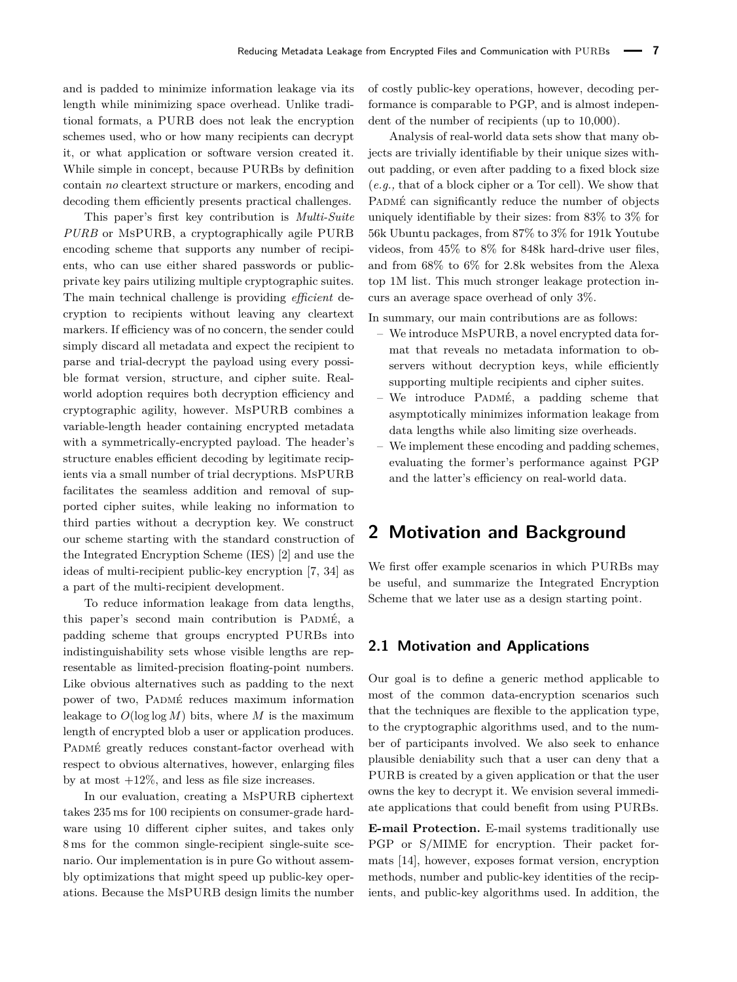and is padded to minimize information leakage via its length while minimizing space overhead. Unlike traditional formats, a PURB does not leak the encryption schemes used, who or how many recipients can decrypt it, or what application or software version created it. While simple in concept, because PURBs by definition contain *no* cleartext structure or markers, encoding and decoding them efficiently presents practical challenges.

This paper's first key contribution is *Multi-Suite PURB* or MsPURB, a cryptographically agile PURB encoding scheme that supports any number of recipients, who can use either shared passwords or publicprivate key pairs utilizing multiple cryptographic suites. The main technical challenge is providing *efficient* decryption to recipients without leaving any cleartext markers. If efficiency was of no concern, the sender could simply discard all metadata and expect the recipient to parse and trial-decrypt the payload using every possible format version, structure, and cipher suite. Realworld adoption requires both decryption efficiency and cryptographic agility, however. MsPURB combines a variable-length header containing encrypted metadata with a symmetrically-encrypted payload. The header's structure enables efficient decoding by legitimate recipients via a small number of trial decryptions. MsPURB facilitates the seamless addition and removal of supported cipher suites, while leaking no information to third parties without a decryption key. We construct our scheme starting with the standard construction of the Integrated Encryption Scheme (IES) [\[2\]](#page-17-2) and use the ideas of multi-recipient public-key encryption [\[7,](#page-17-3) [34\]](#page-18-14) as a part of the multi-recipient development.

To reduce information leakage from data lengths, this paper's second main contribution is PADMÉ, a padding scheme that groups encrypted PURBs into indistinguishability sets whose visible lengths are representable as limited-precision floating-point numbers. Like obvious alternatives such as padding to the next power of two, PADMÉ reduces maximum information leakage to  $O(\log \log M)$  bits, where M is the maximum length of encrypted blob a user or application produces. PADMÉ greatly reduces constant-factor overhead with respect to obvious alternatives, however, enlarging files by at most  $+12\%$ , and less as file size increases.

In our evaluation, creating a MsPURB ciphertext takes 235 ms for 100 recipients on consumer-grade hardware using 10 different cipher suites, and takes only 8 ms for the common single-recipient single-suite scenario. Our implementation is in pure Go without assembly optimizations that might speed up public-key operations. Because the MsPURB design limits the number of costly public-key operations, however, decoding performance is comparable to PGP, and is almost independent of the number of recipients (up to 10,000).

Analysis of real-world data sets show that many objects are trivially identifiable by their unique sizes without padding, or even after padding to a fixed block size (*e.g.,* that of a block cipher or a Tor cell). We show that PADMÉ can significantly reduce the number of objects uniquely identifiable by their sizes: from 83% to 3% for 56k Ubuntu packages, from 87% to 3% for 191k Youtube videos, from 45% to 8% for 848k hard-drive user files, and from 68% to 6% for 2.8k websites from the Alexa top 1M list. This much stronger leakage protection incurs an average space overhead of only 3%.

In summary, our main contributions are as follows:

- We introduce MsPURB, a novel encrypted data format that reveals no metadata information to observers without decryption keys, while efficiently supporting multiple recipients and cipher suites.
- $-$  We introduce PADMÉ, a padding scheme that asymptotically minimizes information leakage from data lengths while also limiting size overheads.
- We implement these encoding and padding schemes, evaluating the former's performance against PGP and the latter's efficiency on real-world data.

# **2 Motivation and Background**

We first offer example scenarios in which PURBs may be useful, and summarize the Integrated Encryption Scheme that we later use as a design starting point.

### **2.1 Motivation and Applications**

Our goal is to define a generic method applicable to most of the common data-encryption scenarios such that the techniques are flexible to the application type, to the cryptographic algorithms used, and to the number of participants involved. We also seek to enhance plausible deniability such that a user can deny that a PURB is created by a given application or that the user owns the key to decrypt it. We envision several immediate applications that could benefit from using PURBs.

**E-mail Protection.** E-mail systems traditionally use PGP or S/MIME for encryption. Their packet formats [\[14\]](#page-18-15), however, exposes format version, encryption methods, number and public-key identities of the recipients, and public-key algorithms used. In addition, the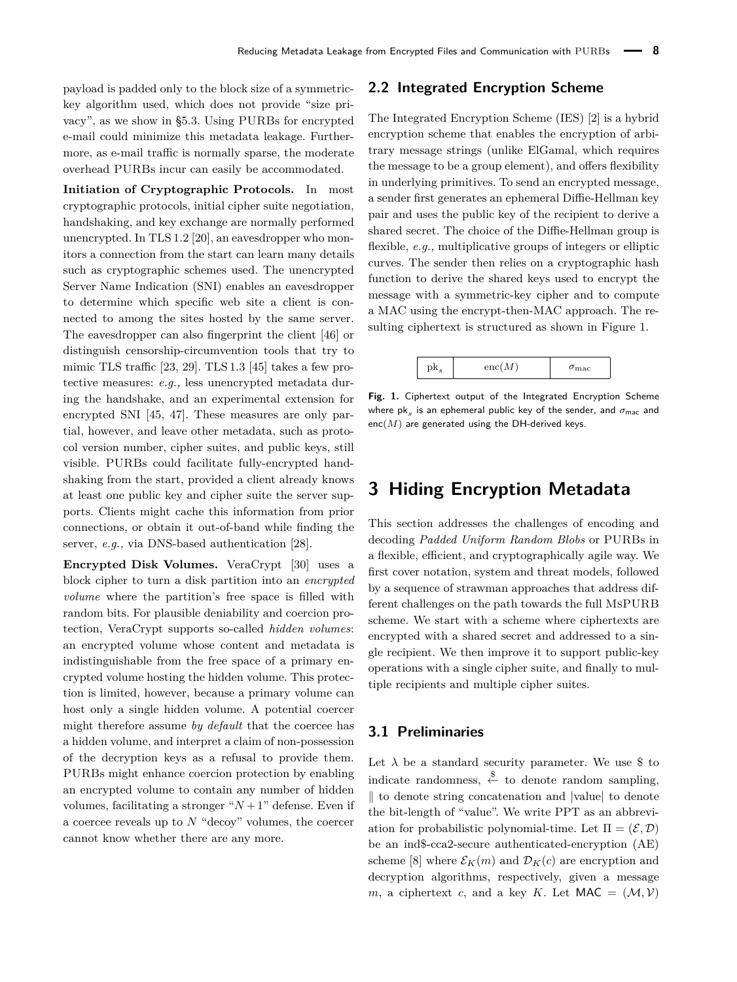payload is padded only to the block size of a symmetrickey algorithm used, which does not provide "size privacy", as we show in [§5.3.](#page-14-0) Using PURBs for encrypted e-mail could minimize this metadata leakage. Furthermore, as e-mail traffic is normally sparse, the moderate overhead PURBs incur can easily be accommodated.

**Initiation of Cryptographic Protocols.** In most cryptographic protocols, initial cipher suite negotiation, handshaking, and key exchange are normally performed unencrypted. In TLS 1.2 [\[20\]](#page-18-16), an eavesdropper who monitors a connection from the start can learn many details such as cryptographic schemes used. The unencrypted Server Name Indication (SNI) enables an eavesdropper to determine which specific web site a client is connected to among the sites hosted by the same server. The eavesdropper can also fingerprint the client [\[46\]](#page-19-9) or distinguish censorship-circumvention tools that try to mimic TLS traffic [\[23,](#page-18-17) [29\]](#page-18-18). TLS 1.3 [\[45\]](#page-18-0) takes a few protective measures: *e.g.,* less unencrypted metadata during the handshake, and an experimental extension for encrypted SNI [\[45,](#page-18-0) [47\]](#page-19-10). These measures are only partial, however, and leave other metadata, such as protocol version number, cipher suites, and public keys, still visible. PURBs could facilitate fully-encrypted handshaking from the start, provided a client already knows at least one public key and cipher suite the server supports. Clients might cache this information from prior connections, or obtain it out-of-band while finding the server, *e.g.,* via DNS-based authentication [\[28\]](#page-18-19).

**Encrypted Disk Volumes.** VeraCrypt [\[30\]](#page-18-20) uses a block cipher to turn a disk partition into an *encrypted volume* where the partition's free space is filled with random bits. For plausible deniability and coercion protection, VeraCrypt supports so-called *hidden volumes*: an encrypted volume whose content and metadata is indistinguishable from the free space of a primary encrypted volume hosting the hidden volume. This protection is limited, however, because a primary volume can host only a single hidden volume. A potential coercer might therefore assume *by default* that the coercee has a hidden volume, and interpret a claim of non-possession of the decryption keys as a refusal to provide them. PURBs might enhance coercion protection by enabling an encrypted volume to contain any number of hidden volumes, facilitating a stronger " $N+1$ " defense. Even if a coercee reveals up to *N* "decoy" volumes, the coercer cannot know whether there are any more.

### <span id="page-2-1"></span>**2.2 Integrated Encryption Scheme**

The Integrated Encryption Scheme (IES) [\[2\]](#page-17-2) is a hybrid encryption scheme that enables the encryption of arbitrary message strings (unlike ElGamal, which requires the message to be a group element), and offers flexibility in underlying primitives. To send an encrypted message, a sender first generates an ephemeral Diffie-Hellman key pair and uses the public key of the recipient to derive a shared secret. The choice of the Diffie-Hellman group is flexible, *e.g.,* multiplicative groups of integers or elliptic curves. The sender then relies on a cryptographic hash function to derive the shared keys used to encrypt the message with a symmetric-key cipher and to compute a MAC using the encrypt-then-MAC approach. The resulting ciphertext is structured as shown in Figure [1.](#page-2-0)

<span id="page-2-0"></span>

**Fig. 1.** Ciphertext output of the Integrated Encryption Scheme where  $\mathsf{pk}_s$  is an ephemeral public key of the sender, and  $\sigma_\mathsf{mac}$  and enc(*M*) are generated using the DH-derived keys.

# <span id="page-2-2"></span>**3 Hiding Encryption Metadata**

This section addresses the challenges of encoding and decoding *Padded Uniform Random Blobs* or PURBs in a flexible, efficient, and cryptographically agile way. We first cover notation, system and threat models, followed by a sequence of strawman approaches that address different challenges on the path towards the full MsPURB scheme. We start with a scheme where ciphertexts are encrypted with a shared secret and addressed to a single recipient. We then improve it to support public-key operations with a single cipher suite, and finally to multiple recipients and multiple cipher suites.

### **3.1 Preliminaries**

Let  $\lambda$  be a standard security parameter. We use  $\text{\$}$  to indicate randomness,  $\xi$  to denote random sampling,  $\parallel$  to denote string concatenation and  $\parallel$ value $\parallel$  to denote the bit-length of "value". We write PPT as an abbreviation for probabilistic polynomial-time. Let  $\Pi = (\mathcal{E}, \mathcal{D})$ be an ind\$-cca2-secure authenticated-encryption (AE) scheme [\[8\]](#page-17-4) where  $\mathcal{E}_K(m)$  and  $\mathcal{D}_K(c)$  are encryption and decryption algorithms, respectively, given a message *m*, a ciphertext *c*, and a key *K*. Let  $MAC = (M, V)$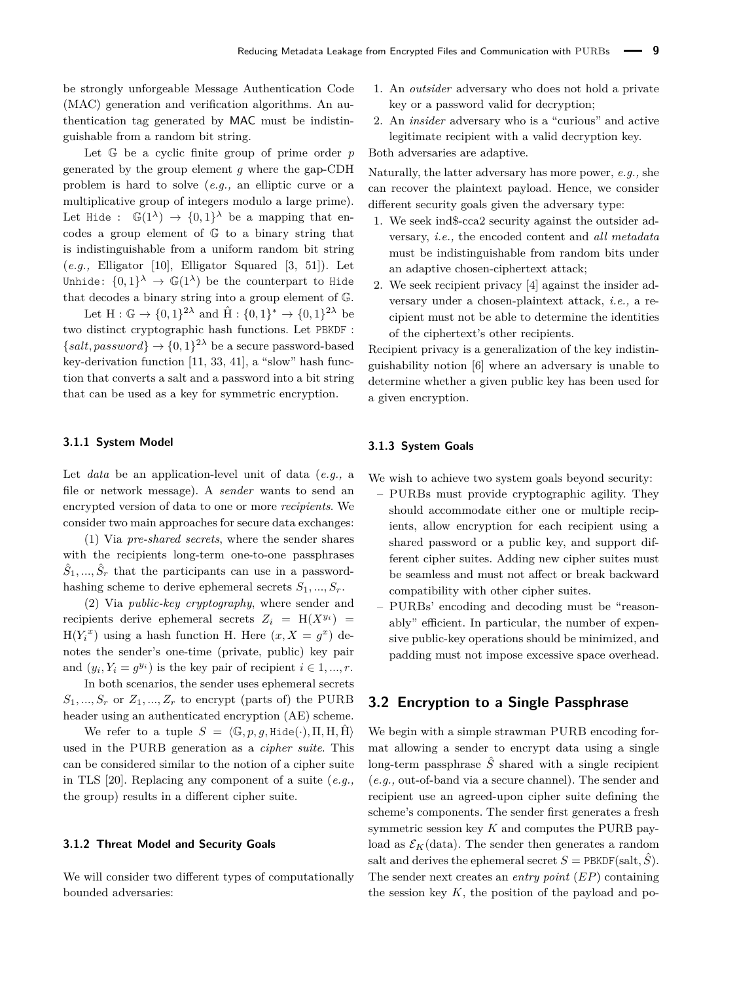be strongly unforgeable Message Authentication Code (MAC) generation and verification algorithms. An authentication tag generated by MAC must be indistinguishable from a random bit string.

Let G be a cyclic finite group of prime order *p* generated by the group element *g* where the gap-CDH problem is hard to solve (*e.g.,* an elliptic curve or a multiplicative group of integers modulo a large prime). Let Hide :  $\mathbb{G}(1^{\lambda}) \rightarrow \{0,1\}^{\lambda}$  be a mapping that encodes a group element of G to a binary string that is indistinguishable from a uniform random bit string (*e.g.,* Elligator [\[10\]](#page-17-5), Elligator Squared [\[3,](#page-17-6) [51\]](#page-19-11)). Let Unhide:  $\{0,1\}^{\lambda} \rightarrow \mathbb{G}(1^{\lambda})$  be the counterpart to Hide that decodes a binary string into a group element of G.

Let  $H: \mathbb{G} \to \{0,1\}^{2\lambda}$  and  $\hat{H}: \{0,1\}^* \to \{0,1\}^{2\lambda}$  be two distinct cryptographic hash functions. Let PBKDF :  ${salt, password} \rightarrow {0, 1}^{2\lambda}$  be a secure password-based key-derivation function [\[11,](#page-17-7) [33,](#page-18-21) [41\]](#page-18-22), a "slow" hash function that converts a salt and a password into a bit string that can be used as a key for symmetric encryption.

#### **3.1.1 System Model**

Let *data* be an application-level unit of data (*e.g.,* a file or network message). A *sender* wants to send an encrypted version of data to one or more *recipients*. We consider two main approaches for secure data exchanges:

(1) Via *pre-shared secrets*, where the sender shares with the recipients long-term one-to-one passphrases  $\hat{S}_1, \ldots, \hat{S}_r$  that the participants can use in a passwordhashing scheme to derive ephemeral secrets  $S_1, ..., S_r$ .

(2) Via *public-key cryptography*, where sender and recipients derive ephemeral secrets  $Z_i = H(X^{y_i}) =$  $H(Y_i^x)$  using a hash function H. Here  $(x, X = g^x)$  denotes the sender's one-time (private, public) key pair and  $(y_i, Y_i = g^{y_i})$  is the key pair of recipient  $i \in 1, ..., r$ .

In both scenarios, the sender uses ephemeral secrets  $S_1, ..., S_r$  or  $Z_1, ..., Z_r$  to encrypt (parts of) the PURB header using an authenticated encryption (AE) scheme.

We refer to a tuple  $S = \langle \mathbb{G}, p, g, H \text{ide}(\cdot), \Pi, H, \hat{H} \rangle$ used in the PURB generation as a *cipher suite*. This can be considered similar to the notion of a cipher suite in TLS [\[20\]](#page-18-16). Replacing any component of a suite (*e.g.,* the group) results in a different cipher suite.

### **3.1.2 Threat Model and Security Goals**

We will consider two different types of computationally bounded adversaries:

- 1. An *outsider* adversary who does not hold a private key or a password valid for decryption;
- 2. An *insider* adversary who is a "curious" and active legitimate recipient with a valid decryption key.

Both adversaries are adaptive.

Naturally, the latter adversary has more power, *e.g.,* she can recover the plaintext payload. Hence, we consider different security goals given the adversary type:

- 1. We seek ind\$-cca2 security against the outsider adversary, *i.e.,* the encoded content and *all metadata* must be indistinguishable from random bits under an adaptive chosen-ciphertext attack;
- 2. We seek recipient privacy [\[4\]](#page-17-8) against the insider adversary under a chosen-plaintext attack, *i.e.,* a recipient must not be able to determine the identities of the ciphertext's other recipients.

Recipient privacy is a generalization of the key indistinguishability notion [\[6\]](#page-17-9) where an adversary is unable to determine whether a given public key has been used for a given encryption.

### **3.1.3 System Goals**

We wish to achieve two system goals beyond security:

- PURBs must provide cryptographic agility. They should accommodate either one or multiple recipients, allow encryption for each recipient using a shared password or a public key, and support different cipher suites. Adding new cipher suites must be seamless and must not affect or break backward compatibility with other cipher suites.
- PURBs' encoding and decoding must be "reasonably" efficient. In particular, the number of expensive public-key operations should be minimized, and padding must not impose excessive space overhead.

# **3.2 Encryption to a Single Passphrase**

We begin with a simple strawman PURB encoding format allowing a sender to encrypt data using a single long-term passphrase  $\hat{S}$  shared with a single recipient (*e.g.,* out-of-band via a secure channel). The sender and recipient use an agreed-upon cipher suite defining the scheme's components. The sender first generates a fresh symmetric session key *K* and computes the PURB payload as  $\mathcal{E}_K$ (data). The sender then generates a random salt and derives the ephemeral secret  $S = PBLDF(salt, S)$ . The sender next creates an *entry point* (*EP*) containing the session key  $K$ , the position of the payload and po-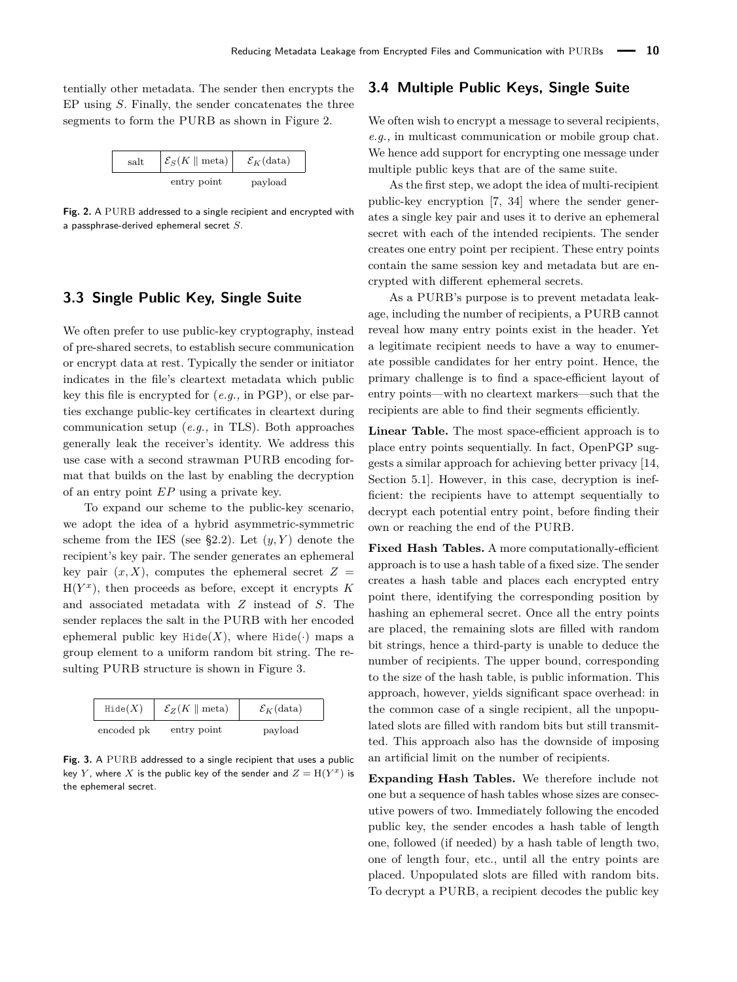tentially other metadata. The sender then encrypts the EP using *S*. Finally, the sender concatenates the three segments to form the PURB as shown in Figure [2.](#page-4-0)

<span id="page-4-0"></span>

| salt | $\mathcal{E}_S(K \parallel \text{meta})$ | $\mathcal{E}_K$ (data) |
|------|------------------------------------------|------------------------|
|      | entry point                              | payload                |

**Fig. 2.** A PURB addressed to a single recipient and encrypted with a passphrase-derived ephemeral secret *S*.

## **3.3 Single Public Key, Single Suite**

We often prefer to use public-key cryptography, instead of pre-shared secrets, to establish secure communication or encrypt data at rest. Typically the sender or initiator indicates in the file's cleartext metadata which public key this file is encrypted for (*e.g.,* in PGP), or else parties exchange public-key certificates in cleartext during communication setup (*e.g.,* in TLS). Both approaches generally leak the receiver's identity. We address this use case with a second strawman PURB encoding format that builds on the last by enabling the decryption of an entry point *EP* using a private key.

To expand our scheme to the public-key scenario, we adopt the idea of a hybrid asymmetric-symmetric scheme from the IES (see [§2.2\)](#page-2-1). Let  $(y, Y)$  denote the recipient's key pair. The sender generates an ephemeral key pair  $(x, X)$ , computes the ephemeral secret  $Z =$  $H(Y^x)$ , then proceeds as before, except it encrypts *K* and associated metadata with *Z* instead of *S*. The sender replaces the salt in the PURB with her encoded ephemeral public key Hide $(X)$ , where Hide $(\cdot)$  maps a group element to a uniform random bit string. The resulting PURB structure is shown in Figure [3.](#page-4-1)

<span id="page-4-1"></span>

| Hide(X)    | $\mathcal{E}_Z(K \parallel \text{meta})$ | $\mathcal{E}_K$ (data) |
|------------|------------------------------------------|------------------------|
| encoded pk | entry point                              | payload                |

Fig. 3. A PURB addressed to a single recipient that uses a public key *Y*, where *X* is the public key of the sender and  $Z = H(Y^x)$  is the ephemeral secret.

# **3.4 Multiple Public Keys, Single Suite**

We often wish to encrypt a message to several recipients. *e.g.,* in multicast communication or mobile group chat. We hence add support for encrypting one message under multiple public keys that are of the same suite.

As the first step, we adopt the idea of multi-recipient public-key encryption [\[7,](#page-17-3) [34\]](#page-18-14) where the sender generates a single key pair and uses it to derive an ephemeral secret with each of the intended recipients. The sender creates one entry point per recipient. These entry points contain the same session key and metadata but are encrypted with different ephemeral secrets.

As a PURB's purpose is to prevent metadata leakage, including the number of recipients, a PURB cannot reveal how many entry points exist in the header. Yet a legitimate recipient needs to have a way to enumerate possible candidates for her entry point. Hence, the primary challenge is to find a space-efficient layout of entry points—with no cleartext markers—such that the recipients are able to find their segments efficiently.

**Linear Table.** The most space-efficient approach is to place entry points sequentially. In fact, OpenPGP suggests a similar approach for achieving better privacy [\[14,](#page-18-15) Section 5.1]. However, in this case, decryption is inefficient: the recipients have to attempt sequentially to decrypt each potential entry point, before finding their own or reaching the end of the PURB.

**Fixed Hash Tables.** A more computationally-efficient approach is to use a hash table of a fixed size. The sender creates a hash table and places each encrypted entry point there, identifying the corresponding position by hashing an ephemeral secret. Once all the entry points are placed, the remaining slots are filled with random bit strings, hence a third-party is unable to deduce the number of recipients. The upper bound, corresponding to the size of the hash table, is public information. This approach, however, yields significant space overhead: in the common case of a single recipient, all the unpopulated slots are filled with random bits but still transmitted. This approach also has the downside of imposing an artificial limit on the number of recipients.

**Expanding Hash Tables.** We therefore include not one but a sequence of hash tables whose sizes are consecutive powers of two. Immediately following the encoded public key, the sender encodes a hash table of length one, followed (if needed) by a hash table of length two, one of length four, etc., until all the entry points are placed. Unpopulated slots are filled with random bits. To decrypt a PURB, a recipient decodes the public key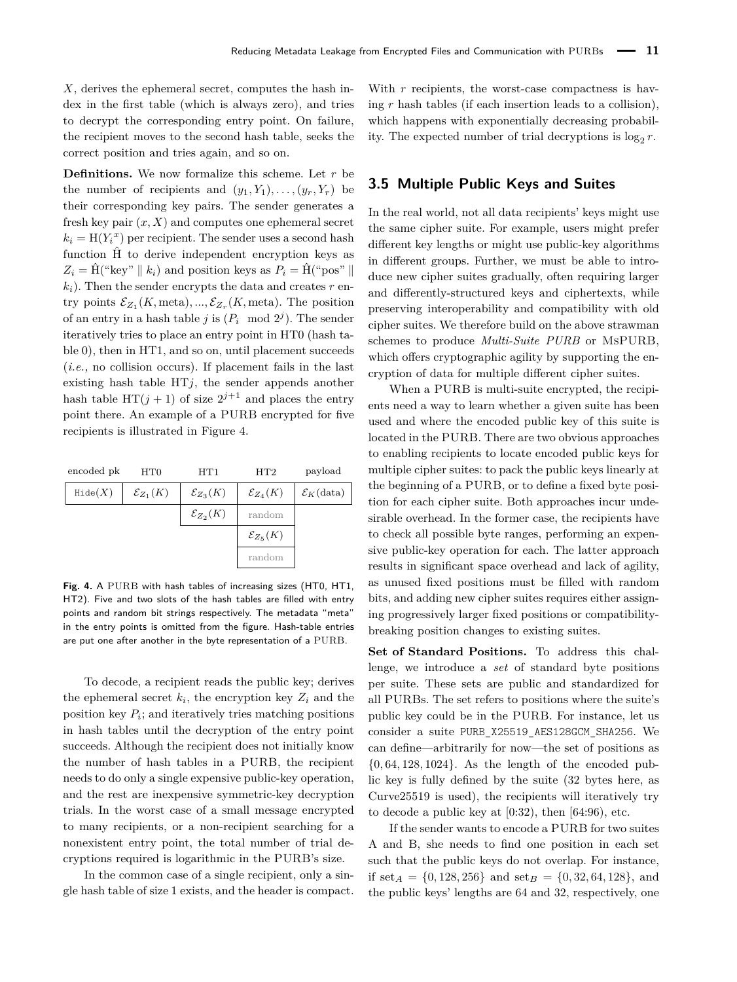*X*, derives the ephemeral secret, computes the hash index in the first table (which is always zero), and tries to decrypt the corresponding entry point. On failure, the recipient moves to the second hash table, seeks the correct position and tries again, and so on.

**Definitions.** We now formalize this scheme. Let *r* be the number of recipients and  $(y_1, Y_1), \ldots, (y_r, Y_r)$  be their corresponding key pairs. The sender generates a fresh key pair  $(x, X)$  and computes one ephemeral secret  $k_i = H(Y_i^x)$  per recipient. The sender uses a second hash function  $\hat{H}$  to derive independent encryption keys as  $Z_i = \hat{H}$ <sup>("</sup>key" ||  $k_i$ ) and position keys as  $P_i = \hat{H}$ <sup>("</sup>pos" ||  $k_i$ ). Then the sender encrypts the data and creates  $r$  entry points  $\mathcal{E}_{Z_1}(K, \text{meta}), ..., \mathcal{E}_{Z_r}(K, \text{meta})$ . The position of an entry in a hash table *j* is  $(P_i \mod 2^j)$ . The sender iteratively tries to place an entry point in HT0 (hash table 0), then in HT1, and so on, until placement succeeds (*i.e.,* no collision occurs). If placement fails in the last existing hash table  $HTj$ , the sender appends another hash table  $HT(j + 1)$  of size  $2^{j+1}$  and places the entry point there. An example of a PURB encrypted for five recipients is illustrated in Figure [4.](#page-5-0)

<span id="page-5-0"></span>

| encoded pk       | HT0                    | HT1                    | HT2                    | payload                |
|------------------|------------------------|------------------------|------------------------|------------------------|
| $\text{Hide}(X)$ | $\mathcal{E}_{Z_1}(K)$ | $\mathcal{E}_{Z_3}(K)$ | $\mathcal{E}_{Z_4}(K)$ | $\mathcal{E}_K$ (data) |
|                  |                        | $\mathcal{E}_{Z_2}(K)$ | random                 |                        |
|                  |                        |                        | $\mathcal{E}_{Z_5}(K)$ |                        |
|                  |                        |                        | random                 |                        |

**Fig. 4.** A PURB with hash tables of increasing sizes (HT0, HT1, HT2). Five and two slots of the hash tables are filled with entry points and random bit strings respectively. The metadata "meta" in the entry points is omitted from the figure. Hash-table entries are put one after another in the byte representation of a PURB.

To decode, a recipient reads the public key; derives the ephemeral secret  $k_i$ , the encryption key  $Z_i$  and the position key  $P_i$ ; and iteratively tries matching positions in hash tables until the decryption of the entry point succeeds. Although the recipient does not initially know the number of hash tables in a PURB, the recipient needs to do only a single expensive public-key operation, and the rest are inexpensive symmetric-key decryption trials. In the worst case of a small message encrypted to many recipients, or a non-recipient searching for a nonexistent entry point, the total number of trial decryptions required is logarithmic in the PURB's size.

In the common case of a single recipient, only a single hash table of size 1 exists, and the header is compact. With *r* recipients, the worst-case compactness is having *r* hash tables (if each insertion leads to a collision), which happens with exponentially decreasing probability. The expected number of trial decryptions is  $\log_2 r$ .

### **3.5 Multiple Public Keys and Suites**

In the real world, not all data recipients' keys might use the same cipher suite. For example, users might prefer different key lengths or might use public-key algorithms in different groups. Further, we must be able to introduce new cipher suites gradually, often requiring larger and differently-structured keys and ciphertexts, while preserving interoperability and compatibility with old cipher suites. We therefore build on the above strawman schemes to produce *Multi-Suite PURB* or MsPURB, which offers cryptographic agility by supporting the encryption of data for multiple different cipher suites.

When a PURB is multi-suite encrypted, the recipients need a way to learn whether a given suite has been used and where the encoded public key of this suite is located in the PURB. There are two obvious approaches to enabling recipients to locate encoded public keys for multiple cipher suites: to pack the public keys linearly at the beginning of a PURB, or to define a fixed byte position for each cipher suite. Both approaches incur undesirable overhead. In the former case, the recipients have to check all possible byte ranges, performing an expensive public-key operation for each. The latter approach results in significant space overhead and lack of agility, as unused fixed positions must be filled with random bits, and adding new cipher suites requires either assigning progressively larger fixed positions or compatibilitybreaking position changes to existing suites.

**Set of Standard Positions.** To address this challenge, we introduce a *set* of standard byte positions per suite. These sets are public and standardized for all PURBs. The set refers to positions where the suite's public key could be in the PURB. For instance, let us consider a suite PURB\_X25519\_AES128GCM\_SHA256. We can define—arbitrarily for now—the set of positions as {0*,* 64*,* 128*,* 1024}. As the length of the encoded public key is fully defined by the suite (32 bytes here, as Curve25519 is used), the recipients will iteratively try to decode a public key at  $(0.32)$ , then  $(64.96)$ , etc.

If the sender wants to encode a PURB for two suites A and B, she needs to find one position in each set such that the public keys do not overlap. For instance, if set<sub>*A*</sub> = {0,128,256} and set<sub>*B*</sub> = {0,32,64,128}, and the public keys' lengths are 64 and 32, respectively, one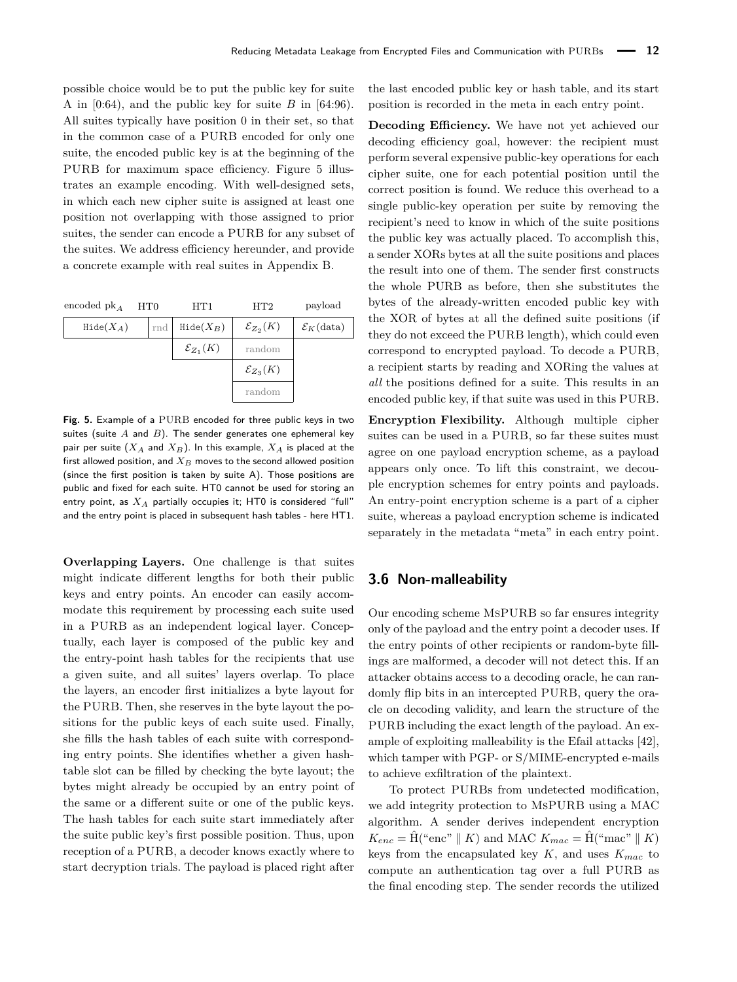possible choice would be to put the public key for suite A in  $[0.64)$ , and the public key for suite *B* in  $[64.96)$ . All suites typically have position 0 in their set, so that in the common case of a PURB encoded for only one suite, the encoded public key is at the beginning of the PURB for maximum space efficiency. Figure [5](#page-6-0) illustrates an example encoding. With well-designed sets, in which each new cipher suite is assigned at least one position not overlapping with those assigned to prior suites, the sender can encode a PURB for any subset of the suites. We address efficiency hereunder, and provide a concrete example with real suites in Appendix [B.](#page-19-12)

<span id="page-6-0"></span>

| encoded p $k_A$    | HT <sub>0</sub> | HT1                    | HT2                    | payload                      |
|--------------------|-----------------|------------------------|------------------------|------------------------------|
| $\text{Hide}(X_A)$ | rnd             | $\text{Hide}(X_B)$     | $\mathcal{E}_{Z_2}(K)$ | $\mathcal{E}_K(\text{data})$ |
|                    |                 | $\mathcal{E}_{Z_1}(K)$ | random                 |                              |
|                    |                 |                        | $\mathcal{E}_{Z_3}(K)$ |                              |
|                    |                 |                        | random                 |                              |

**Fig. 5.** Example of a PURB encoded for three public keys in two suites (suite *A* and *B*). The sender generates one ephemeral key pair per suite (*X<sup>A</sup>* and *XB*). In this example, *X<sup>A</sup>* is placed at the first allowed position, and *X<sup>B</sup>* moves to the second allowed position (since the first position is taken by suite A). Those positions are public and fixed for each suite. HT0 cannot be used for storing an entry point, as *X<sup>A</sup>* partially occupies it; HT0 is considered "full" and the entry point is placed in subsequent hash tables - here HT1.

**Overlapping Layers.** One challenge is that suites might indicate different lengths for both their public keys and entry points. An encoder can easily accommodate this requirement by processing each suite used in a PURB as an independent logical layer. Conceptually, each layer is composed of the public key and the entry-point hash tables for the recipients that use a given suite, and all suites' layers overlap. To place the layers, an encoder first initializes a byte layout for the PURB. Then, she reserves in the byte layout the positions for the public keys of each suite used. Finally, she fills the hash tables of each suite with corresponding entry points. She identifies whether a given hashtable slot can be filled by checking the byte layout; the bytes might already be occupied by an entry point of the same or a different suite or one of the public keys. The hash tables for each suite start immediately after the suite public key's first possible position. Thus, upon reception of a PURB, a decoder knows exactly where to start decryption trials. The payload is placed right after

the last encoded public key or hash table, and its start position is recorded in the meta in each entry point.

**Decoding Efficiency.** We have not yet achieved our decoding efficiency goal, however: the recipient must perform several expensive public-key operations for each cipher suite, one for each potential position until the correct position is found. We reduce this overhead to a single public-key operation per suite by removing the recipient's need to know in which of the suite positions the public key was actually placed. To accomplish this, a sender XORs bytes at all the suite positions and places the result into one of them. The sender first constructs the whole PURB as before, then she substitutes the bytes of the already-written encoded public key with the XOR of bytes at all the defined suite positions (if they do not exceed the PURB length), which could even correspond to encrypted payload. To decode a PURB, a recipient starts by reading and XORing the values at *all* the positions defined for a suite. This results in an encoded public key, if that suite was used in this PURB.

**Encryption Flexibility.** Although multiple cipher suites can be used in a PURB, so far these suites must agree on one payload encryption scheme, as a payload appears only once. To lift this constraint, we decouple encryption schemes for entry points and payloads. An entry-point encryption scheme is a part of a cipher suite, whereas a payload encryption scheme is indicated separately in the metadata "meta" in each entry point.

### **3.6 Non-malleability**

Our encoding scheme MsPURB so far ensures integrity only of the payload and the entry point a decoder uses. If the entry points of other recipients or random-byte fillings are malformed, a decoder will not detect this. If an attacker obtains access to a decoding oracle, he can randomly flip bits in an intercepted PURB, query the oracle on decoding validity, and learn the structure of the PURB including the exact length of the payload. An example of exploiting malleability is the Efail attacks [\[42\]](#page-18-23), which tamper with PGP- or S/MIME-encrypted e-mails to achieve exfiltration of the plaintext.

To protect PURBs from undetected modification, we add integrity protection to MsPURB using a MAC algorithm. A sender derives independent encryption  $K_{enc} = \hat{H}$ <sup>("</sup>enc" | *K*) and MAC  $K_{mac} = \hat{H}$ <sup>("</sup>mac" | *K*) keys from the encapsulated key *K*, and uses *Kmac* to compute an authentication tag over a full PURB as the final encoding step. The sender records the utilized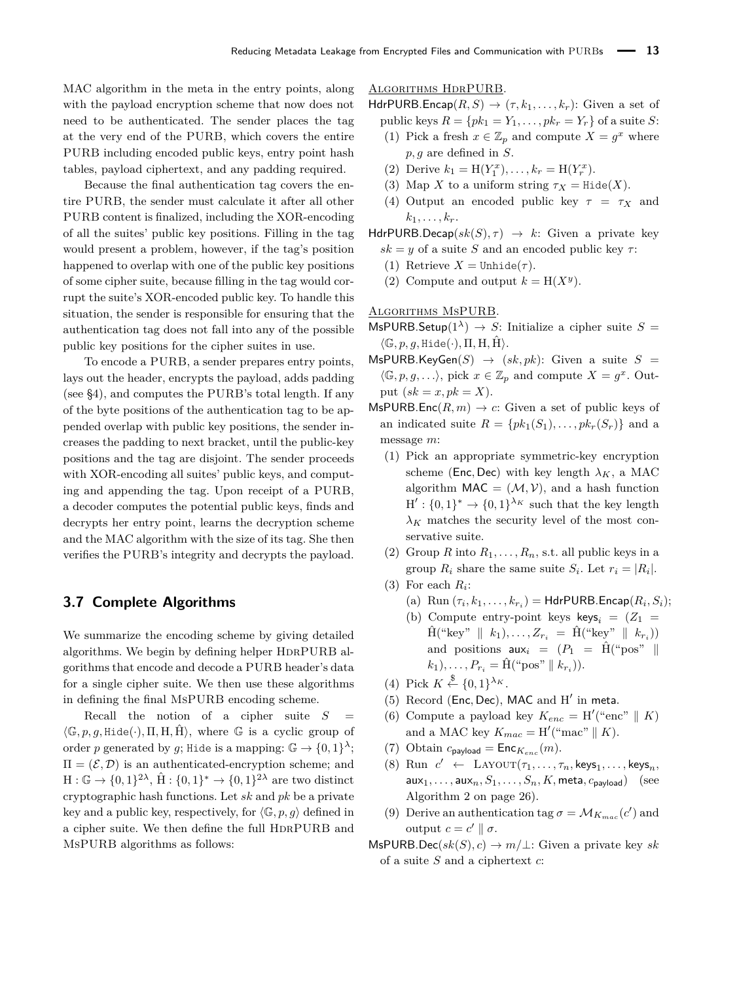MAC algorithm in the meta in the entry points, along with the payload encryption scheme that now does not need to be authenticated. The sender places the tag at the very end of the PURB, which covers the entire PURB including encoded public keys, entry point hash tables, payload ciphertext, and any padding required.

Because the final authentication tag covers the entire PURB, the sender must calculate it after all other PURB content is finalized, including the XOR-encoding of all the suites' public key positions. Filling in the tag would present a problem, however, if the tag's position happened to overlap with one of the public key positions of some cipher suite, because filling in the tag would corrupt the suite's XOR-encoded public key. To handle this situation, the sender is responsible for ensuring that the authentication tag does not fall into any of the possible public key positions for the cipher suites in use.

To encode a PURB, a sender prepares entry points, lays out the header, encrypts the payload, adds padding (see [§4\)](#page-9-0), and computes the PURB's total length. If any of the byte positions of the authentication tag to be appended overlap with public key positions, the sender increases the padding to next bracket, until the public-key positions and the tag are disjoint. The sender proceeds with XOR-encoding all suites' public keys, and computing and appending the tag. Upon receipt of a PURB, a decoder computes the potential public keys, finds and decrypts her entry point, learns the decryption scheme and the MAC algorithm with the size of its tag. She then verifies the PURB's integrity and decrypts the payload.

# <span id="page-7-0"></span>**3.7 Complete Algorithms**

We summarize the encoding scheme by giving detailed algorithms. We begin by defining helper HDRPURB algorithms that encode and decode a PURB header's data for a single cipher suite. We then use these algorithms in defining the final MsPURB encoding scheme.

Recall the notion of a cipher suite  $S =$  $\langle \mathbb{G}, p, q, \text{Hide}(\cdot), \Pi, H, \hat{H} \rangle$ , where G is a cyclic group of order *p* generated by *g*; Hide is a mapping:  $\mathbb{G} \to \{0,1\}^{\lambda}$ ;  $\Pi = (\mathcal{E}, \mathcal{D})$  is an authenticated-encryption scheme; and  $H: \mathbb{G} \to \{0,1\}^{2\lambda}, \hat{H}: \{0,1\}^* \to \{0,1\}^{2\lambda}$  are two distinct cryptographic hash functions. Let *sk* and *pk* be a private key and a public key, respectively, for  $\langle \mathbb{G}, p, q \rangle$  defined in a cipher suite. We then define the full HDRPURB and MsPURB algorithms as follows:

### ALGORITHMS HDRPURB.

HdrPURB.Encap $(R, S) \rightarrow (\tau, k_1, \ldots, k_r)$ : Given a set of public keys  $R = \{pk_1 = Y_1, \ldots, pk_r = Y_r\}$  of a suite *S*:

- (1) Pick a fresh  $x \in \mathbb{Z}_p$  and compute  $X = g^x$  where *p, g* are defined in *S*.
- (2) Derive  $k_1 = H(Y_1^x), \ldots, k_r = H(Y_r^x)$ .
- (3) Map *X* to a uniform string  $\tau_X = \text{Hide}(X)$ .
- (4) Output an encoded public key  $\tau = \tau_X$  and  $k_1, \ldots, k_r$ .
- HdrPURB.Decap( $sk(S), \tau$ )  $\rightarrow k$ : Given a private key  $sk = y$  of a suite *S* and an encoded public key  $\tau$ :
	- (1) Retrieve  $X =$  Unhide( $\tau$ ).
	- (2) Compute and output  $k = H(X^y)$ .

#### Algorithms MsPURB.

- MsPURB.Setup( $1^{\lambda}$ )  $\rightarrow$  *S*: Initialize a cipher suite *S* =  $\langle \mathbb{G}, p, q, \text{Hide}(\cdot), \Pi, H, \hat{H} \rangle.$
- $\mathsf{MsPURB}.\mathsf{KeyGen}(S) \rightarrow (sk,pk):$  Given a suite  $S =$  $\langle \mathbb{G}, p, g, \ldots \rangle$ , pick  $x \in \mathbb{Z}_p$  and compute  $X = g^x$ . Output  $(sk = x, pk = X)$ .
- $\mathsf{MsPURB}.\mathsf{Enc}(R,m) \to c$ : Given a set of public keys of an indicated suite  $R = \{pk_1(S_1), \ldots, pk_r(S_r)\}\$  and a message *m*:
	- (1) Pick an appropriate symmetric-key encryption scheme (Enc, Dec) with key length  $\lambda_K$ , a MAC algorithm  $MAC = (\mathcal{M}, \mathcal{V})$ , and a hash function  $H' : \{0,1\}^* \to \{0,1\}^{\lambda_K}$  such that the key length  $\lambda_K$  matches the security level of the most conservative suite.
	- (2) Group *R* into  $R_1, \ldots, R_n$ , s.t. all public keys in a group  $R_i$  share the same suite  $S_i$ . Let  $r_i = |R_i|$ .
	- (3) For each  $R_i$ :
		- (a)  $\text{Run}(\tau_i, k_1, \ldots, k_{r_i}) = \text{HdrPURB}$ . Encap $(R_i, S_i)$ ;
		- (b) Compute entry-point keys keys<sub>i</sub> =  $(Z_1$  =  $\hat{H}$ <sup>("</sup>key" ||  $k_1$ ),...,  $Z_{r_i} = \hat{H}$ <sup>("</sup>key" ||  $k_{r_i}$ )) and positions  $aux_i = (P_1 = \hat{H}$ <sup>"</sup> ("pos" ||  $k_1$ ,,...,  $P_{r_i} = \hat{H}("pos" || k_{r_i})$ .
	- (4) Pick  $K \overset{\$}{\leftarrow} \{0,1\}^{\lambda_K}.$
	- (5) Record (Enc, Dec), MAC and H' in meta.
	- (6) Compute a payload key  $K_{enc} = H''($ "enc"  $\parallel K$ ) and a MAC key  $K_{mac} = H'("mac" || K)$ .
	- (7) Obtain  $c_{\text{payload}} = \text{Enc}_{K_{enc}}(m)$ .
	- $(8)$  Run  $c' \leftarrow$  LAYOUT $(\tau_1, \ldots, \tau_n, \text{keys}_1, \ldots, \text{keys}_n,$ aux<sub>1</sub>, ..., aux<sub>n</sub>,  $S_1$ , ...,  $S_n$ ,  $K$ , meta,  $c_{\text{pavload}}$ ) (see Algorithm [2](#page-20-0) on page [26\)](#page-20-0).
	- (9) Derive an authentication tag  $\sigma = \mathcal{M}_{K_{mac}}(c')$  and output  $c = c' \parallel σ$ .
- $\textsf{MsPURB.Dec}(sk(S), c) \rightarrow m/\perp$ : Given a private key *sk* of a suite *S* and a ciphertext *c*: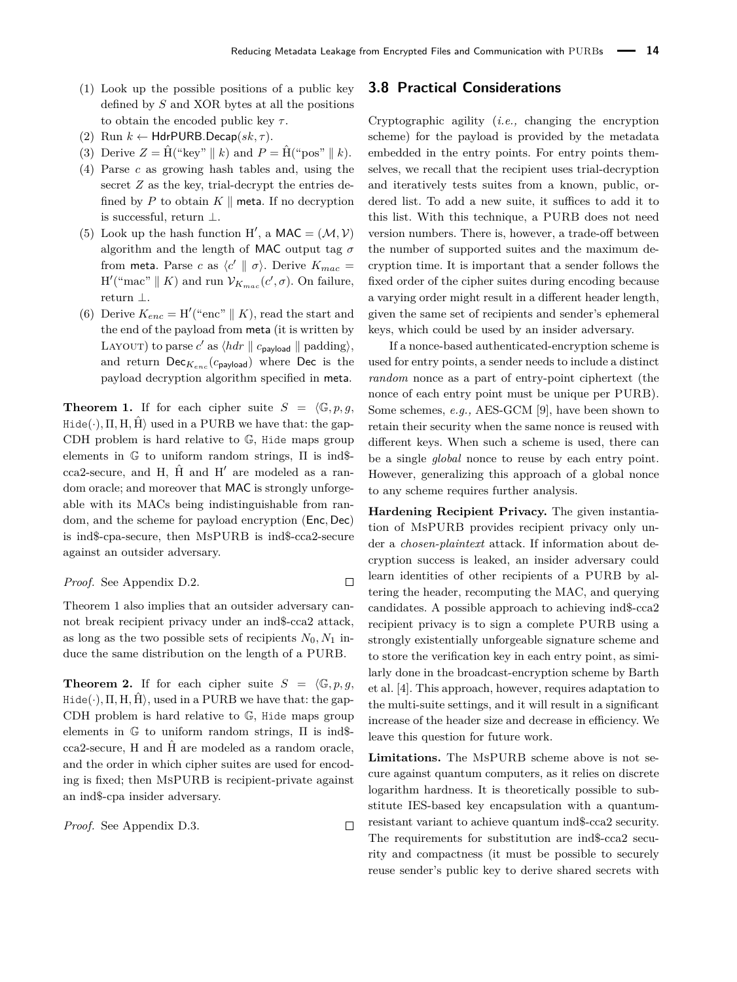- (1) Look up the possible positions of a public key defined by *S* and XOR bytes at all the positions to obtain the encoded public key *τ* .
- (2) Run  $k \leftarrow$  HdrPURB.Decap( $sk, \tau$ ).
- (3) Derive  $Z = \hat{H}$  ("key" || k) and  $P = \hat{H}$  ("pos" || k).
- (4) Parse *c* as growing hash tables and, using the secret *Z* as the key, trial-decrypt the entries defined by  $P$  to obtain  $K \parallel$  meta. If no decryption is successful, return ⊥.
- (5) Look up the hash function H', a MAC =  $(\mathcal{M}, \mathcal{V})$ algorithm and the length of MAC output tag *σ* from **meta**. Parse *c* as  $\langle c' \parallel \sigma \rangle$ . Derive  $K_{mac} =$  $H'("mac" \parallel K)$  and run  $\mathcal{V}_{K_{mac}}(c', \sigma)$ . On failure, return ⊥.
- (6) Derive  $K_{enc} = H'("enc" || K)$ , read the start and the end of the payload from meta (it is written by LAYOUT) to parse *c'* as  $\langle h dr \parallel c_{\text{payload}} \parallel \text{padding} \rangle$ , and return Dec*Kenc* (*c*payload) where Dec is the payload decryption algorithm specified in meta.

<span id="page-8-0"></span>**Theorem 1.** If for each cipher suite  $S = \langle \mathbb{G}, p, g \rangle$  $Hide(\cdot), \Pi, H, \hat{H}$  used in a PURB we have that: the gap-CDH problem is hard relative to G, Hide maps group elements in G to uniform random strings, Π is ind\$  $cca2$ -secure, and H,  $\hat{H}$  and H' are modeled as a random oracle; and moreover that MAC is strongly unforgeable with its MACs being indistinguishable from random, and the scheme for payload encryption (Enc*,* Dec) is ind\$-cpa-secure, then MsPURB is ind\$-cca2-secure against an outsider adversary.

*Proof.* See Appendix D.2. 
$$
\Box
$$

Theorem [1](#page-8-0) also implies that an outsider adversary cannot break recipient privacy under an ind\$-cca2 attack, as long as the two possible sets of recipients  $N_0, N_1$  induce the same distribution on the length of a PURB.

<span id="page-8-2"></span>**Theorem 2.** If for each cipher suite  $S = \langle \mathbb{G}, p, q, \rangle$  $Hide(\cdot), \Pi, H, H$ , used in a PURB we have that: the gap-CDH problem is hard relative to G, Hide maps group elements in  $\mathbb G$  to uniform random strings,  $\Pi$  is ind\$ $cca2$ -secure, H and  $\hat{H}$  are modeled as a random oracle, and the order in which cipher suites are used for encoding is fixed; then MsPURB is recipient-private against an ind\$-cpa insider adversary.

*Proof.* See Appendix [D.3.](#page-26-0)

 $\Box$ 

### <span id="page-8-1"></span>**3.8 Practical Considerations**

Cryptographic agility (*i.e.,* changing the encryption scheme) for the payload is provided by the metadata embedded in the entry points. For entry points themselves, we recall that the recipient uses trial-decryption and iteratively tests suites from a known, public, ordered list. To add a new suite, it suffices to add it to this list. With this technique, a PURB does not need version numbers. There is, however, a trade-off between the number of supported suites and the maximum decryption time. It is important that a sender follows the fixed order of the cipher suites during encoding because a varying order might result in a different header length, given the same set of recipients and sender's ephemeral keys, which could be used by an insider adversary.

If a nonce-based authenticated-encryption scheme is used for entry points, a sender needs to include a distinct *random* nonce as a part of entry-point ciphertext (the nonce of each entry point must be unique per PURB). Some schemes, *e.g.,* AES-GCM [\[9\]](#page-17-10), have been shown to retain their security when the same nonce is reused with different keys. When such a scheme is used, there can be a single *global* nonce to reuse by each entry point. However, generalizing this approach of a global nonce to any scheme requires further analysis.

**Hardening Recipient Privacy.** The given instantiation of MsPURB provides recipient privacy only under a *chosen-plaintext* attack. If information about decryption success is leaked, an insider adversary could learn identities of other recipients of a PURB by altering the header, recomputing the MAC, and querying candidates. A possible approach to achieving ind\$-cca2 recipient privacy is to sign a complete PURB using a strongly existentially unforgeable signature scheme and to store the verification key in each entry point, as similarly done in the broadcast-encryption scheme by Barth et al. [\[4\]](#page-17-8). This approach, however, requires adaptation to the multi-suite settings, and it will result in a significant increase of the header size and decrease in efficiency. We leave this question for future work.

**Limitations.** The MsPURB scheme above is not secure against quantum computers, as it relies on discrete logarithm hardness. It is theoretically possible to substitute IES-based key encapsulation with a quantumresistant variant to achieve quantum ind\$-cca2 security. The requirements for substitution are ind\$-cca2 security and compactness (it must be possible to securely reuse sender's public key to derive shared secrets with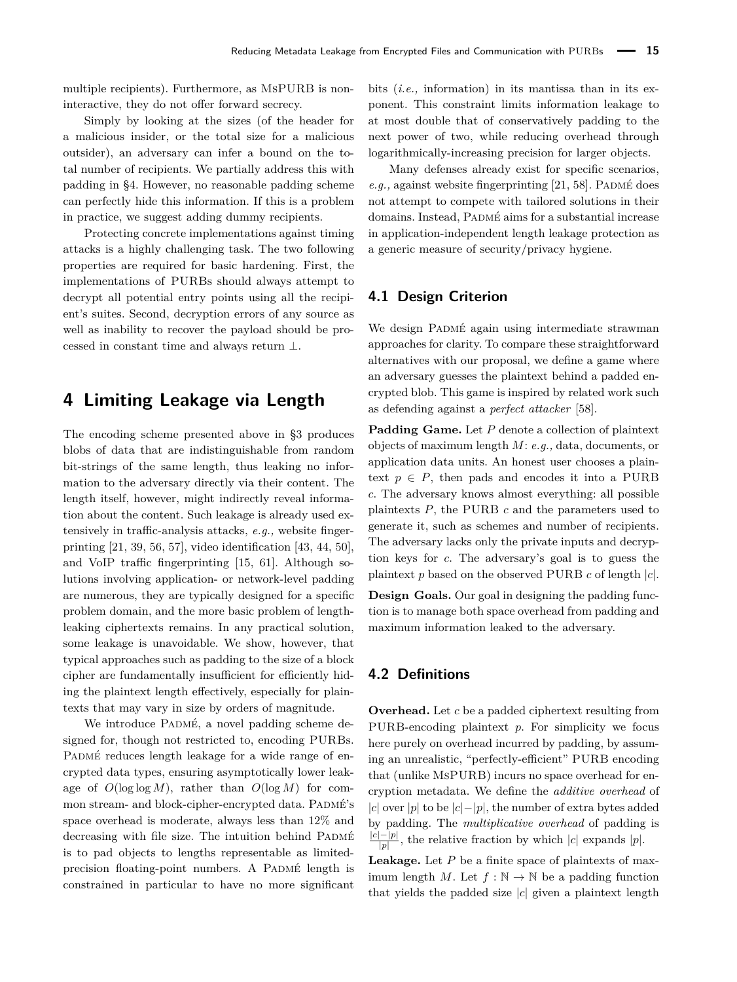multiple recipients). Furthermore, as MsPURB is noninteractive, they do not offer forward secrecy.

Simply by looking at the sizes (of the header for a malicious insider, or the total size for a malicious outsider), an adversary can infer a bound on the total number of recipients. We partially address this with padding in [§4.](#page-9-0) However, no reasonable padding scheme can perfectly hide this information. If this is a problem in practice, we suggest adding dummy recipients.

Protecting concrete implementations against timing attacks is a highly challenging task. The two following properties are required for basic hardening. First, the implementations of PURBs should always attempt to decrypt all potential entry points using all the recipient's suites. Second, decryption errors of any source as well as inability to recover the payload should be processed in constant time and always return ⊥.

# <span id="page-9-0"></span>**4 Limiting Leakage via Length**

The encoding scheme presented above in [§3](#page-2-2) produces blobs of data that are indistinguishable from random bit-strings of the same length, thus leaking no information to the adversary directly via their content. The length itself, however, might indirectly reveal information about the content. Such leakage is already used extensively in traffic-analysis attacks, *e.g.,* website fingerprinting [\[21,](#page-18-3) [39,](#page-18-4) [56,](#page-19-3) [57\]](#page-19-4), video identification [\[43,](#page-18-5) [44,](#page-18-6) [50\]](#page-19-5), and VoIP traffic fingerprinting [\[15,](#page-18-8) [61\]](#page-19-6). Although solutions involving application- or network-level padding are numerous, they are typically designed for a specific problem domain, and the more basic problem of lengthleaking ciphertexts remains. In any practical solution, some leakage is unavoidable. We show, however, that typical approaches such as padding to the size of a block cipher are fundamentally insufficient for efficiently hiding the plaintext length effectively, especially for plaintexts that may vary in size by orders of magnitude.

We introduce PADMÉ, a novel padding scheme designed for, though not restricted to, encoding PURBs. PADMÉ reduces length leakage for a wide range of encrypted data types, ensuring asymptotically lower leakage of  $O(\log \log M)$ , rather than  $O(\log M)$  for common stream- and block-cipher-encrypted data. PADMÉ's space overhead is moderate, always less than 12% and decreasing with file size. The intuition behind PADMÉ is to pad objects to lengths representable as limitedprecision floating-point numbers. A PADMÉ length is constrained in particular to have no more significant

bits (*i.e.,* information) in its mantissa than in its exponent. This constraint limits information leakage to at most double that of conservatively padding to the next power of two, while reducing overhead through logarithmically-increasing precision for larger objects.

Many defenses already exist for specific scenarios,  $e.g.,$  against website fingerprinting [\[21,](#page-18-3) [58\]](#page-19-13). PADMÉ does not attempt to compete with tailored solutions in their domains. Instead, PADMÉ aims for a substantial increase in application-independent length leakage protection as a generic measure of security/privacy hygiene.

### **4.1 Design Criterion**

We design PADMÉ again using intermediate strawman approaches for clarity. To compare these straightforward alternatives with our proposal, we define a game where an adversary guesses the plaintext behind a padded encrypted blob. This game is inspired by related work such as defending against a *perfect attacker* [\[58\]](#page-19-13).

**Padding Game.** Let *P* denote a collection of plaintext objects of maximum length *M*: *e.g.,* data, documents, or application data units. An honest user chooses a plaintext  $p \in P$ , then pads and encodes it into a PURB *c*. The adversary knows almost everything: all possible plaintexts *P*, the PURB *c* and the parameters used to generate it, such as schemes and number of recipients. The adversary lacks only the private inputs and decryption keys for *c*. The adversary's goal is to guess the plaintext *p* based on the observed PURB *c* of length |*c*|.

**Design Goals.** Our goal in designing the padding function is to manage both space overhead from padding and maximum information leaked to the adversary.

# **4.2 Definitions**

**Overhead.** Let *c* be a padded ciphertext resulting from PURB-encoding plaintext *p*. For simplicity we focus here purely on overhead incurred by padding, by assuming an unrealistic, "perfectly-efficient" PURB encoding that (unlike MsPURB) incurs no space overhead for encryption metadata. We define the *additive overhead* of |*c*| over |*p*| to be |*c*|−|*p*|, the number of extra bytes added by padding. The *multiplicative overhead* of padding is |*c*|−|*p*|  $\frac{|P|}{|p|}$ , the relative fraction by which  $|c|$  expands  $|p|$ .

**Leakage.** Let *P* be a finite space of plaintexts of maximum length *M*. Let  $f : \mathbb{N} \to \mathbb{N}$  be a padding function that yields the padded size |*c*| given a plaintext length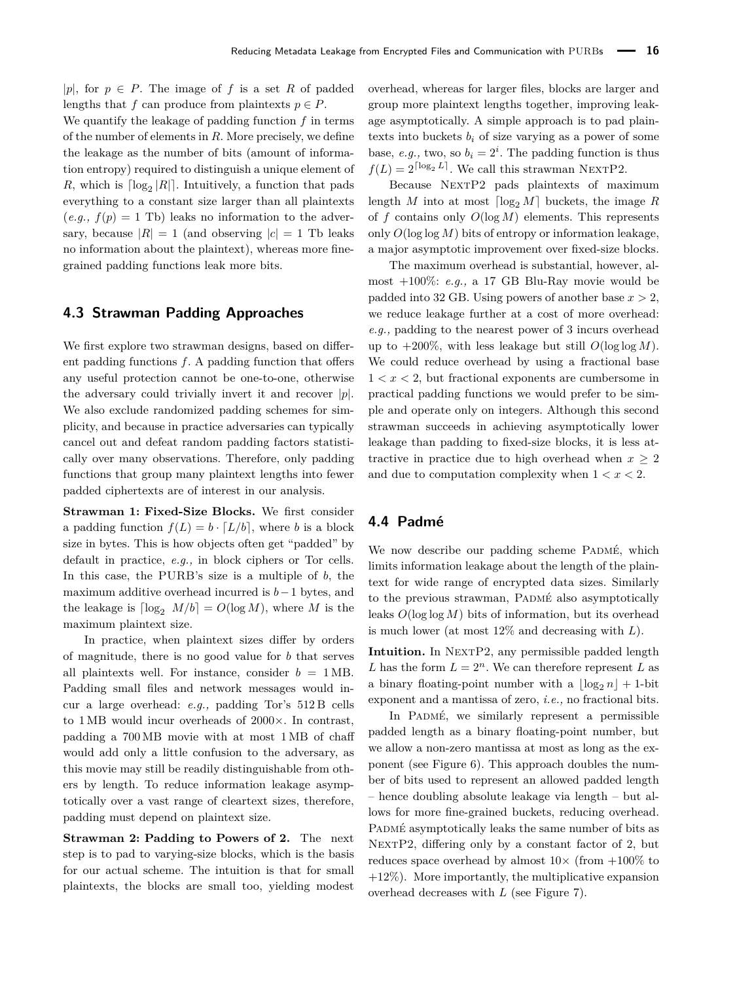|p|, for  $p \in P$ . The image of f is a set R of padded lengths that *f* can produce from plaintexts  $p \in P$ . We quantify the leakage of padding function *f* in terms of the number of elements in *R*. More precisely, we define the leakage as the number of bits (amount of information entropy) required to distinguish a unique element of *R*, which is  $\lceil \log_2 |R| \rceil$ . Intuitively, a function that pads everything to a constant size larger than all plaintexts  $(e.g., f(p) = 1)$  Tb) leaks no information to the adversary, because  $|R| = 1$  (and observing  $|c| = 1$  Tb leaks no information about the plaintext), whereas more finegrained padding functions leak more bits.

# **4.3 Strawman Padding Approaches**

We first explore two strawman designs, based on different padding functions *f*. A padding function that offers any useful protection cannot be one-to-one, otherwise the adversary could trivially invert it and recover  $|p|$ . We also exclude randomized padding schemes for simplicity, and because in practice adversaries can typically cancel out and defeat random padding factors statistically over many observations. Therefore, only padding functions that group many plaintext lengths into fewer padded ciphertexts are of interest in our analysis.

**Strawman 1: Fixed-Size Blocks.** We first consider a padding function  $f(L) = b \cdot [L/b]$ , where *b* is a block size in bytes. This is how objects often get "padded" by default in practice, *e.g.,* in block ciphers or Tor cells. In this case, the PURB's size is a multiple of *b*, the maximum additive overhead incurred is *b*−1 bytes, and the leakage is  $\lceil \log_2 M/b \rceil = O(\log M)$ , where *M* is the maximum plaintext size.

In practice, when plaintext sizes differ by orders of magnitude, there is no good value for *b* that serves all plaintexts well. For instance, consider  $b = 1 \text{ MB}$ . Padding small files and network messages would incur a large overhead: *e.g.,* padding Tor's 512 B cells to 1 MB would incur overheads of 2000×. In contrast, padding a 700 MB movie with at most 1 MB of chaff would add only a little confusion to the adversary, as this movie may still be readily distinguishable from others by length. To reduce information leakage asymptotically over a vast range of cleartext sizes, therefore, padding must depend on plaintext size.

**Strawman 2: Padding to Powers of 2.** The next step is to pad to varying-size blocks, which is the basis for our actual scheme. The intuition is that for small plaintexts, the blocks are small too, yielding modest

overhead, whereas for larger files, blocks are larger and group more plaintext lengths together, improving leakage asymptotically. A simple approach is to pad plaintexts into buckets  $b_i$  of size varying as a power of some base, *e.g.*, two, so  $b_i = 2^i$ . The padding function is thus  $f(L) = 2^{\lceil \log_2 L \rceil}$ . We call this strawman NEXTP2.

Because NEXTP2 pads plaintexts of maximum length *M* into at most  $\lceil \log_2 M \rceil$  buckets, the image *R* of *f* contains only *O*(log *M*) elements. This represents only *O*(log log *M*) bits of entropy or information leakage, a major asymptotic improvement over fixed-size blocks.

The maximum overhead is substantial, however, almost +100%: *e.g.,* a 17 GB Blu-Ray movie would be padded into 32 GB. Using powers of another base  $x > 2$ , we reduce leakage further at a cost of more overhead: *e.g.,* padding to the nearest power of 3 incurs overhead up to  $+200\%$ , with less leakage but still  $O(\log \log M)$ . We could reduce overhead by using a fractional base  $1 < x < 2$ , but fractional exponents are cumbersome in practical padding functions we would prefer to be simple and operate only on integers. Although this second strawman succeeds in achieving asymptotically lower leakage than padding to fixed-size blocks, it is less attractive in practice due to high overhead when  $x > 2$ and due to computation complexity when  $1 < x < 2$ .

# <span id="page-10-0"></span>**4.4 Padmé**

We now describe our padding scheme PADMÉ, which limits information leakage about the length of the plaintext for wide range of encrypted data sizes. Similarly to the previous strawman, PADMÉ also asymptotically leaks *O*(log log *M*) bits of information, but its overhead is much lower (at most 12% and decreasing with *L*).

**Intuition.** In NEXTP2, any permissible padded length *L* has the form  $L = 2^n$ . We can therefore represent *L* as a binary floating-point number with a  $\log_2 n + 1$ -bit exponent and a mantissa of zero, *i.e.,* no fractional bits.

In PADMÉ, we similarly represent a permissible padded length as a binary floating-point number, but we allow a non-zero mantissa at most as long as the exponent (see Figure [6\)](#page-11-0). This approach doubles the number of bits used to represent an allowed padded length – hence doubling absolute leakage via length – but allows for more fine-grained buckets, reducing overhead. PADMÉ asymptotically leaks the same number of bits as NEXTP2, differing only by a constant factor of 2, but reduces space overhead by almost  $10\times$  (from  $+100\%$  to  $+12\%$ ). More importantly, the multiplicative expansion overhead decreases with *L* (see Figure [7\)](#page-11-1).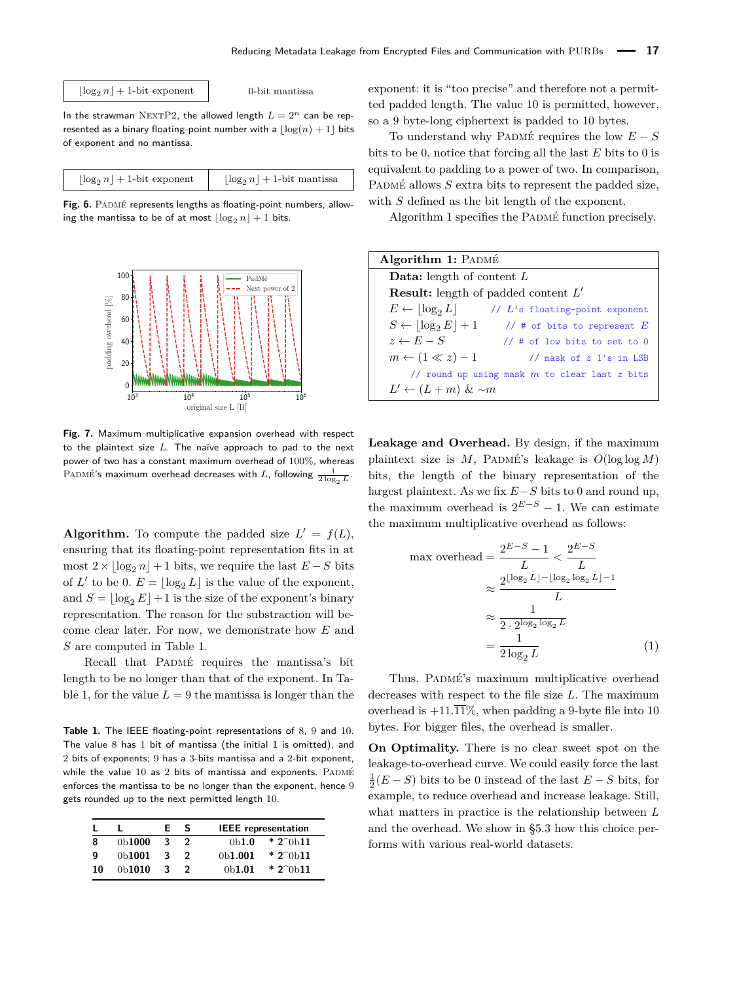#### <span id="page-11-0"></span> $\lfloor \log_2 n \rfloor + 1$ -bit exponent  $\lfloor \log_2 n \rfloor$  0-bit mantissa

In the strawman NEXTP2, the allowed length  $L = 2^n$  can be represented as a binary floating-point number with a  $\log(n) + 1$  bits of exponent and no mantissa.

| $\lfloor \log_2 n \rfloor + 1$ -bit exponent | $\log_2 n$ + 1-bit mantissa |
|----------------------------------------------|-----------------------------|
|                                              |                             |

Fig. 6. PADMÉ represents lengths as floating-point numbers, allowing the mantissa to be of at most  $\log_2 n + 1$  bits.

<span id="page-11-1"></span>

**Fig. 7.** Maximum multiplicative expansion overhead with respect to the plaintext size *L*. The naïve approach to pad to the next power of two has a constant maximum overhead of 100%, whereas PADMÉ's maximum overhead decreases with L, following  $\frac{1}{2 \log_2 L}$ .

**Algorithm.** To compute the padded size  $L' = f(L)$ , ensuring that its floating-point representation fits in at most  $2 \times \log_2 n + 1$  bits, we require the last  $E-S$  bits of  $L'$  to be 0.  $E = \lfloor \log_2 L \rfloor$  is the value of the exponent, and  $S = \log_2 E + 1$  is the size of the exponent's binary representation. The reason for the substraction will become clear later. For now, we demonstrate how *E* and *S* are computed in Table [1.](#page-11-2)

Recall that PADMÉ requires the mantissa's bit length to be no longer than that of the exponent. In Ta-ble [1,](#page-11-2) for the value  $L = 9$  the mantissa is longer than the

<span id="page-11-2"></span>**Table 1.** The IEEE floating-point representations of 8, 9 and 10. The value 8 has 1 bit of mantissa (the initial 1 is omitted), and 2 bits of exponents; 9 has a 3-bits mantissa and a 2-bit exponent, while the value  $10$  as  $2$  bits of mantissa and exponents.  $P_{\text{ADM}\text{E}}$ enforces the mantissa to be no longer than the exponent, hence 9 gets rounded up to the next permitted length 10.

|    |                     | F. | -S            | <b>IEEE</b> representation                             |  |
|----|---------------------|----|---------------|--------------------------------------------------------|--|
| 8  | 0 <sub>b</sub> 1000 | 3  | $\mathcal{P}$ | $*2^{\circ}$ <sub>0</sub> $11$<br>0 <sub>b1.0</sub>    |  |
| g  | 0 <sub>b</sub> 1001 | 3  |               | $*2^{\circ}$ <sub>0</sub> $11$<br>0 <sub>b</sub> 1.001 |  |
| 10 | 0 <sub>b</sub> 1010 | -3 |               | $*2^{\circ}$ <sub>0</sub> $11$<br>0 <sub>b</sub> 1.01  |  |

exponent: it is "too precise" and therefore not a permitted padded length. The value 10 is permitted, however, so a 9 byte-long ciphertext is padded to 10 bytes.

To understand why PADMÉ requires the low  $E-S$ bits to be 0, notice that forcing all the last *E* bits to 0 is equivalent to padding to a power of two. In comparison, PADMÉ allows *S* extra bits to represent the padded size, with *S* defined as the bit length of the exponent.

Algorithm [1](#page-11-3) specifies the Padmé function precisely.

| Algorithm 1: PADMÉ                                             |
|----------------------------------------------------------------|
| <b>Data:</b> length of content $L$                             |
| <b>Result:</b> length of padded content $L'$                   |
| $E \leftarrow  \log_2 L $<br>// $L$ 's floating-point exponent |
| $S \leftarrow  \log_2 E  + 1$<br>// # of bits to represent $E$ |
| $z \leftarrow E - S$<br>$//$ # of low bits to set to 0         |
| $m \leftarrow (1 \ll z) - 1$<br>// mask of $z$ 1's in LSB      |
| // round up using mask $m$ to clear last $z$ bits              |
| $L' \leftarrow (L+m) \& \sim m$                                |

<span id="page-11-3"></span>**Leakage and Overhead.** By design, if the maximum plaintext size is  $M$ , PADMÉ's leakage is  $O(\log \log M)$ bits, the length of the binary representation of the largest plaintext. As we fix *E*−*S* bits to 0 and round up, the maximum overhead is  $2^{E-S} - 1$ . We can estimate the maximum multiplicative overhead as follows:

$$
\max \text{ overhead} = \frac{2^{E-S} - 1}{L} < \frac{2^{E-S}}{L}
$$

$$
\approx \frac{2^{\lfloor \log_2 L \rfloor - \lfloor \log_2 \log_2 L \rfloor - 1}}{L}
$$

$$
\approx \frac{1}{2 \cdot 2^{\log_2 \log_2 L}}
$$

$$
= \frac{1}{2 \log_2 L} \tag{1}
$$

Thus, PADMÉ's maximum multiplicative overhead decreases with respect to the file size *L*. The maximum overhead is  $+11.\overline{11}\%$ , when padding a 9-byte file into 10 bytes. For bigger files, the overhead is smaller.

**On Optimality.** There is no clear sweet spot on the leakage-to-overhead curve. We could easily force the last  $\frac{1}{2}$ (*E* − *S*) bits to be 0 instead of the last *E* − *S* bits, for example, to reduce overhead and increase leakage. Still, what matters in practice is the relationship between *L* and the overhead. We show in [§5.3](#page-14-0) how this choice performs with various real-world datasets.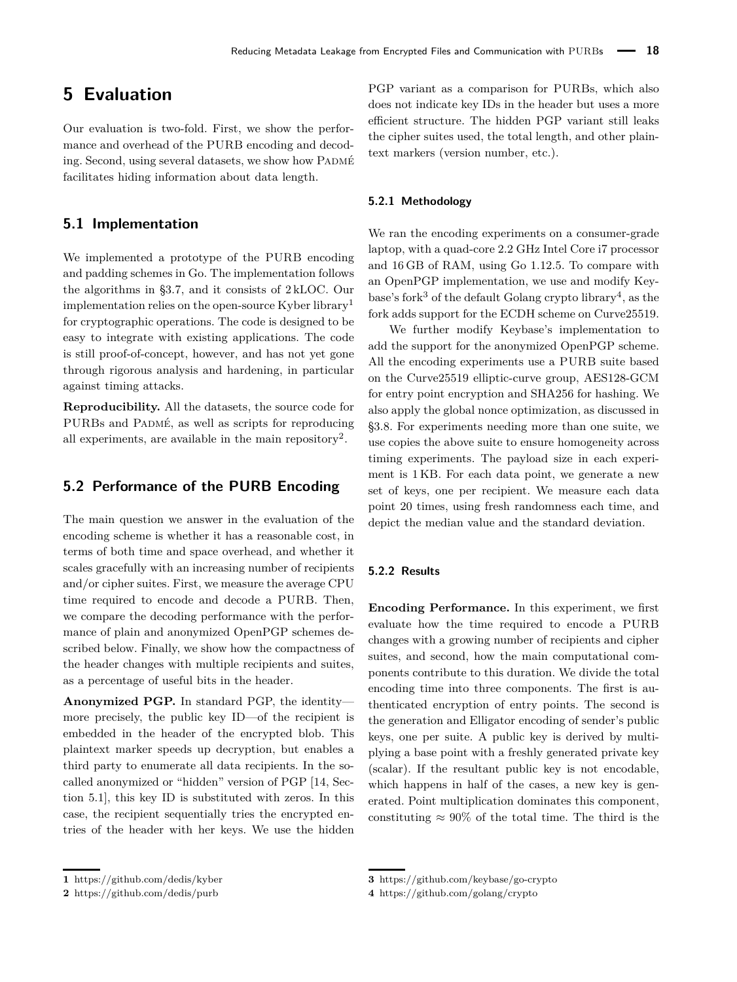# **5 Evaluation**

Our evaluation is two-fold. First, we show the performance and overhead of the PURB encoding and decoding. Second, using several datasets, we show how PADMÉ facilitates hiding information about data length.

### **5.1 Implementation**

We implemented a prototype of the PURB encoding and padding schemes in Go. The implementation follows the algorithms in [§3.7,](#page-7-0) and it consists of 2 kLOC. Our implementation relies on the open-source Kyber library[1](#page-0-0) for cryptographic operations. The code is designed to be easy to integrate with existing applications. The code is still proof-of-concept, however, and has not yet gone through rigorous analysis and hardening, in particular against timing attacks.

**Reproducibility.** All the datasets, the source code for PURBs and PADMÉ, as well as scripts for reproducing all experiments, are available in the main repository<sup>[2](#page-0-0)</sup>.

# **5.2 Performance of the PURB Encoding**

The main question we answer in the evaluation of the encoding scheme is whether it has a reasonable cost, in terms of both time and space overhead, and whether it scales gracefully with an increasing number of recipients and/or cipher suites. First, we measure the average CPU time required to encode and decode a PURB. Then, we compare the decoding performance with the performance of plain and anonymized OpenPGP schemes described below. Finally, we show how the compactness of the header changes with multiple recipients and suites, as a percentage of useful bits in the header.

**Anonymized PGP.** In standard PGP, the identity more precisely, the public key ID—of the recipient is embedded in the header of the encrypted blob. This plaintext marker speeds up decryption, but enables a third party to enumerate all data recipients. In the socalled anonymized or "hidden" version of PGP [\[14,](#page-18-15) Section 5.1], this key ID is substituted with zeros. In this case, the recipient sequentially tries the encrypted entries of the header with her keys. We use the hidden

PGP variant as a comparison for PURBs, which also does not indicate key IDs in the header but uses a more efficient structure. The hidden PGP variant still leaks the cipher suites used, the total length, and other plaintext markers (version number, etc.).

### **5.2.1 Methodology**

We ran the encoding experiments on a consumer-grade laptop, with a quad-core 2.2 GHz Intel Core i7 processor and 16 GB of RAM, using Go 1.12.5. To compare with an OpenPGP implementation, we use and modify Key-base's fork<sup>[3](#page-0-0)</sup> of the default Golang crypto library<sup>[4](#page-0-0)</sup>, as the fork adds support for the ECDH scheme on Curve25519.

We further modify Keybase's implementation to add the support for the anonymized OpenPGP scheme. All the encoding experiments use a PURB suite based on the Curve25519 elliptic-curve group, AES128-GCM for entry point encryption and SHA256 for hashing. We also apply the global nonce optimization, as discussed in [§3.8.](#page-8-1) For experiments needing more than one suite, we use copies the above suite to ensure homogeneity across timing experiments. The payload size in each experiment is 1 KB. For each data point, we generate a new set of keys, one per recipient. We measure each data point 20 times, using fresh randomness each time, and depict the median value and the standard deviation.

### **5.2.2 Results**

**Encoding Performance.** In this experiment, we first evaluate how the time required to encode a PURB changes with a growing number of recipients and cipher suites, and second, how the main computational components contribute to this duration. We divide the total encoding time into three components. The first is authenticated encryption of entry points. The second is the generation and Elligator encoding of sender's public keys, one per suite. A public key is derived by multiplying a base point with a freshly generated private key (scalar). If the resultant public key is not encodable, which happens in half of the cases, a new key is generated. Point multiplication dominates this component, constituting  $\approx 90\%$  of the total time. The third is the

**<sup>1</sup>** <https://github.com/dedis/kyber>

**<sup>2</sup>** <https://github.com/dedis/purb>

**<sup>3</sup>** <https://github.com/keybase/go-crypto>

**<sup>4</sup>** <https://github.com/golang/crypto>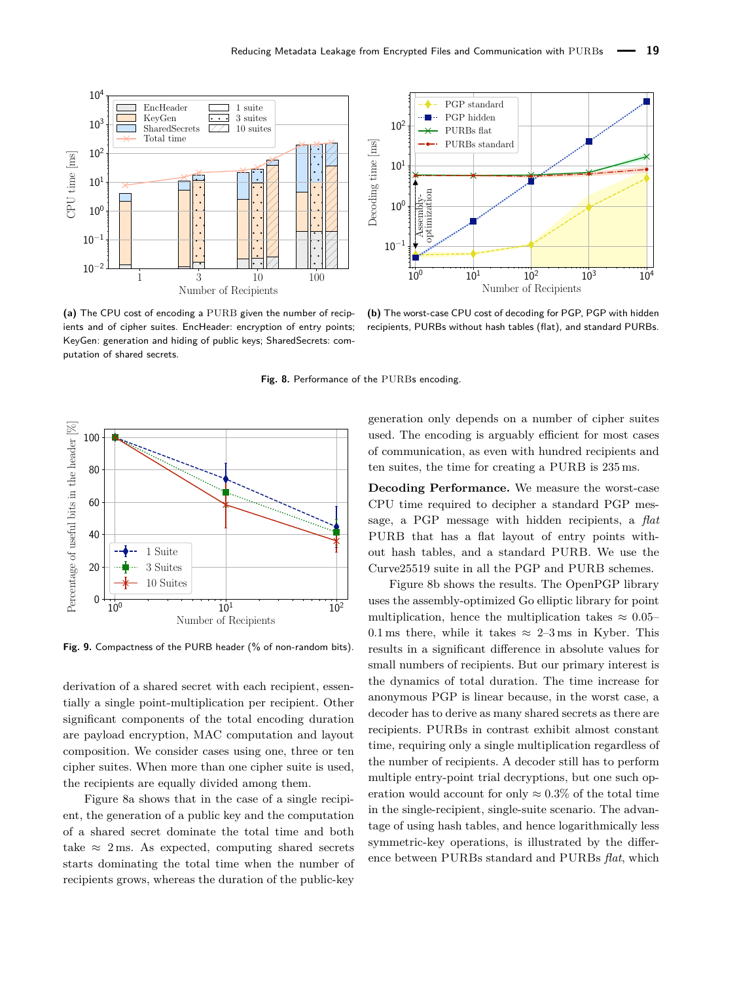<span id="page-13-0"></span>

**(a)** The CPU cost of encoding a PURB given the number of recipients and of cipher suites. EncHeader: encryption of entry points; KeyGen: generation and hiding of public keys; SharedSecrets: computation of shared secrets.

PGP standard PGP hidden  $10<sup>2</sup>$ PURBs flat PURBs standard Decoding time [ms] Decoding time [ms]  $10^{1}$  $\frac{\text{Assembly-}}{\text{optimization}}$  $10^{0}$ 10−<sup>1</sup>  $10^0$   $10^1$   $10^2$   $10^3$   $10^4$ Number of Recipients

**(b)** The worst-case CPU cost of decoding for PGP, PGP with hidden recipients, PURBs without hash tables (flat), and standard PURBs.



<span id="page-13-1"></span>

**Fig. 9.** Compactness of the PURB header (% of non-random bits).

derivation of a shared secret with each recipient, essentially a single point-multiplication per recipient. Other significant components of the total encoding duration are payload encryption, MAC computation and layout composition. We consider cases using one, three or ten cipher suites. When more than one cipher suite is used, the recipients are equally divided among them.

Figure [8a](#page-13-0) shows that in the case of a single recipient, the generation of a public key and the computation of a shared secret dominate the total time and both take  $\approx$  2 ms. As expected, computing shared secrets starts dominating the total time when the number of recipients grows, whereas the duration of the public-key

generation only depends on a number of cipher suites used. The encoding is arguably efficient for most cases of communication, as even with hundred recipients and ten suites, the time for creating a PURB is 235 ms.

**Decoding Performance.** We measure the worst-case CPU time required to decipher a standard PGP message, a PGP message with hidden recipients, a *flat* PURB that has a flat layout of entry points without hash tables, and a standard PURB. We use the Curve25519 suite in all the PGP and PURB schemes.

Figure [8b](#page-13-0) shows the results. The OpenPGP library uses the assembly-optimized Go elliptic library for point multiplication, hence the multiplication takes  $\approx 0.05$ 0.1 ms there, while it takes  $\approx 2-3$  ms in Kyber. This results in a significant difference in absolute values for small numbers of recipients. But our primary interest is the dynamics of total duration. The time increase for anonymous PGP is linear because, in the worst case, a decoder has to derive as many shared secrets as there are recipients. PURBs in contrast exhibit almost constant time, requiring only a single multiplication regardless of the number of recipients. A decoder still has to perform multiple entry-point trial decryptions, but one such operation would account for only  $\approx 0.3\%$  of the total time in the single-recipient, single-suite scenario. The advantage of using hash tables, and hence logarithmically less symmetric-key operations, is illustrated by the difference between PURBs standard and PURBs *flat*, which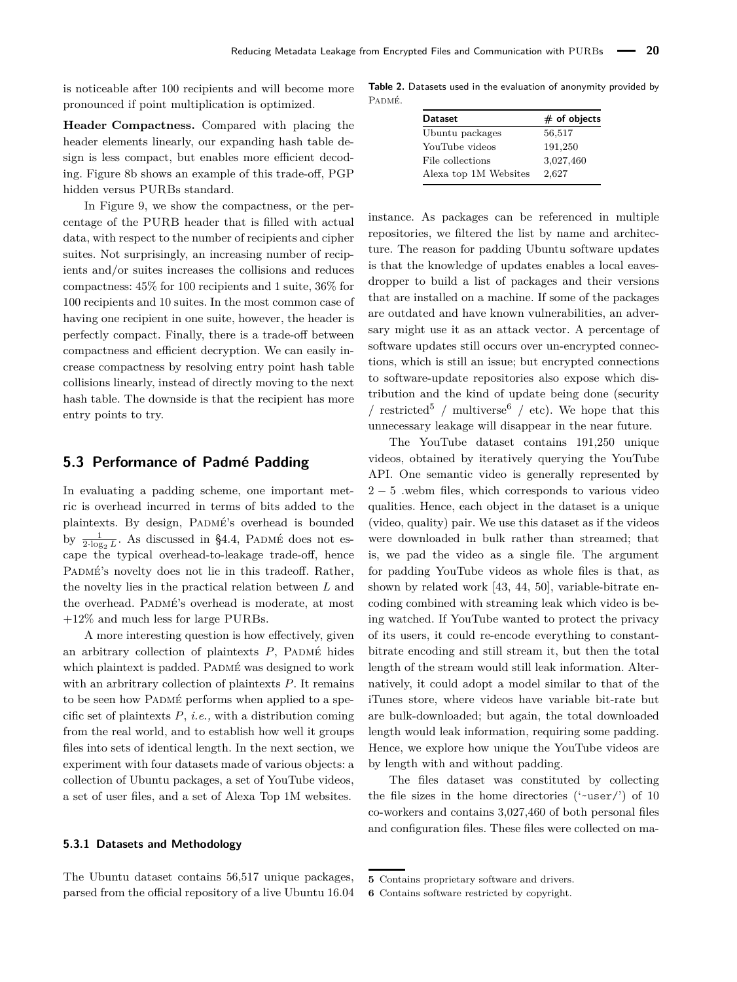is noticeable after 100 recipients and will become more pronounced if point multiplication is optimized.

**Header Compactness.** Compared with placing the header elements linearly, our expanding hash table design is less compact, but enables more efficient decoding. Figure [8b](#page-13-0) shows an example of this trade-off, PGP hidden versus PURBs standard.

In Figure [9,](#page-13-1) we show the compactness, or the percentage of the PURB header that is filled with actual data, with respect to the number of recipients and cipher suites. Not surprisingly, an increasing number of recipients and/or suites increases the collisions and reduces compactness: 45% for 100 recipients and 1 suite, 36% for 100 recipients and 10 suites. In the most common case of having one recipient in one suite, however, the header is perfectly compact. Finally, there is a trade-off between compactness and efficient decryption. We can easily increase compactness by resolving entry point hash table collisions linearly, instead of directly moving to the next hash table. The downside is that the recipient has more entry points to try.

### <span id="page-14-0"></span>**5.3 Performance of Padmé Padding**

In evaluating a padding scheme, one important metric is overhead incurred in terms of bits added to the plaintexts. By design, PADMÉ's overhead is bounded by  $\frac{1}{2 \cdot \log_2 L}$ . As discussed in [§4.4,](#page-10-0) PADMÉ does not escape the typical overhead-to-leakage trade-off, hence PADMÉ's novelty does not lie in this tradeoff. Rather, the novelty lies in the practical relation between *L* and the overhead. PADMÉ's overhead is moderate, at most +12% and much less for large PURBs.

A more interesting question is how effectively, given an arbitrary collection of plaintexts  $P$ , PADMÉ hides which plaintext is padded. PADMÉ was designed to work with an arbritrary collection of plaintexts *P*. It remains to be seen how PADMÉ performs when applied to a specific set of plaintexts *P*, *i.e.,* with a distribution coming from the real world, and to establish how well it groups files into sets of identical length. In the next section, we experiment with four datasets made of various objects: a collection of Ubuntu packages, a set of YouTube videos, a set of user files, and a set of Alexa Top 1M websites.

### **5.3.1 Datasets and Methodology**

The Ubuntu dataset contains 56*,*517 unique packages, parsed from the official repository of a live Ubuntu 16*.*04

**Table 2.** Datasets used in the evaluation of anonymity provided by Padmé.

| <b>Dataset</b>        | $#$ of objects |
|-----------------------|----------------|
| Ubuntu packages       | 56,517         |
| YouTube videos        | 191,250        |
| File collections      | 3,027,460      |
| Alexa top 1M Websites | 2,627          |

instance. As packages can be referenced in multiple repositories, we filtered the list by name and architecture. The reason for padding Ubuntu software updates is that the knowledge of updates enables a local eavesdropper to build a list of packages and their versions that are installed on a machine. If some of the packages are outdated and have known vulnerabilities, an adversary might use it as an attack vector. A percentage of software updates still occurs over un-encrypted connections, which is still an issue; but encrypted connections to software-update repositories also expose which distribution and the kind of update being done (security / restricted<sup>[5](#page-0-0)</sup> / multiverse<sup>[6](#page-0-0)</sup> / etc). We hope that this unnecessary leakage will disappear in the near future.

The YouTube dataset contains 191*,*250 unique videos, obtained by iteratively querying the YouTube API. One semantic video is generally represented by  $2 - 5$  webm files, which corresponds to various video qualities. Hence, each object in the dataset is a unique (video, quality) pair. We use this dataset as if the videos were downloaded in bulk rather than streamed; that is, we pad the video as a single file. The argument for padding YouTube videos as whole files is that, as shown by related work [\[43,](#page-18-5) [44,](#page-18-6) [50\]](#page-19-5), variable-bitrate encoding combined with streaming leak which video is being watched. If YouTube wanted to protect the privacy of its users, it could re-encode everything to constantbitrate encoding and still stream it, but then the total length of the stream would still leak information. Alternatively, it could adopt a model similar to that of the iTunes store, where videos have variable bit-rate but are bulk-downloaded; but again, the total downloaded length would leak information, requiring some padding. Hence, we explore how unique the YouTube videos are by length with and without padding.

The files dataset was constituted by collecting the file sizes in the home directories ('~user/') of 10 co-workers and contains 3*,*027*,*460 of both personal files and configuration files. These files were collected on ma-

**<sup>5</sup>** Contains proprietary software and drivers.

**<sup>6</sup>** Contains software restricted by copyright.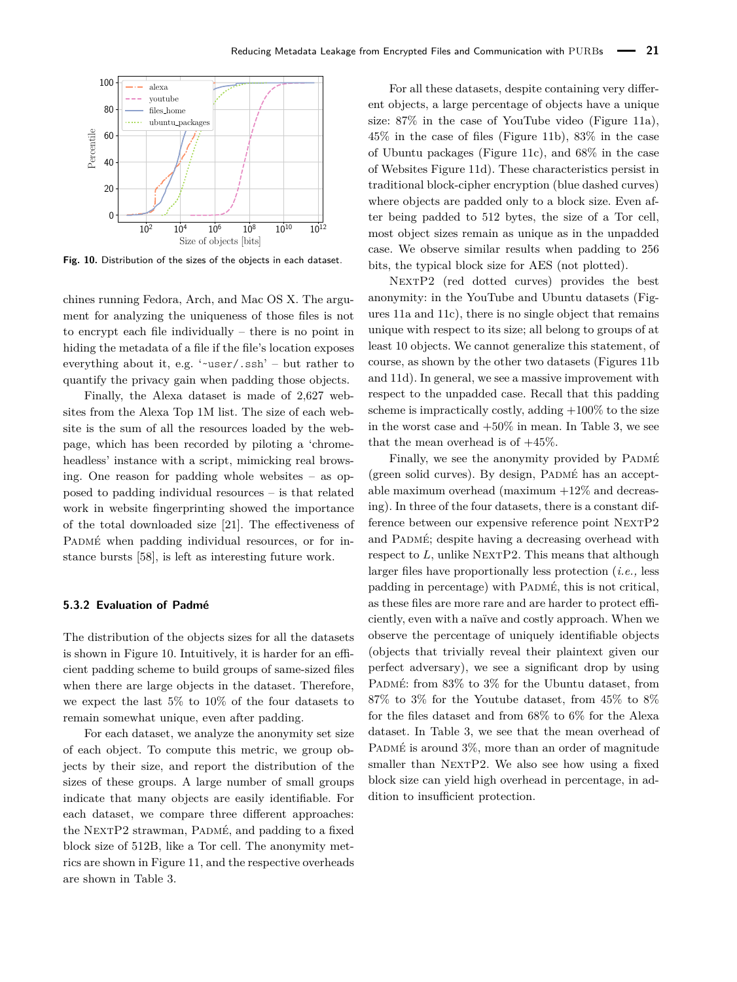<span id="page-15-0"></span>

**Fig. 10.** Distribution of the sizes of the objects in each dataset.

chines running Fedora, Arch, and Mac OS X. The argument for analyzing the uniqueness of those files is not to encrypt each file individually – there is no point in hiding the metadata of a file if the file's location exposes everything about it, e.g. ' $\nu$ user/.ssh' – but rather to quantify the privacy gain when padding those objects.

Finally, the Alexa dataset is made of 2*,*627 websites from the Alexa Top 1M list. The size of each website is the sum of all the resources loaded by the webpage, which has been recorded by piloting a 'chromeheadless' instance with a script, mimicking real browsing. One reason for padding whole websites – as opposed to padding individual resources – is that related work in website fingerprinting showed the importance of the total downloaded size [\[21\]](#page-18-3). The effectiveness of PADMÉ when padding individual resources, or for instance bursts [\[58\]](#page-19-13), is left as interesting future work.

### **5.3.2 Evaluation of Padmé**

The distribution of the objects sizes for all the datasets is shown in Figure [10.](#page-15-0) Intuitively, it is harder for an efficient padding scheme to build groups of same-sized files when there are large objects in the dataset. Therefore, we expect the last 5% to 10% of the four datasets to remain somewhat unique, even after padding.

For each dataset, we analyze the anonymity set size of each object. To compute this metric, we group objects by their size, and report the distribution of the sizes of these groups. A large number of small groups indicate that many objects are easily identifiable. For each dataset, we compare three different approaches: the NEXTP2 strawman, PADMÉ, and padding to a fixed block size of 512B, like a Tor cell. The anonymity metrics are shown in Figure [11,](#page-16-0) and the respective overheads are shown in Table [3.](#page-16-1)

For all these datasets, despite containing very different objects, a large percentage of objects have a unique size: 87% in the case of YouTube video (Figure [11a\)](#page-16-0), 45% in the case of files (Figure [11b\)](#page-16-0), 83% in the case of Ubuntu packages (Figure [11c\)](#page-16-0), and 68% in the case of Websites Figure [11d\)](#page-16-0). These characteristics persist in traditional block-cipher encryption (blue dashed curves) where objects are padded only to a block size. Even after being padded to 512 bytes, the size of a Tor cell, most object sizes remain as unique as in the unpadded case. We observe similar results when padding to 256 bits, the typical block size for AES (not plotted).

NEXTP2 (red dotted curves) provides the best anonymity: in the YouTube and Ubuntu datasets (Figures [11a](#page-16-0) and [11c\)](#page-16-0), there is no single object that remains unique with respect to its size; all belong to groups of at least 10 objects. We cannot generalize this statement, of course, as shown by the other two datasets (Figures [11b](#page-16-0) and [11d\)](#page-16-0). In general, we see a massive improvement with respect to the unpadded case. Recall that this padding scheme is impractically costly, adding  $+100\%$  to the size in the worst case and  $+50\%$  in mean. In Table [3,](#page-16-1) we see that the mean overhead is of  $+45\%$ .

Finally, we see the anonymity provided by PADMÉ (green solid curves). By design, Padmé has an acceptable maximum overhead (maximum  $+12\%$  and decreasing). In three of the four datasets, there is a constant difference between our expensive reference point NEXTP2 and PADMÉ; despite having a decreasing overhead with respect to  $L$ , unlike NEXTP2. This means that although larger files have proportionally less protection (*i.e.,* less padding in percentage) with PADMÉ, this is not critical, as these files are more rare and are harder to protect efficiently, even with a naïve and costly approach. When we observe the percentage of uniquely identifiable objects (objects that trivially reveal their plaintext given our perfect adversary), we see a significant drop by using PADMÉ: from 83% to 3% for the Ubuntu dataset, from 87% to 3% for the Youtube dataset, from 45% to 8% for the files dataset and from 68% to 6% for the Alexa dataset. In Table [3,](#page-16-1) we see that the mean overhead of PADMÉ is around  $3\%$ , more than an order of magnitude smaller than NEXTP2. We also see how using a fixed block size can yield high overhead in percentage, in addition to insufficient protection.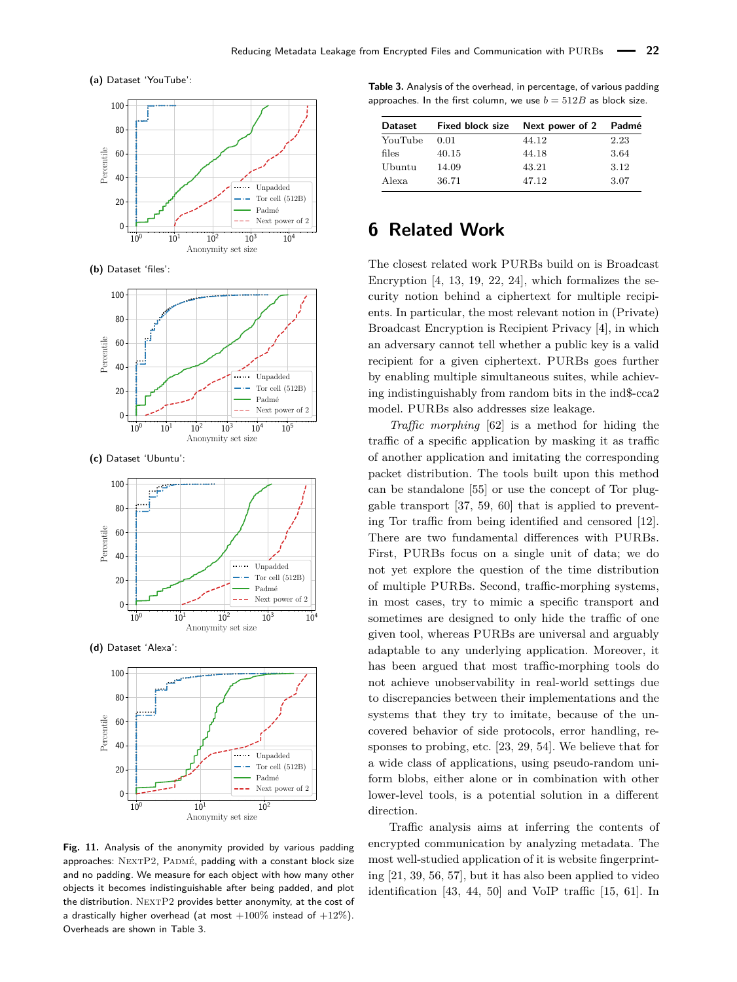<span id="page-16-0"></span>**(a)** Dataset 'YouTube':



**(b)** Dataset 'files':



**(c)** Dataset 'Ubuntu':



**(d)** Dataset 'Alexa':



**Fig. 11.** Analysis of the anonymity provided by various padding approaches: NEXTP2, PADMÉ, padding with a constant block size and no padding. We measure for each object with how many other objects it becomes indistinguishable after being padded, and plot the distribution. NEXTP2 provides better anonymity, at the cost of a drastically higher overhead (at most  $+100\%$  instead of  $+12\%$ ). Overheads are shown in Table [3.](#page-16-1)

<span id="page-16-1"></span>**Table 3.** Analysis of the overhead, in percentage, of various padding approaches. In the first column, we use  $b = 512B$  as block size.

| <b>Dataset</b> | <b>Fixed block size</b> | Next power of 2 | Padmé |
|----------------|-------------------------|-----------------|-------|
| YouTube        | 0.01                    | 44.12           | 2.23  |
| files          | 40.15                   | 44.18           | 3.64  |
| Ubuntu         | 14.09                   | 43.21           | 3.12  |
| Alexa          | 36.71                   | 47.12           | 3.07  |

# **6 Related Work**

The closest related work PURBs build on is Broadcast Encryption [\[4,](#page-17-8) [13,](#page-18-24) [19,](#page-18-25) [22,](#page-18-26) [24\]](#page-18-27), which formalizes the security notion behind a ciphertext for multiple recipients. In particular, the most relevant notion in (Private) Broadcast Encryption is Recipient Privacy [\[4\]](#page-17-8), in which an adversary cannot tell whether a public key is a valid recipient for a given ciphertext. PURBs goes further by enabling multiple simultaneous suites, while achieving indistinguishably from random bits in the ind\$-cca2 model. PURBs also addresses size leakage.

*Traffic morphing* [\[62\]](#page-19-14) is a method for hiding the traffic of a specific application by masking it as traffic of another application and imitating the corresponding packet distribution. The tools built upon this method can be standalone [\[55\]](#page-19-15) or use the concept of Tor pluggable transport [\[37,](#page-18-28) [59,](#page-19-16) [60\]](#page-19-17) that is applied to preventing Tor traffic from being identified and censored [\[12\]](#page-17-11). There are two fundamental differences with PURBs. First, PURBs focus on a single unit of data; we do not yet explore the question of the time distribution of multiple PURBs. Second, traffic-morphing systems, in most cases, try to mimic a specific transport and sometimes are designed to only hide the traffic of one given tool, whereas PURBs are universal and arguably adaptable to any underlying application. Moreover, it has been argued that most traffic-morphing tools do not achieve unobservability in real-world settings due to discrepancies between their implementations and the systems that they try to imitate, because of the uncovered behavior of side protocols, error handling, responses to probing, etc. [\[23,](#page-18-17) [29,](#page-18-18) [54\]](#page-19-18). We believe that for a wide class of applications, using pseudo-random uniform blobs, either alone or in combination with other lower-level tools, is a potential solution in a different direction.

Traffic analysis aims at inferring the contents of encrypted communication by analyzing metadata. The most well-studied application of it is website fingerprinting [\[21,](#page-18-3) [39,](#page-18-4) [56,](#page-19-3) [57\]](#page-19-4), but it has also been applied to video identification [\[43,](#page-18-5) [44,](#page-18-6) [50\]](#page-19-5) and VoIP traffic [\[15,](#page-18-8) [61\]](#page-19-6). In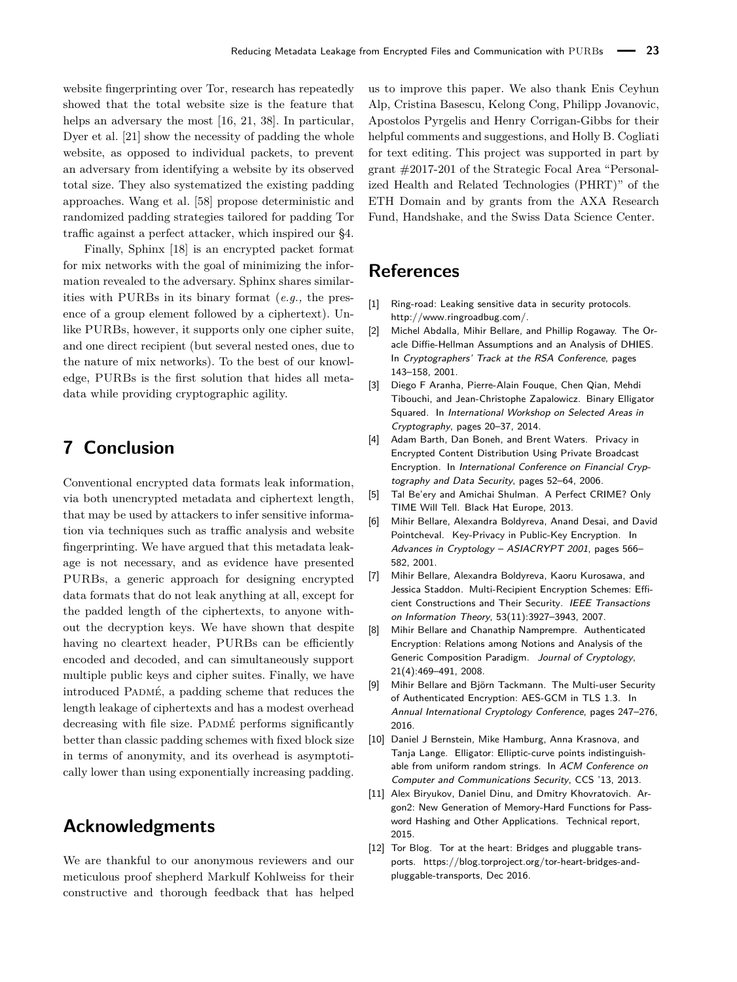website fingerprinting over Tor, research has repeatedly showed that the total website size is the feature that helps an adversary the most [\[16,](#page-18-29) [21,](#page-18-3) [38\]](#page-18-30). In particular, Dyer et al. [\[21\]](#page-18-3) show the necessity of padding the whole website, as opposed to individual packets, to prevent an adversary from identifying a website by its observed total size. They also systematized the existing padding approaches. Wang et al. [\[58\]](#page-19-13) propose deterministic and randomized padding strategies tailored for padding Tor traffic against a perfect attacker, which inspired our [§4.](#page-9-0)

Finally, Sphinx [\[18\]](#page-18-31) is an encrypted packet format for mix networks with the goal of minimizing the information revealed to the adversary. Sphinx shares similarities with PURBs in its binary format (*e.g.,* the presence of a group element followed by a ciphertext). Unlike PURBs, however, it supports only one cipher suite, and one direct recipient (but several nested ones, due to the nature of mix networks). To the best of our knowledge, PURBs is the first solution that hides all metadata while providing cryptographic agility.

# **7 Conclusion**

Conventional encrypted data formats leak information, via both unencrypted metadata and ciphertext length, that may be used by attackers to infer sensitive information via techniques such as traffic analysis and website fingerprinting. We have argued that this metadata leakage is not necessary, and as evidence have presented PURBs, a generic approach for designing encrypted data formats that do not leak anything at all, except for the padded length of the ciphertexts, to anyone without the decryption keys. We have shown that despite having no cleartext header, PURBs can be efficiently encoded and decoded, and can simultaneously support multiple public keys and cipher suites. Finally, we have introduced PADMÉ, a padding scheme that reduces the length leakage of ciphertexts and has a modest overhead decreasing with file size. PADMÉ performs significantly better than classic padding schemes with fixed block size in terms of anonymity, and its overhead is asymptotically lower than using exponentially increasing padding.

# **Acknowledgments**

We are thankful to our anonymous reviewers and our meticulous proof shepherd Markulf Kohlweiss for their constructive and thorough feedback that has helped

us to improve this paper. We also thank Enis Ceyhun Alp, Cristina Basescu, Kelong Cong, Philipp Jovanovic, Apostolos Pyrgelis and Henry Corrigan-Gibbs for their helpful comments and suggestions, and Holly B. Cogliati for text editing. This project was supported in part by grant #2017-201 of the Strategic Focal Area "Personalized Health and Related Technologies (PHRT)" of the ETH Domain and by grants from the AXA Research Fund, Handshake, and the Swiss Data Science Center.

# **References**

- <span id="page-17-1"></span>[1] Ring-road: Leaking sensitive data in security protocols. [http://www.ringroadbug.com/.](http://www.ringroadbug.com/)
- <span id="page-17-2"></span>[2] Michel Abdalla, Mihir Bellare, and Phillip Rogaway. [The Or](http://web.cs.ucdavis.edu/~rogaway/papers/dhies.pdf)[acle Diffie-Hellman Assumptions and an Analysis of DHIES.](http://web.cs.ucdavis.edu/~rogaway/papers/dhies.pdf) In Cryptographers' Track at the RSA Conference, pages 143–158, 2001.
- <span id="page-17-6"></span>[3] Diego F Aranha, Pierre-Alain Fouque, Chen Qian, Mehdi Tibouchi, and Jean-Christophe Zapalowicz. [Binary Elligator](https://eprint.iacr.org/2014/486.pdf) [Squared.](https://eprint.iacr.org/2014/486.pdf) In International Workshop on Selected Areas in Cryptography, pages 20–37, 2014.
- <span id="page-17-8"></span>[4] Adam Barth, Dan Boneh, and Brent Waters. [Privacy in](https://www.cs.utexas.edu/~bwaters/publications/papers/privatebe.pdf) [Encrypted Content Distribution Using Private Broadcast](https://www.cs.utexas.edu/~bwaters/publications/papers/privatebe.pdf) [Encryption.](https://www.cs.utexas.edu/~bwaters/publications/papers/privatebe.pdf) In International Conference on Financial Cryptography and Data Security, pages 52–64, 2006.
- <span id="page-17-0"></span>[5] Tal Be'ery and Amichai Shulman. [A Perfect CRIME? Only](https://media.blackhat.com/eu-13/briefings/Beery/bh-eu-13-a-perfect-crime-beery-wp.pdf) [TIME Will Tell.](https://media.blackhat.com/eu-13/briefings/Beery/bh-eu-13-a-perfect-crime-beery-wp.pdf) Black Hat Europe, 2013.
- <span id="page-17-9"></span>[6] Mihir Bellare, Alexandra Boldyreva, Anand Desai, and David Pointcheval. [Key-Privacy in Public-Key Encryption.](https://iacr.org/archive/asiacrypt2001/22480568.pdf) In Advances in Cryptology – ASIACRYPT 2001, pages 566– 582, 2001.
- <span id="page-17-3"></span>[7] Mihir Bellare, Alexandra Boldyreva, Kaoru Kurosawa, and Jessica Staddon. [Multi-Recipient Encryption Schemes: Effi](https://www.cc.gatech.edu/~aboldyre/papers/bbks.pdf)[cient Constructions and Their Security.](https://www.cc.gatech.edu/~aboldyre/papers/bbks.pdf) IEEE Transactions on Information Theory, 53(11):3927–3943, 2007.
- <span id="page-17-4"></span>[8] Mihir Bellare and Chanathip Namprempre. [Authenticated](https://eprint.iacr.org/2000/025.pdf) [Encryption: Relations among Notions and Analysis of the](https://eprint.iacr.org/2000/025.pdf) [Generic Composition Paradigm.](https://eprint.iacr.org/2000/025.pdf) Journal of Cryptology, 21(4):469–491, 2008.
- <span id="page-17-10"></span>[9] Mihir Bellare and Björn Tackmann. [The Multi-user Security](https://www.iacr.org/archive/crypto2016/98140241/98140241.pdf) [of Authenticated Encryption: AES-GCM in TLS 1.3.](https://www.iacr.org/archive/crypto2016/98140241/98140241.pdf) In Annual International Cryptology Conference, pages 247–276, 2016.
- <span id="page-17-5"></span>[10] Daniel J Bernstein, Mike Hamburg, Anna Krasnova, and Tanja Lange. [Elligator: Elliptic-curve points indistinguish](https://elligator.cr.yp.to/elligator-20130828.pdf)[able from uniform random strings.](https://elligator.cr.yp.to/elligator-20130828.pdf) In ACM Conference on Computer and Communications Security, CCS '13, 2013.
- <span id="page-17-7"></span>[11] Alex Biryukov, Daniel Dinu, and Dmitry Khovratovich. [Ar](https://password-hashing.net/argon2-specs.pdf)[gon2: New Generation of Memory-Hard Functions for Pass](https://password-hashing.net/argon2-specs.pdf)[word Hashing and Other Applications.](https://password-hashing.net/argon2-specs.pdf) Technical report, 2015.
- <span id="page-17-11"></span>[12] Tor Blog. Tor at the heart: Bridges and pluggable transports. [https://blog.torproject.org/tor-heart-bridges-and](https://blog.torproject.org/tor-heart-bridges-and-pluggable-transports)[pluggable-transports,](https://blog.torproject.org/tor-heart-bridges-and-pluggable-transports) Dec 2016.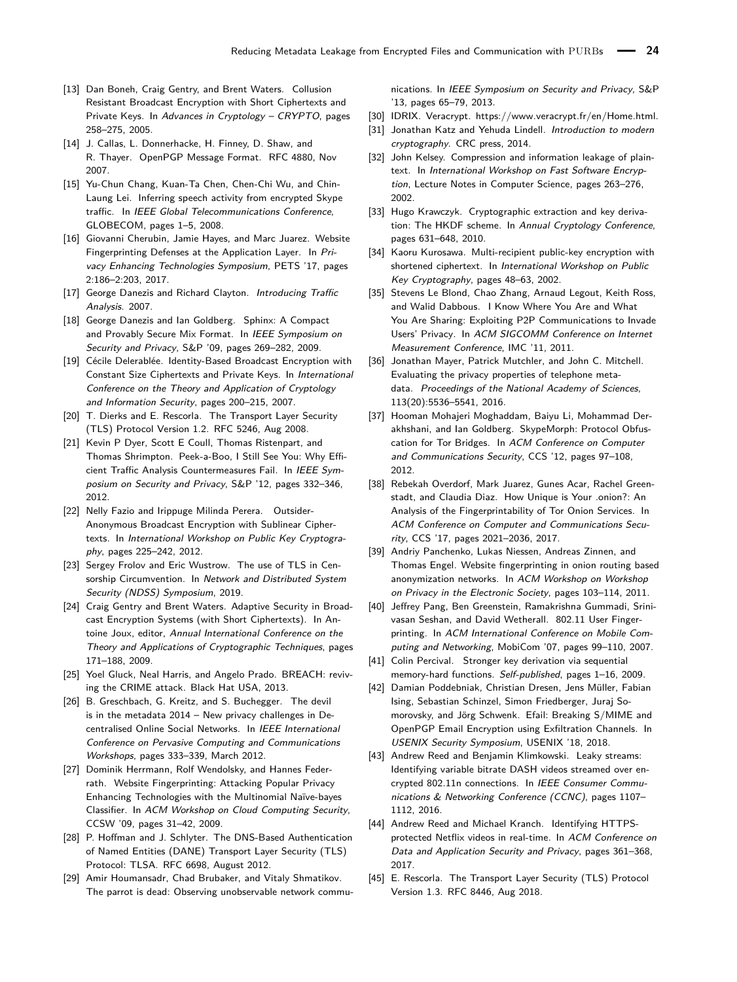- <span id="page-18-24"></span>[13] Dan Boneh, Craig Gentry, and Brent Waters. [Collusion](https://iacr.org/archive/crypto2005/36210252/36210252.pdf) [Resistant Broadcast Encryption with Short Ciphertexts and](https://iacr.org/archive/crypto2005/36210252/36210252.pdf) [Private Keys.](https://iacr.org/archive/crypto2005/36210252/36210252.pdf) In Advances in Cryptology – CRYPTO, pages 258–275, 2005.
- <span id="page-18-15"></span>[14] J. Callas, L. Donnerhacke, H. Finney, D. Shaw, and R. Thayer. [OpenPGP Message Format.](https://tools.ietf.org/html/rfc4880) RFC 4880, Nov 2007.
- <span id="page-18-8"></span>[15] Yu-Chun Chang, Kuan-Ta Chen, Chen-Chi Wu, and Chin-Laung Lei. [Inferring speech activity from encrypted Skype](http://dirl.iis.sinica.edu.tw/pub/chang08_speech.pdf) [traffic.](http://dirl.iis.sinica.edu.tw/pub/chang08_speech.pdf) In IEEE Global Telecommunications Conference, GLOBECOM, pages 1–5, 2008.
- <span id="page-18-29"></span>[16] Giovanni Cherubin, Jamie Hayes, and Marc Juarez. [Website](https://petsymposium.org/2017/papers/issue2/paper54-2017-2-source.pdf) [Fingerprinting Defenses at the Application Layer.](https://petsymposium.org/2017/papers/issue2/paper54-2017-2-source.pdf) In Privacy Enhancing Technologies Symposium, PETS '17, pages 2:186–2:203, 2017.
- <span id="page-18-2"></span>[17] George Danezis and Richard Clayton. [Introducing Traffic](https://www.cl.cam.ac.uk/~rnc1/TAIntro-book.pdf) [Analysis](https://www.cl.cam.ac.uk/~rnc1/TAIntro-book.pdf). 2007.
- <span id="page-18-31"></span>[18] George Danezis and Ian Goldberg. [Sphinx: A Compact](https://cypherpunks.ca/~iang/pubs/Sphinx_Oakland09.pdf) [and Provably Secure Mix Format.](https://cypherpunks.ca/~iang/pubs/Sphinx_Oakland09.pdf) In IEEE Symposium on Security and Privacy, S&P '09, pages 269–282, 2009.
- <span id="page-18-25"></span>[19] Cécile Delerablée. [Identity-Based Broadcast Encryption with](https://www.iacr.org/archive/asiacrypt2007/48330198/48330198.pdf) [Constant Size Ciphertexts and Private Keys.](https://www.iacr.org/archive/asiacrypt2007/48330198/48330198.pdf) In International Conference on the Theory and Application of Cryptology and Information Security, pages 200–215, 2007.
- <span id="page-18-16"></span>[20] T. Dierks and E. Rescorla. [The Transport Layer Security](https://tools.ietf.org/html/rfc5246) [\(TLS\) Protocol Version 1.2.](https://tools.ietf.org/html/rfc5246) RFC 5246, Aug 2008.
- <span id="page-18-3"></span>[21] Kevin P Dyer, Scott E Coull, Thomas Ristenpart, and Thomas Shrimpton. [Peek-a-Boo, I Still See You: Why Effi](https://kpdyer.com/publications/oakland2012-peekaboo.pdf)[cient Traffic Analysis Countermeasures Fail.](https://kpdyer.com/publications/oakland2012-peekaboo.pdf) In IEEE Symposium on Security and Privacy, S&P '12, pages 332–346, 2012.
- <span id="page-18-26"></span>[22] Nelly Fazio and Irippuge Milinda Perera. [Outsider-](https://www.milinda-perera.com/pdf/FaPe12a.pdf)[Anonymous Broadcast Encryption with Sublinear Cipher](https://www.milinda-perera.com/pdf/FaPe12a.pdf)[texts.](https://www.milinda-perera.com/pdf/FaPe12a.pdf) In International Workshop on Public Key Cryptography, pages 225–242, 2012.
- <span id="page-18-17"></span>[23] Sergey Frolov and Eric Wustrow. [The use of TLS in Cen](https://www.ndss-symposium.org/wp-content/uploads/2019/02/ndss2019_03B-2-1_Frolov_paper.pdf)[sorship Circumvention.](https://www.ndss-symposium.org/wp-content/uploads/2019/02/ndss2019_03B-2-1_Frolov_paper.pdf) In Network and Distributed System Security (NDSS) Symposium, 2019.
- <span id="page-18-27"></span>[24] Craig Gentry and Brent Waters. [Adaptive Security in Broad](https://eprint.iacr.org/2008/268.pdf)[cast Encryption Systems \(with Short Ciphertexts\).](https://eprint.iacr.org/2008/268.pdf) In Antoine Joux, editor, Annual International Conference on the Theory and Applications of Cryptographic Techniques, pages 171–188, 2009.
- <span id="page-18-10"></span>[25] Yoel Gluck, Neal Harris, and Angelo Prado. [BREACH: reviv](http://breachattack.com/resources/BREACH%20-%20SSL,%20gone%20in%2030%20seconds.pdf)[ing the CRIME attack.](http://breachattack.com/resources/BREACH%20-%20SSL,%20gone%20in%2030%20seconds.pdf) Black Hat USA, 2013.
- <span id="page-18-11"></span>[26] B. Greschbach, G. Kreitz, and S. Buchegger. [The devil](https://pdfs.semanticscholar.org/a334/35bb523e314c3bc250368c07acaaef3e9bce.pdf) [is in the metadata 2014 – New privacy challenges in De](https://pdfs.semanticscholar.org/a334/35bb523e314c3bc250368c07acaaef3e9bce.pdf)[centralised Online Social Networks.](https://pdfs.semanticscholar.org/a334/35bb523e314c3bc250368c07acaaef3e9bce.pdf) In IEEE International Conference on Pervasive Computing and Communications Workshops, pages 333–339, March 2012.
- <span id="page-18-13"></span>[27] Dominik Herrmann, Rolf Wendolsky, and Hannes Federrath. [Website Fingerprinting: Attacking Popular Privacy](http://www.cs.jhu.edu/~sdoshi/jhuisi650/papers/spimacs/SPIMACS_CD/ccsw/p31.pdf) [Enhancing Technologies with the Multinomial Naïve-bayes](http://www.cs.jhu.edu/~sdoshi/jhuisi650/papers/spimacs/SPIMACS_CD/ccsw/p31.pdf) [Classifier.](http://www.cs.jhu.edu/~sdoshi/jhuisi650/papers/spimacs/SPIMACS_CD/ccsw/p31.pdf) In ACM Workshop on Cloud Computing Security, CCSW '09, pages 31–42, 2009.
- <span id="page-18-19"></span>[28] P. Hoffman and J. Schlyter. [The DNS-Based Authentication](https://tools.ietf.org/html/rfc6698) [of Named Entities \(DANE\) Transport Layer Security \(TLS\)](https://tools.ietf.org/html/rfc6698) [Protocol: TLSA.](https://tools.ietf.org/html/rfc6698) RFC 6698, August 2012.
- <span id="page-18-18"></span>[29] Amir Houmansadr, Chad Brubaker, and Vitaly Shmatikov. [The parrot is dead: Observing unobservable network commu-](https://www.cs.cornell.edu/~shmat/shmat_oak13parrot.pdf)

[nications.](https://www.cs.cornell.edu/~shmat/shmat_oak13parrot.pdf) In IEEE Symposium on Security and Privacy, S&P '13, pages 65–79, 2013.

- <span id="page-18-20"></span>[30] IDRIX. Veracrypt. [https://www.veracrypt.fr/en/Home.html.](https://www.veracrypt.fr/en/Home.html)
- <span id="page-18-32"></span>[31] Jonathan Katz and Yehuda Lindell. Introduction to modern cryptography. CRC press, 2014.
- <span id="page-18-9"></span>[32] John Kelsey. [Compression and information leakage of plain](https://www.iacr.org/cryptodb/archive/2002/FSE/3091/3091.pdf)[text.](https://www.iacr.org/cryptodb/archive/2002/FSE/3091/3091.pdf) In International Workshop on Fast Software Encryption, Lecture Notes in Computer Science, pages 263–276, 2002.
- <span id="page-18-21"></span>[33] Hugo Krawczyk. [Cryptographic extraction and key deriva](https://www.iacr.org/archive/crypto2010/62230625/62230625.pdf)[tion: The HKDF scheme.](https://www.iacr.org/archive/crypto2010/62230625/62230625.pdf) In Annual Cryptology Conference, pages 631–648, 2010.
- <span id="page-18-14"></span>[34] Kaoru Kurosawa. [Multi-recipient public-key encryption with](#page-0-0) [shortened ciphertext.](#page-0-0) In International Workshop on Public Key Cryptography, pages 48–63, 2002.
- <span id="page-18-7"></span>[35] Stevens Le Blond, Chao Zhang, Arnaud Legout, Keith Ross, and Walid Dabbous. [I Know Where You Are and What](https://conferences.sigcomm.org/imc/2011/docs/p45.pdf) [You Are Sharing: Exploiting P2P Communications to Invade](https://conferences.sigcomm.org/imc/2011/docs/p45.pdf) [Users' Privacy.](https://conferences.sigcomm.org/imc/2011/docs/p45.pdf) In ACM SIGCOMM Conference on Internet Measurement Conference, IMC '11, 2011.
- <span id="page-18-12"></span>[36] Jonathan Mayer, Patrick Mutchler, and John C. Mitchell. [Evaluating the privacy properties of telephone meta](http://www.pnas.org/content/113/20/5536)[data.](http://www.pnas.org/content/113/20/5536) Proceedings of the National Academy of Sciences, 113(20):5536–5541, 2016.
- <span id="page-18-28"></span>[37] Hooman Mohajeri Moghaddam, Baiyu Li, Mohammad Derakhshani, and Ian Goldberg. [SkypeMorph: Protocol Obfus](http://cacr.uwaterloo.ca/techreports/2012/cacr2012-08.pdf)[cation for Tor Bridges.](http://cacr.uwaterloo.ca/techreports/2012/cacr2012-08.pdf) In ACM Conference on Computer and Communications Security, CCS '12, pages 97–108, 2012.
- <span id="page-18-30"></span>[38] Rebekah Overdorf, Mark Juarez, Gunes Acar, Rachel Greenstadt, and Claudia Diaz. [How Unique is Your .onion?: An](https://www.esat.kuleuven.be/cosic/publications/article-2776.pdf) [Analysis of the Fingerprintability of Tor Onion Services.](https://www.esat.kuleuven.be/cosic/publications/article-2776.pdf) In ACM Conference on Computer and Communications Security, CCS '17, pages 2021–2036, 2017.
- <span id="page-18-4"></span>[39] Andriy Panchenko, Lukas Niessen, Andreas Zinnen, and Thomas Engel. [Website fingerprinting in onion routing based](https://anonymous-proxy-servers.net/paper/wpes11-panchenko.pdf) [anonymization networks.](https://anonymous-proxy-servers.net/paper/wpes11-panchenko.pdf) In ACM Workshop on Workshop on Privacy in the Electronic Society, pages 103–114, 2011.
- <span id="page-18-1"></span>[40] Jeffrey Pang, Ben Greenstein, Ramakrishna Gummadi, Srinivasan Seshan, and David Wetherall. [802.11 User Finger](http://www.cs.yale.edu/homes/ramki/mobicom07.pdf)[printing.](http://www.cs.yale.edu/homes/ramki/mobicom07.pdf) In ACM International Conference on Mobile Computing and Networking, MobiCom '07, pages 99–110, 2007.
- <span id="page-18-22"></span>[41] Colin Percival. [Stronger key derivation via sequential](http://www.bsdcan.org/2009/schedule/attachments/87_scrypt.pdf) [memory-hard functions.](http://www.bsdcan.org/2009/schedule/attachments/87_scrypt.pdf) Self-published, pages 1–16, 2009.
- <span id="page-18-23"></span>[42] Damian Poddebniak, Christian Dresen, Jens Müller, Fabian Ising, Sebastian Schinzel, Simon Friedberger, Juraj Somorovsky, and Jörg Schwenk. [Efail: Breaking S/MIME and](https://efail.de/efail-attack-paper.pdf) [OpenPGP Email Encryption using Exfiltration Channels.](https://efail.de/efail-attack-paper.pdf) In USENIX Security Symposium, USENIX '18, 2018.
- <span id="page-18-5"></span>[43] Andrew Reed and Benjamin Klimkowski. [Leaky streams:](http://andrewreed.io/pubs/CCNC2016_Reed_Klimkowski_Identifying_VBR_DASH.pdf) [Identifying variable bitrate DASH videos streamed over en](http://andrewreed.io/pubs/CCNC2016_Reed_Klimkowski_Identifying_VBR_DASH.pdf)[crypted 802.11n connections.](http://andrewreed.io/pubs/CCNC2016_Reed_Klimkowski_Identifying_VBR_DASH.pdf) In IEEE Consumer Communications & Networking Conference (CCNC), pages 1107– 1112, 2016.
- <span id="page-18-6"></span>[44] Andrew Reed and Michael Kranch. [Identifying HTTPS](http://andrewreed.io/pubs/CODASPY2017_Reed_Kranch_Identifying_HTTPS_Netflix.pdf)[protected Netflix videos in real-time.](http://andrewreed.io/pubs/CODASPY2017_Reed_Kranch_Identifying_HTTPS_Netflix.pdf) In ACM Conference on Data and Application Security and Privacy, pages 361–368, 2017.
- <span id="page-18-0"></span>[45] E. Rescorla. [The Transport Layer Security \(TLS\) Protocol](https://tools.ietf.org/html/rfc8446) [Version 1.3.](https://tools.ietf.org/html/rfc8446) RFC 8446, Aug 2018.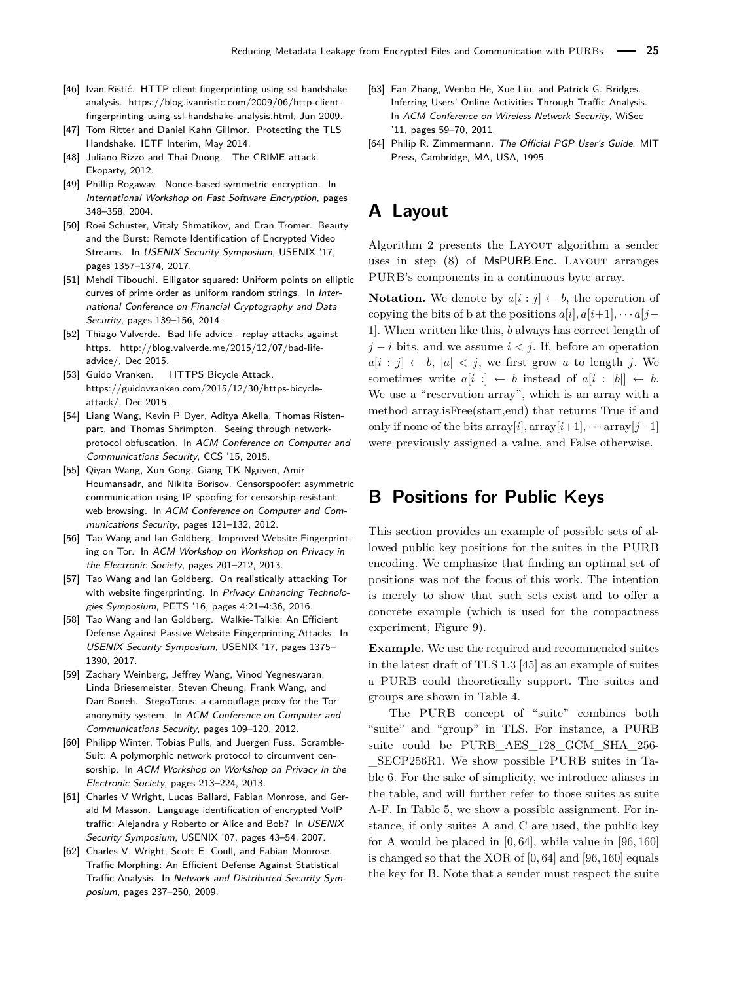- <span id="page-19-9"></span>[46] Ivan Ristić. HTTP client fingerprinting using ssl handshake analysis. [https://blog.ivanristic.com/2009/06/http-client](https://blog.ivanristic.com/2009/06/http-client-fingerprinting-using-ssl-handshake-analysis.html)[fingerprinting-using-ssl-handshake-analysis.html,](https://blog.ivanristic.com/2009/06/http-client-fingerprinting-using-ssl-handshake-analysis.html) Jun 2009.
- <span id="page-19-10"></span>[47] Tom Ritter and Daniel Kahn Gillmor. [Protecting the TLS](https://datatracker.ietf.org/meeting/interim-2014-tls-01/materials/slides-interim-2014-tls-1-3) [Handshake.](https://datatracker.ietf.org/meeting/interim-2014-tls-01/materials/slides-interim-2014-tls-1-3) IETF Interim, May 2014.
- <span id="page-19-7"></span>[48] Juliano Rizzo and Thai Duong. [The CRIME attack.](https://docs.google.com/presentation/d/11eBmGiHbYcHR9gL5nDyZChu_-lCa2GizeuOfaLU2HOU) Ekoparty, 2012.
- <span id="page-19-19"></span>[49] Phillip Rogaway. [Nonce-based symmetric encryption.](https://iacr.org/archive/fse2004/30170349/30170349.pdf) In International Workshop on Fast Software Encryption, pages 348–358, 2004.
- <span id="page-19-5"></span>[50] Roei Schuster, Vitaly Shmatikov, and Eran Tromer. [Beauty](https://www.usenix.org/conference/usenixsecurity17/technical-sessions/presentation/schuster) [and the Burst: Remote Identification of Encrypted Video](https://www.usenix.org/conference/usenixsecurity17/technical-sessions/presentation/schuster) [Streams.](https://www.usenix.org/conference/usenixsecurity17/technical-sessions/presentation/schuster) In USENIX Security Symposium, USENIX '17, pages 1357–1374, 2017.
- <span id="page-19-11"></span>[51] Mehdi Tibouchi. [Elligator squared: Uniform points on elliptic](https://eprint.iacr.org/2014/043.pdf) [curves of prime order as uniform random strings.](https://eprint.iacr.org/2014/043.pdf) In International Conference on Financial Cryptography and Data Security, pages 139–156, 2014.
- <span id="page-19-1"></span>[52] Thiago Valverde. Bad life advice - replay attacks against https. [http://blog.valverde.me/2015/12/07/bad-life](http://blog.valverde.me/2015/12/07/bad-life-advice/)[advice/,](http://blog.valverde.me/2015/12/07/bad-life-advice/) Dec 2015.
- <span id="page-19-8"></span>[53] Guido Vranken. HTTPS Bicycle Attack. [https://guidovranken.com/2015/12/30/https-bicycle](https://guidovranken.com/2015/12/30/https-bicycle-attack/)[attack/,](https://guidovranken.com/2015/12/30/https-bicycle-attack/) Dec 2015.
- <span id="page-19-18"></span>[54] Liang Wang, Kevin P Dyer, Aditya Akella, Thomas Ristenpart, and Thomas Shrimpton. [Seeing through network](https://kpdyer.com/publications/ccs2015-measurement.pdf)[protocol obfuscation.](https://kpdyer.com/publications/ccs2015-measurement.pdf) In ACM Conference on Computer and Communications Security, CCS '15, 2015.
- <span id="page-19-15"></span>[55] Qiyan Wang, Xun Gong, Giang TK Nguyen, Amir Houmansadr, and Nikita Borisov. [Censorspoofer: asymmetric](http://www.cs.wichita.edu/~jadliwala/CS898AB/classpapers/week4/censorspoofer.pdf) [communication using IP spoofing for censorship-resistant](http://www.cs.wichita.edu/~jadliwala/CS898AB/classpapers/week4/censorspoofer.pdf) [web browsing.](http://www.cs.wichita.edu/~jadliwala/CS898AB/classpapers/week4/censorspoofer.pdf) In ACM Conference on Computer and Communications Security, pages 121–132, 2012.
- <span id="page-19-3"></span>[56] Tao Wang and Ian Goldberg. [Improved Website Fingerprint](https://www.cypherpunks.ca/~iang/pubs/webfingerprint-wpes.pdf)[ing on Tor.](https://www.cypherpunks.ca/~iang/pubs/webfingerprint-wpes.pdf) In ACM Workshop on Workshop on Privacy in the Electronic Society, pages 201–212, 2013.
- <span id="page-19-4"></span>[57] Tao Wang and Ian Goldberg. [On realistically attacking Tor](https://www.degruyter.com/downloadpdf/j/popets.2016.2016.issue-4/popets-2016-0027/popets-2016-0027.pdf) [with website fingerprinting.](https://www.degruyter.com/downloadpdf/j/popets.2016.2016.issue-4/popets-2016-0027/popets-2016-0027.pdf) In Privacy Enhancing Technologies Symposium, PETS '16, pages 4:21–4:36, 2016.
- <span id="page-19-13"></span>[58] Tao Wang and Ian Goldberg. [Walkie-Talkie: An Efficient](https://www.usenix.org/system/files/conference/usenixsecurity17/sec17-wang-tao.pdf) [Defense Against Passive Website Fingerprinting Attacks.](https://www.usenix.org/system/files/conference/usenixsecurity17/sec17-wang-tao.pdf) In USENIX Security Symposium, USENIX '17, pages 1375– 1390, 2017.
- <span id="page-19-16"></span>[59] Zachary Weinberg, Jeffrey Wang, Vinod Yegneswaran, Linda Briesemeister, Steven Cheung, Frank Wang, and Dan Boneh. [StegoTorus: a camouflage proxy for the Tor](http://citeseerx.ist.psu.edu/viewdoc/download?doi=10.1.1.722.6473&rep=rep1&type=pdf) [anonymity system.](http://citeseerx.ist.psu.edu/viewdoc/download?doi=10.1.1.722.6473&rep=rep1&type=pdf) In ACM Conference on Computer and Communications Security, pages 109–120, 2012.
- <span id="page-19-17"></span>[60] Philipp Winter, Tobias Pulls, and Juergen Fuss. [Scramble-](http://citeseerx.ist.psu.edu/viewdoc/download?doi=10.1.1.436.2629&rep=rep1&type=pdf)[Suit: A polymorphic network protocol to circumvent cen](http://citeseerx.ist.psu.edu/viewdoc/download?doi=10.1.1.436.2629&rep=rep1&type=pdf)[sorship.](http://citeseerx.ist.psu.edu/viewdoc/download?doi=10.1.1.436.2629&rep=rep1&type=pdf) In ACM Workshop on Workshop on Privacy in the Electronic Society, pages 213–224, 2013.
- <span id="page-19-6"></span>[61] Charles V Wright, Lucas Ballard, Fabian Monrose, and Gerald M Masson. [Language identification of encrypted VoIP](https://www.usenix.org/legacy/events/sec07/tech/full_papers/wright/wright.pdf) [traffic: Alejandra y Roberto or Alice and Bob?](https://www.usenix.org/legacy/events/sec07/tech/full_papers/wright/wright.pdf) In USENIX Security Symposium, USENIX '07, pages 43–54, 2007.
- <span id="page-19-14"></span>[62] Charles V. Wright, Scott E. Coull, and Fabian Monrose. [Traffic Morphing: An Efficient Defense Against Statistical](http://wp.internetsociety.org/ndss/wp-content/uploads/sites/25/2017/09/wright.pdf) [Traffic Analysis.](http://wp.internetsociety.org/ndss/wp-content/uploads/sites/25/2017/09/wright.pdf) In Network and Distributed Security Symposium, pages 237–250, 2009.
- <span id="page-19-2"></span>[63] Fan Zhang, Wenbo He, Xue Liu, and Patrick G. Bridges. [Inferring Users' Online Activities Through Traffic Analysis.](http://www.math.unipd.it/~conti/teaching/CNS1415/atpapers/Profiling/profiling.pdf) In ACM Conference on Wireless Network Security, WiSec '11, pages 59–70, 2011.
- <span id="page-19-0"></span>[64] Philip R. Zimmermann. The Official PGP User's Guide. MIT Press, Cambridge, MA, USA, 1995.

# **A Layout**

Algorithm [2](#page-20-0) presents the LAYOUT algorithm a sender uses in step  $(8)$  of MsPURB. Enc. LAYOUT arranges PURB's components in a continuous byte array.

**Notation.** We denote by  $a[i : j] \leftarrow b$ , the operation of copying the bits of b at the positions  $a[i], a[i+1], \cdots a[j-1]$ 1]. When written like this, *b* always has correct length of  $j - i$  bits, and we assume  $i < j$ . If, before an operation  $a[i : j] \leftarrow b$ ,  $|a| < j$ , we first grow *a* to length *j*. We sometimes write  $a[i] \leftarrow b$  instead of  $a[i] \leftarrow b$ . We use a "reservation array", which is an array with a method array.isFree(start,end) that returns True if and only if none of the bits array[*i*], array[*i*+1],  $\cdots$  array[*j*−1] were previously assigned a value, and False otherwise.

# <span id="page-19-12"></span>**B Positions for Public Keys**

This section provides an example of possible sets of allowed public key positions for the suites in the PURB encoding. We emphasize that finding an optimal set of positions was not the focus of this work. The intention is merely to show that such sets exist and to offer a concrete example (which is used for the compactness experiment, Figure [9\)](#page-13-1).

**Example.** We use the required and recommended suites in the latest draft of TLS 1.3 [\[45\]](#page-18-0) as an example of suites a PURB could theoretically support. The suites and groups are shown in Table [4.](#page-21-0)

The PURB concept of "suite" combines both "suite" and "group" in TLS. For instance, a PURB suite could be PURB\_AES\_128\_GCM\_SHA\_256- \_SECP256R1. We show possible PURB suites in Table [6.](#page-22-0) For the sake of simplicity, we introduce aliases in the table, and will further refer to those suites as suite A-F. In Table [5,](#page-21-1) we show a possible assignment. For instance, if only suites A and C are used, the public key for A would be placed in [0*,* 64], while value in [96*,* 160] is changed so that the XOR of [0*,* 64] and [96*,* 160] equals the key for B. Note that a sender must respect the suite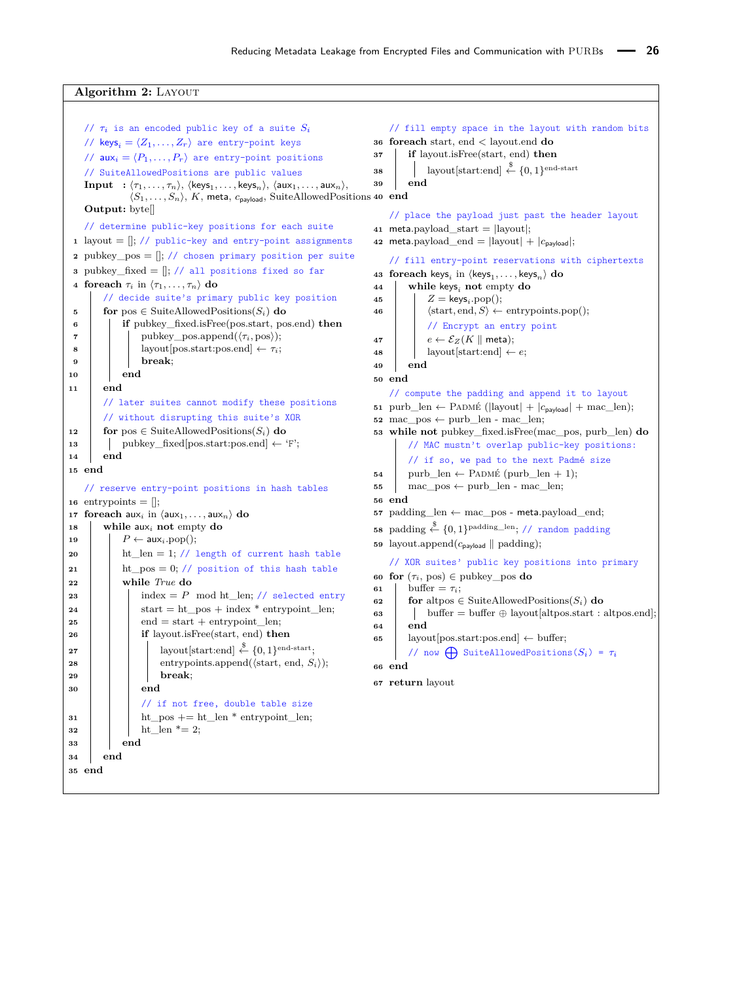### **Algorithm 2:** Layout

```
\frac{1}{\pi} is an encoded public key of a suite S_i// keys_i = \langle Z_1, \ldots, Z_r \rangle are entry-point keys
    // aux_i = \langle P_1, \ldots, P_r \rangle are entry-point positions
    // SuiteAllowedPositions are public values
    \textbf{Input} \rightarrow {\langle} \tau_1, \ldots, \tau_n {\rangle}, \text{ } \langle \textsf{keys}_1, \ldots, \textsf{keys}_n {\rangle}, \text{ } \langle \textsf{aux}_1, \ldots, \textsf{aux}_n {\rangle},\langle S_1, \ldots, S_n \rangle, K, meta, c<sub>payload</sub>, SuiteAllowedPositions 40 end
    Output: byte[]
    // determine public-key positions for each suite
 1 layout = \left\| \frac{1}{2} \right\} // public-key and entry-point assignments
 2 pubkey_pos = \left\| \cdot \right\| // chosen primary position per suite
 3 pubkey_fixed = []; // all positions fixed so far
4 foreach \tau_i in \langle \tau_1, \ldots, \tau_n \rangle do
        // decide suite's primary public key position
5 for pos \in SuiteAllowedPositions(S_i) do
 6 if pubkey_fixed.isFree(pos.start, pos.end) then
 7 | pubkey_pos.append(\langle \tau_i, \text{pos} \rangle);8 \vert layout [pos.start:pos.end] \leftarrow \tau_i;
9 break;
10 end
11 end
        // later suites cannot modify these positions
         // without disrupting this suite's XOR
12 for pos \in SuiteAllowedPositions(S_i) do
13 pubkey_fixed[pos.start:pos.end] \leftarrow 'F';
14 end
15 end
    // reserve entry-point positions in hash tables
16 entrypoints = \vert \vert;
17 foreach aux<sub>i</sub> in \langle \text{aux}_1, \ldots, \text{aux}_n \rangle do
18 while auxi not empty do
19 \vert P ← aux<sub>i</sub>.pop();
20 ht len = 1; // length of current hash table
21 ht_pos = 0; // position of this hash table
22 while True do
23 index = P mod ht len; // selected entry
24 \vert \vert start = ht pos + index * entrypoint len;
25 end = start + entrypoint len;
26 if layout.isFree(start, end) then
\begin{array}{|c|c|c|c|}\hline \text{27} & & \text{} \end{array} \begin{array}{|c|c|c|c|c|}\hline \text{12} & \text{14} & \text{15} & \text{16} & \text{16} & \text{17} \ \hline \text{28} & \text{16} & \text{17} & \text{18} & \text{18} \ \hline \text{29} & \text{18} & \text{19} & \text{19} & \text{19} & \text{19} & \text{19} \ \hline \text{20} & \text{19} & \text{19} & \text{19} & \text{128 \vert \vert \vert entrypoints.append(\langlestart, end, S_i \rangle);
29 break;
30 end
                  // if not free, double table size
31 ht pos += ht len * entrypoint len;
32 \parallel \parallel ht len * = 2;
33 end
34 end
35 end
                                                                                  // fill empty space in the layout with random bits
                                                                              36 foreach start, end < layout.end do
                                                                              37 if layout.isFree(start, end) then
                                                                              38 as \left| \right| layout [start:end] \stackrel{\$}{\leftarrow} {0, 1} end-start
                                                                              39 end
                                                                                   // place the payload just past the header layout
                                                                              41 meta.payload start = |layout|:
                                                                              42 meta.payload_end = |layout| + |c_{\text{payload}}|;
                                                                                   // fill entry-point reservations with ciphertexts
                                                                              43 foreach keys<sub>i</sub> in \langle keys<sub>1</sub>, . . . , keys<sub>n</sub>\rangle do
                                                                              44 while keysi not empty do
                                                                              45 Z = \text{keys}_i.\text{pop}();46 d \langle \text{start}, \text{end}, S \rangle \leftarrow \text{entrypoints.pop}();// Encrypt an entry point
                                                                              47 e \leftarrow \mathcal{E}_Z(K \parallel \text{meta});48 a i layout start:end \leftarrow e;
                                                                              49 end
                                                                              50 end
                                                                                  // compute the padding and append it to layout
                                                                              51 purb_len ← PADMÉ (|layout| + |c_{\text{payload}}| + mac_len);
                                                                              52 mac_pos ← purb_len - mac_len;
                                                                              53 while not pubkey_fixed.isFree(mac_pos, purb_len) do
                                                                                       // MAC mustn't overlap public-key positions:
                                                                                       // if so, we pad to the next Padmé size
                                                                              54 purb_len \leftarrow PADMÉ (purb_len + 1);
                                                                              55 mac_pos \leftarrow purb_len - mac_len;
                                                                              56 end
                                                                              57 padding_len ← mac_pos - meta.payload_end;
                                                                              58 padding \overset{\$}{\leftarrow} \{0,1\}^{\text{padding\_len}}; // random padding
                                                                              59 layout.append(c_{\text{payload}} || padding);
                                                                                   // XOR suites' public key positions into primary
                                                                              60 for (\tau_i, \text{pos}) \in \text{pubkey} pos do
                                                                              61 buffer = \tau_i;
                                                                              62 for altpos \in SuiteAllowedPositions(S_i) do
                                                                              63 buffer = buffer \oplus layout [altpos.start : altpos.end];
                                                                              64 end
                                                                              65 ayout[pos.start:pos.end] \leftarrow buffer;
                                                                                       // now \bigoplus SuiteAllowedPositions(S_i) = \tau_i66 end
                                                                              67 return layout
```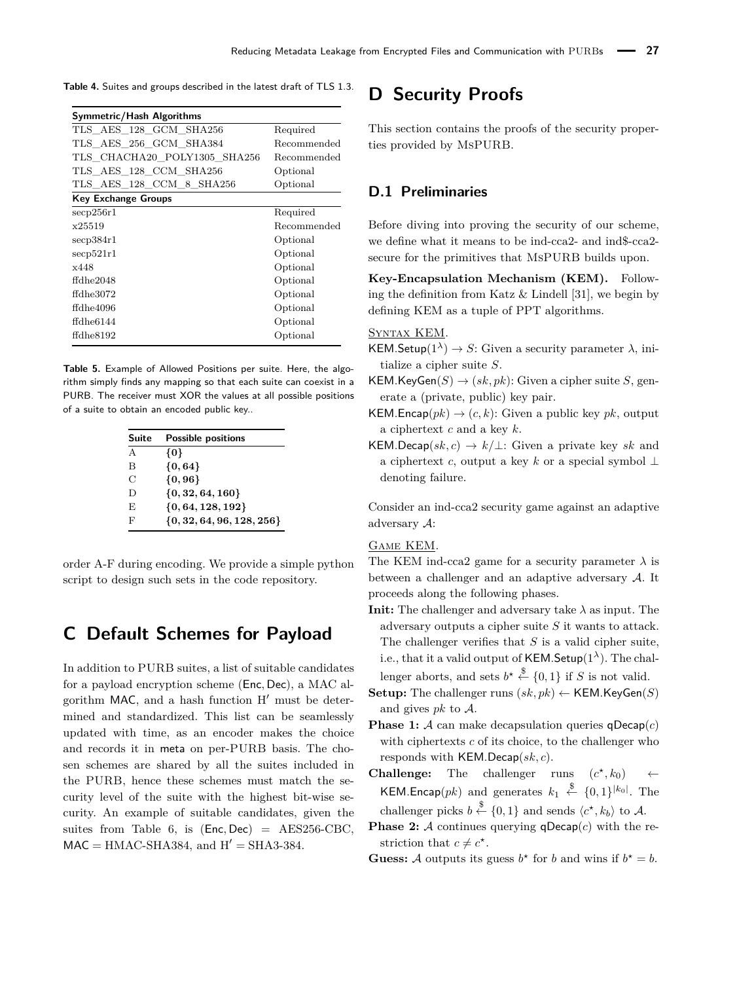<span id="page-21-0"></span>

| <b>Table 4.</b> Suites and groups described in the latest draft of TLS 1.3. |  |  |  |  |  |
|-----------------------------------------------------------------------------|--|--|--|--|--|
|-----------------------------------------------------------------------------|--|--|--|--|--|

| Symmetric/Hash Algorithms    |             |
|------------------------------|-------------|
| TLS AES 128 GCM SHA256       | Required    |
| TLS AES 256 GCM SHA384       | Recommended |
| TLS CHACHA20 POLY1305 SHA256 | Recommended |
| TLS AES 128 CCM SHA256       | Optional    |
| TLS AES 128 CCM 8 SHA256     | Optional    |
| <b>Key Exchange Groups</b>   |             |
| $\rm{secp}256r1$             | Required    |
| x25519                       | Recommended |
| $\sec 384r1$                 | Optional    |
| $\rm{secp}521r1$             | Optional    |
| x448                         | Optional    |
| $f$ dhe $2048$               | Optional    |
| $f$ dhe $3072$               | Optional    |
| ffdhe4096                    | Optional    |
| ffdhe6144                    | Optional    |
| ffdhe8192                    | Optional    |

<span id="page-21-1"></span>**Table 5.** Example of Allowed Positions per suite. Here, the algorithm simply finds any mapping so that each suite can coexist in a PURB. The receiver must XOR the values at all possible positions of a suite to obtain an encoded public key..

| Suite | <b>Possible positions</b>     |
|-------|-------------------------------|
| A     | {0}                           |
| В     | $\{0, 64\}$                   |
| С     | ${0, 96}$                     |
| Ð     | $\{0, 32, 64, 160\}$          |
| F.    | $\{0, 64, 128, 192\}$         |
| F     | $\{0, 32, 64, 96, 128, 256\}$ |

order A-F during encoding. We provide a simple python script to design such sets in the code repository.

# **C Default Schemes for Payload**

In addition to PURB suites, a list of suitable candidates for a payload encryption scheme (Enc*,* Dec), a MAC algorithm MAC, and a hash function  $H'$  must be determined and standardized. This list can be seamlessly updated with time, as an encoder makes the choice and records it in meta on per-PURB basis. The chosen schemes are shared by all the suites included in the PURB, hence these schemes must match the security level of the suite with the highest bit-wise security. An example of suitable candidates, given the suites from Table [6,](#page-22-0) is (Enc*,* Dec) = AES256-CBC,  $MAC = HMAC-SHA384$ , and  $H' = SHA3-384$ .

# **D Security Proofs**

This section contains the proofs of the security properties provided by MsPURB.

# **D.1 Preliminaries**

Before diving into proving the security of our scheme, we define what it means to be ind-cca2- and ind\$-cca2 secure for the primitives that MsPURB builds upon.

**Key-Encapsulation Mechanism (KEM).** Following the definition from Katz  $&$  Lindell [\[31\]](#page-18-32), we begin by defining KEM as a tuple of PPT algorithms.

### Syntax KEM.

KEM.Setup( $1^{\lambda}$ )  $\rightarrow$  *S*: Given a security parameter  $\lambda$ , initialize a cipher suite *S*.

- $KEM.KeyGen(S) \rightarrow (sk, pk)$ : Given a cipher suite *S*, generate a (private, public) key pair.
- KEM.Encap $(pk) \rightarrow (c, k)$ : Given a public key *pk*, output a ciphertext *c* and a key *k*.
- KEM.Decap( $sk, c$ )  $\rightarrow k/\perp$ : Given a private key *sk* and a ciphertext *c*, output a key *k* or a special symbol ⊥ denoting failure.

Consider an ind-cca2 security game against an adaptive adversary A:

#### Game KEM.

The KEM ind-cca2 game for a security parameter  $\lambda$  is between a challenger and an adaptive adversary A. It proceeds along the following phases.

- **Init:** The challenger and adversary take  $\lambda$  as input. The adversary outputs a cipher suite *S* it wants to attack. The challenger verifies that *S* is a valid cipher suite, i.e., that it a valid output of KEM.Setup $(1^{\lambda})$ . The challenger aborts, and sets  $b^* \stackrel{\$}{\leftarrow} \{0,1\}$  if *S* is not valid.
- **Setup:** The challenger runs  $(sk, pk) \leftarrow \text{KEM.KeyGen}(S)$ and gives *pk* to A.
- **Phase 1:** A can make decapsulation queries  $q$ Decap $(c)$ with ciphertexts *c* of its choice, to the challenger who responds with KEM.Decap(*sk, c*).
- **Challenge:** The challenger runs  $(c^*, k_0) \leftarrow$ **KEM.Encap** $(pk)$  and generates  $k_1 \stackrel{\$}{\leftarrow} \{0,1\}^{|k_0|}$ . The challenger picks  $b \stackrel{\$}{\leftarrow} \{0,1\}$  and sends  $\langle c^{\star}, k_b \rangle$  to A.
- **Phase 2:** A continues querying  $q$ Decap $(c)$  with the restriction that  $c \neq c^*$ .
- **Guess:** A outputs its guess  $b^*$  for *b* and wins if  $b^* = b$ .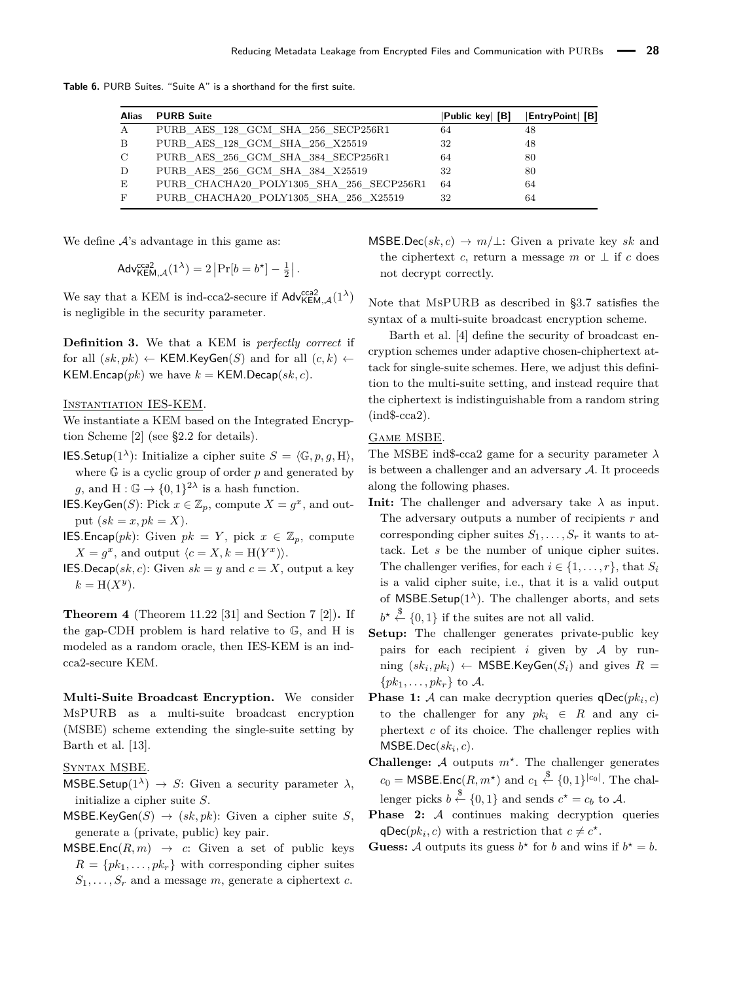<span id="page-22-0"></span>**Table 6.** PURB Suites. "Suite A" is a shorthand for the first suite.

| Alias        | <b>PURB Suite</b>                        | Public key  [B] | EntryPoint  [B] |
|--------------|------------------------------------------|-----------------|-----------------|
| $\mathbf{A}$ | PURB AES 128 GCM SHA 256 SECP256R1       | 64              | 48              |
| B            | PURB AES 128 GCM SHA 256 X25519          | 32              | 48              |
| $\mathbf C$  | PURB AES 256 GCM SHA 384 SECP256R1       | 64              | 80              |
| D            | PURB AES 256 GCM SHA 384 X25519          | 32              | 80              |
| Е            | PURB CHACHA20 POLY1305 SHA 256 SECP256R1 | 64              | 64              |
| F            | PURB CHACHA20 POLY1305 SHA 256 X25519    | 32              | 64              |

We define  $A$ 's advantage in this game as:

$$
\mathsf{Adv}_{\mathsf{KEM},\mathcal{A}}^{\mathsf{cca2}}(1^{\lambda}) = 2 \left| \Pr[b = b^{\star}] - \frac{1}{2} \right|.
$$

We say that a KEM is ind-cca2-secure if  $\mathsf{Adv}^{\mathsf{cca2}}_{\mathsf{KEM},\mathcal{A}}(1^\lambda)$ is negligible in the security parameter.

**Definition 3.** We that a KEM is *perfectly correct* if for all  $(sk, pk) \leftarrow \text{KEM.KevGen}(S)$  and for all  $(c, k) \leftarrow$ KEM.Encap( $pk$ ) we have  $k =$  KEM.Decap( $sk, c$ ).

#### Instantiation IES-KEM.

We instantiate a KEM based on the Integrated Encryption Scheme [\[2\]](#page-17-2) (see [§2.2](#page-2-1) for details).

- **IES.Setup**(1<sup> $\lambda$ </sup>): Initialize a cipher suite  $S = \langle \mathbb{G}, p, q, H \rangle$ , where G is a cyclic group of order *p* and generated by g, and  $H: \mathbb{G} \to \{0,1\}^{2\lambda}$  is a hash function.
- IES.KeyGen(*S*): Pick  $x \in \mathbb{Z}_p$ , compute  $X = g^x$ , and output  $(sk = x, pk = X)$ .
- **IES.Encap**(*pk*): Given  $pk = Y$ , pick  $x \in \mathbb{Z}_p$ , compute  $X = g^x$ , and output  $\langle c = X, k = H(Y^x) \rangle$ .
- **IES.**Decap(sk, c): Given  $sk = y$  and  $c = X$ , output a key  $k = H(X^y)$ .

**Theorem 4** (Theorem 11.22 [\[31\]](#page-18-32) and Section 7 [\[2\]](#page-17-2))**.** If the gap-CDH problem is hard relative to G, and H is modeled as a random oracle, then IES-KEM is an indcca2-secure KEM.

**Multi-Suite Broadcast Encryption.** We consider MsPURB as a multi-suite broadcast encryption (MSBE) scheme extending the single-suite setting by Barth et al. [\[13\]](#page-18-24).

### Syntax MSBE.

- MSBE.Setup( $1^{\lambda}$ )  $\rightarrow$  *S*: Given a security parameter  $\lambda$ , initialize a cipher suite *S*.
- $MSBE.KeyGen(S) \rightarrow (sk, pk): Given a cipher suite S,$ generate a (private, public) key pair.
- $MSBE.Enc(R, m) \rightarrow c$ : Given a set of public keys  $R = \{pk_1, \ldots, pk_r\}$  with corresponding cipher suites  $S_1, \ldots, S_r$  and a message *m*, generate a ciphertext *c*.

 $MSBE.Dec(sk, c) \rightarrow m/\perp$ : Given a private key *sk* and the ciphertext *c*, return a message *m* or  $\perp$  if *c* does not decrypt correctly.

Note that MsPURB as described in [§3.7](#page-7-0) satisfies the syntax of a multi-suite broadcast encryption scheme.

Barth et al. [\[4\]](#page-17-8) define the security of broadcast encryption schemes under adaptive chosen-chiphertext attack for single-suite schemes. Here, we adjust this definition to the multi-suite setting, and instead require that the ciphertext is indistinguishable from a random string  $(ind$-cca2).$ 

### Game MSBE.

The MSBE ind\$-cca2 game for a security parameter *λ* is between a challenger and an adversary  $A$ . It proceeds along the following phases.

- **Init:** The challenger and adversary take  $\lambda$  as input. The adversary outputs a number of recipients *r* and corresponding cipher suites  $S_1, \ldots, S_r$  it wants to attack. Let *s* be the number of unique cipher suites. The challenger verifies, for each  $i \in \{1, \ldots, r\}$ , that  $S_i$ is a valid cipher suite, i.e., that it is a valid output of MSBE.Setup $(1^{\lambda})$ . The challenger aborts, and sets  $b^* \stackrel{\$}{\leftarrow} \{0,1\}$  if the suites are not all valid.
- **Setup:** The challenger generates private-public key pairs for each recipient  $i$  given by  $A$  by run- $\min$   $(sk_i, pk_i) \leftarrow$  MSBE.KeyGen $(S_i)$  and gives  $R =$  $\{pk_1, \ldots, pk_r\}$  to A.
- **Phase 1:** A can make decryption queries  $q\text{Dec}(pk_i, c)$ to the challenger for any  $pk_i \in R$  and any ciphertext *c* of its choice. The challenger replies with  $MSEDec(sk<sub>i</sub>, c$ ).
- **Challenge:**  $A$  outputs  $m^*$ . The challenger generates  $c_0 = \text{MSBE}$ . Enc $(R, m^*)$  and  $c_1 \stackrel{\$}{\leftarrow} \{0, 1\}^{|c_0|}$ . The challenger picks  $b \stackrel{\$}{\leftarrow} \{0,1\}$  and sends  $c^* = c_b$  to A.
- Phase 2: A continues making decryption queries  $qDec(pk_i, c)$  with a restriction that  $c \neq c^*$ .
- **Guess:** A outputs its guess  $b^*$  for *b* and wins if  $b^* = b$ .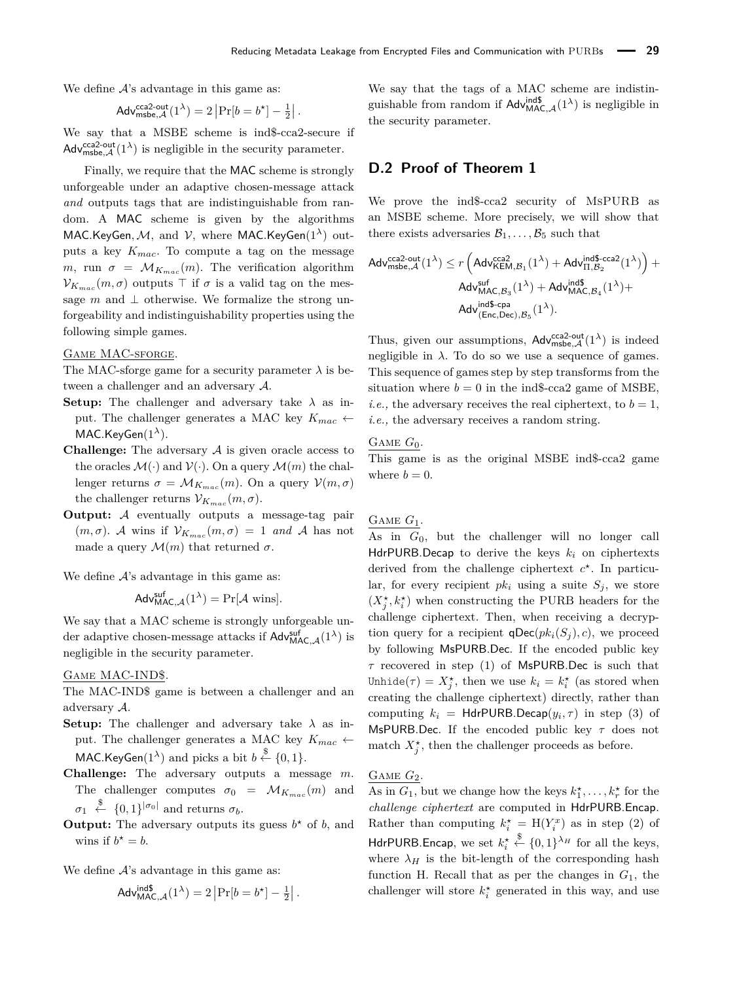We define  $A$ 's advantage in this game as:

$$
\mathsf{Adv}_{\mathsf{msbe},\mathcal{A}}^{\mathsf{cca2-out}}(1^{\lambda}) = 2 \left| \Pr[b = b^{\star}] - \frac{1}{2} \right|.
$$

We say that a MSBE scheme is ind\$-cca2-secure if  $\mathsf{Adv}^{\mathsf{cca2-out}}_{\mathsf{msbe},\mathcal{A}}(1^{\lambda})$  is negligible in the security parameter.

Finally, we require that the MAC scheme is strongly unforgeable under an adaptive chosen-message attack *and* outputs tags that are indistinguishable from random. A MAC scheme is given by the algorithms MAC*.*KeyGen*,*M*,* and V, where MAC*.*KeyGen(1*λ*) outputs a key *Kmac*. To compute a tag on the message *m*, run  $\sigma = \mathcal{M}_{K_{mac}}(m)$ . The verification algorithm  $\mathcal{V}_{K_{mac}}(m,\sigma)$  outputs  $\top$  if  $\sigma$  is a valid tag on the message *m* and  $\perp$  otherwise. We formalize the strong unforgeability and indistinguishability properties using the following simple games.

#### Game MAC-sforge.

The MAC-sforge game for a security parameter  $\lambda$  is between a challenger and an adversary A.

**Setup:** The challenger and adversary take  $\lambda$  as input. The challenger generates a MAC key  $K_{mac} \leftarrow$ MAC*.*KeyGen(1*λ*).

- **Challenge:** The adversary  $A$  is given oracle access to the oracles  $\mathcal{M}(\cdot)$  and  $\mathcal{V}(\cdot)$ . On a query  $\mathcal{M}(m)$  the challenger returns  $\sigma = \mathcal{M}_{K_{mac}}(m)$ . On a query  $\mathcal{V}(m, \sigma)$ the challenger returns  $V_{K_{mac}}(m, \sigma)$ .
- **Output:** A eventually outputs a message-tag pair  $(m, \sigma)$ . A wins if  $\mathcal{V}_{K_{mac}}(m, \sigma) = 1$  and A has not made a query  $\mathcal{M}(m)$  that returned  $\sigma$ .

We define  $A$ 's advantage in this game as:

$$
Adv_{MAC, \mathcal{A}}^{suf}(1^{\lambda}) = Pr[\mathcal{A} \text{ wins}].
$$

We say that a MAC scheme is strongly unforgeable under adaptive chosen-message attacks if  $\mathsf{Adv}^{\mathsf{suf}}_{\mathsf{MAC},\mathcal{A}}(1^\lambda)$  is negligible in the security parameter.

#### Game MAC-IND\$.

The MAC-IND\$ game is between a challenger and an adversary A.

- **Setup:** The challenger and adversary take  $\lambda$  as input. The challenger generates a MAC key  $K_{mac} \leftarrow$ MAC.KeyGen(1<sup> $\lambda$ </sup>) and picks a bit  $b \stackrel{\$}{\leftarrow} \{0,1\}.$
- **Challenge:** The adversary outputs a message *m*. The challenger computes  $\sigma_0 = \mathcal{M}_{K_{mac}}(m)$  and  $\sigma_1 \stackrel{\$}{\leftarrow} \{0,1\}^{|\sigma_0|}$  and returns  $\sigma_b$ .
- **Output:** The adversary outputs its guess  $b^*$  of  $b$ , and wins if  $b^* = b$ .

We define  $A$ 's advantage in this game as:

$$
\mathsf{Adv}_{\mathsf{MAC},\mathcal{A}}^{\mathsf{ind}\$}(\mathbf{1}^{\lambda}) = 2 \left| \Pr[b = b^{\star}] - \frac{1}{2} \right|.
$$

We say that the tags of a MAC scheme are indistinguishable from random if  $\mathsf{Adv}_{\mathsf{MAC},\mathcal{A}}^{\mathsf{ind\$}}(1^{\lambda})$  is negligible in the security parameter.

# <span id="page-23-0"></span>**D.2 Proof of Theorem [1](#page-8-0)**

We prove the ind\$-cca2 security of MsPURB as an MSBE scheme. More precisely, we will show that there exists adversaries  $\mathcal{B}_1, \ldots, \mathcal{B}_5$  such that

$$
\begin{aligned} \mathsf{Adv}_{\mathsf{msbe},\mathcal{A}}^{\mathsf{cca2-out}}(1^{\lambda}) & \leq r \left( \mathsf{Adv}_{\mathsf{KEM},\mathcal{B}_1}^{\mathsf{cca2}}(1^{\lambda}) + \mathsf{Adv}_{\Pi,\mathcal{B}_2}^{\mathsf{ind\$}\text{-}\mathsf{cca2}}(1^{\lambda}) \right) + \\ & \mathsf{Adv}_{\mathsf{MAC},\mathcal{B}_3}^{\mathsf{suf}}(1^{\lambda}) + \mathsf{Adv}_{\mathsf{MAC},\mathcal{B}_4}^{\mathsf{ind\$}}(1^{\lambda}) + \\ & \mathsf{Adv}_{\mathsf{(Enc,Dec)},\mathcal{B}_5}^{\mathsf{ind\$}\text{-}\mathsf{cpa}}(1^{\lambda}). \end{aligned}
$$

Thus, given our assumptions,  $\mathsf{Adv}^{\mathsf{cca2-out}}_{\mathsf{msbe},\mathcal{A}}(1^{\lambda})$  is indeed negligible in  $\lambda$ . To do so we use a sequence of games. This sequence of games step by step transforms from the situation where  $b = 0$  in the ind\$-cca2 game of MSBE, *i.e.*, the adversary receives the real ciphertext, to  $b = 1$ , *i.e.,* the adversary receives a random string.

#### GAME  $G_0$ .

This game is as the original MSBE ind\$-cca2 game where  $b = 0$ .

### Game *G*1.

As in *G*0, but the challenger will no longer call HdrPURB.Decap to derive the keys *k<sup>i</sup>* on ciphertexts derived from the challenge ciphertext  $c^*$ . In particular, for every recipient  $pk_i$  using a suite  $S_j$ , we store  $(X_j^{\star}, k_i^{\star})$  when constructing the PURB headers for the challenge ciphertext. Then, when receiving a decryption query for a recipient  $\mathsf{qDec}(pk_i(S_i), c)$ , we proceed by following MsPURB.Dec. If the encoded public key *τ* recovered in step (1) of MsPURB.Dec is such that Unhide( $\tau$ ) =  $X_j^*$ , then we use  $k_i = k_i^*$  (as stored when creating the challenge ciphertext) directly, rather than computing  $k_i$  = HdrPURB.Decap $(y_i, \tau)$  in step (3) of MsPURB.Dec. If the encoded public key *τ* does not match  $X_j^*$ , then the challenger proceeds as before.

### Game *G*2.

As in  $G_1$ , but we change how the keys  $k_1^*, \ldots, k_r^*$  for the *challenge ciphertext* are computed in HdrPURB.Encap. Rather than computing  $k_i^* = H(Y_i^x)$  as in step (2) of HdrPURB.Encap, we set  $k_i^* \stackrel{\$}{\leftarrow} \{0,1\}^{\lambda_H}$  for all the keys, where  $\lambda_H$  is the bit-length of the corresponding hash function H. Recall that as per the changes in *G*1, the challenger will store  $k_i^*$  generated in this way, and use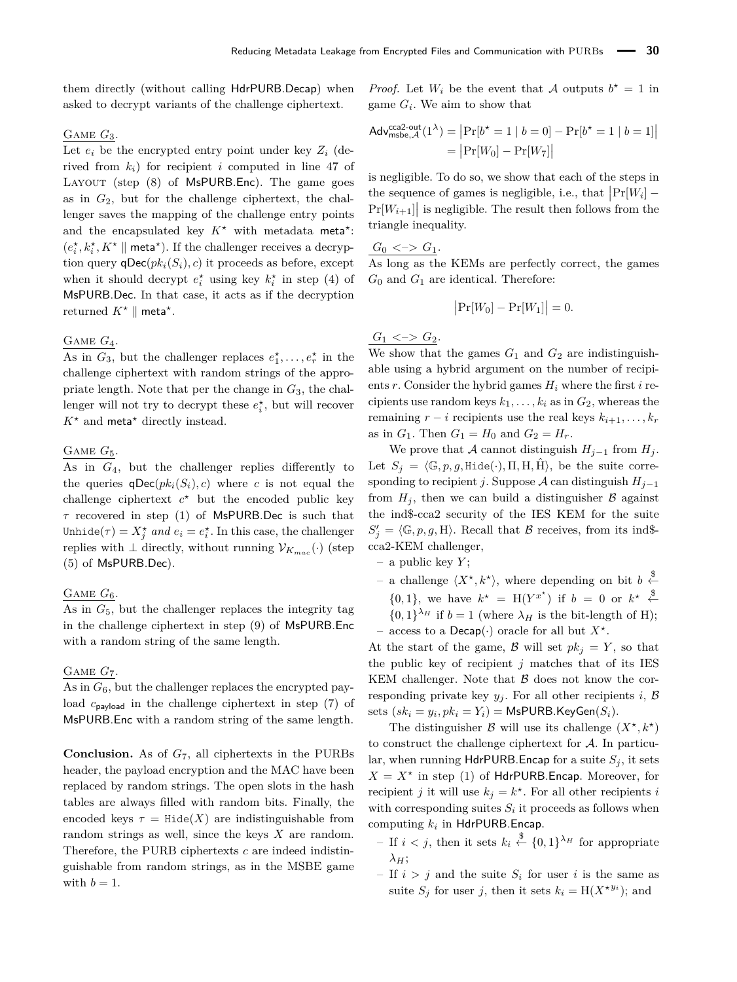them directly (without calling HdrPURB.Decap) when asked to decrypt variants of the challenge ciphertext.

### Game *G*3.

Let  $e_i$  be the encrypted entry point under key  $Z_i$  (derived from *ki*) for recipient *i* computed in line 47 of LAYOUT (step (8) of MsPURB.Enc). The game goes as in *G*2, but for the challenge ciphertext, the challenger saves the mapping of the challenge entry points and the encapsulated key  $K^*$  with metadata meta<sup>\*</sup>:  $(e_i^\star, k_i^\star, K^\star \parallel \mathsf{meta}^\star).$  If the challenger receives a decryption query  $\mathsf{qDec}(pk_i(S_i), c)$  it proceeds as before, except when it should decrypt  $e_i^*$  using key  $k_i^*$  in step (4) of MsPURB.Dec. In that case, it acts as if the decryption returned  $K^* \parallel$  meta<sup>\*</sup>.

# GAME  $G_4$ .

As in  $G_3$ , but the challenger replaces  $e_1^*, \ldots, e_r^*$  in the challenge ciphertext with random strings of the appropriate length. Note that per the change in *G*3, the challenger will not try to decrypt these  $e_i^*$ , but will recover  $K^*$  and meta<sup>\*</sup> directly instead.

### Game *G*5.

As in *G*4, but the challenger replies differently to the queries  $q\text{Dec}(pk_i(S_i), c)$  where *c* is not equal the challenge ciphertext  $c^*$  but the encoded public key *τ* recovered in step (1) of MsPURB.Dec is such that Unhide( $\tau$ ) =  $X_j^*$  and  $e_i = e_i^*$ . In this case, the challenger replies with  $\perp$  directly, without running  $\mathcal{V}_{K_{mac}}(\cdot)$  (step (5) of MsPURB.Dec).

### GAME  $G_6$ .

As in *G*5, but the challenger replaces the integrity tag in the challenge ciphertext in step (9) of MsPURB.Enc with a random string of the same length.

#### Game *G*7.

 $\overline{As}$  in  $G_6$ , but the challenger replaces the encrypted payload *c*payload in the challenge ciphertext in step (7) of MsPURB.Enc with a random string of the same length.

**Conclusion.** As of *G*7, all ciphertexts in the PURBs header, the payload encryption and the MAC have been replaced by random strings. The open slots in the hash tables are always filled with random bits. Finally, the encoded keys  $\tau = Hide(X)$  are indistinguishable from random strings as well, since the keys *X* are random. Therefore, the PURB ciphertexts *c* are indeed indistinguishable from random strings, as in the MSBE game with  $b = 1$ .

*Proof.* Let  $W_i$  be the event that A outputs  $b^* = 1$  in game  $G_i$ . We aim to show that

$$
Adv_{\text{msbe}, \mathcal{A}}^{\text{cca2-out}}(1^{\lambda}) = |Pr[b^* = 1 | b = 0] - Pr[b^* = 1 | b = 1]|
$$

$$
= |Pr[W_0] - Pr[W_7]|
$$

is negligible. To do so, we show that each of the steps in the sequence of games is negligible, i.e., that  $\Pr[W_i]$  –  $\Pr[W_{i+1}]$  is negligible. The result then follows from the triangle inequality.

 $G_0 \le -\ge G_1.$ 

As long as the KEMs are perfectly correct, the games  $G_0$  and  $G_1$  are identical. Therefore:

$$
\big|\Pr[W_0] - \Pr[W_1]\big| = 0.
$$

# $G_1 \leq S_2$ .

We show that the games  $G_1$  and  $G_2$  are indistinguishable using a hybrid argument on the number of recipients *r*. Consider the hybrid games *H<sup>i</sup>* where the first *i* recipients use random keys  $k_1, \ldots, k_i$  as in  $G_2$ , whereas the remaining  $r - i$  recipients use the real keys  $k_{i+1}, \ldots, k_r$ as in  $G_1$ . Then  $G_1 = H_0$  and  $G_2 = H_r$ .

We prove that A cannot distinguish  $H_{i-1}$  from  $H_i$ . Let  $S_i = \langle \mathbb{G}, p, g, H \text{ide}(\cdot), \Pi, H, \hat{H} \rangle$ , be the suite corresponding to recipient *j*. Suppose A can distinguish  $H_{i-1}$ from  $H_j$ , then we can build a distinguisher  $\beta$  against the ind\$-cca2 security of the IES KEM for the suite  $S'_{j} = \langle \mathbb{G}, p, g, H \rangle$ . Recall that B receives, from its ind\$cca2-KEM challenger,

- a public key *Y* ;
- − a challenge  $\langle X^*, k^* \rangle$ , where depending on bit *b*  $\stackrel{\$}{\leftarrow}$
- $\{0,1\}$ , we have  $k^* = H(Y^{x^*})$  if  $b = 0$  or  $k^* \leftarrow$  $\{0,1\}^{\lambda_H}$  if  $b=1$  (where  $\lambda_H$  is the bit-length of H);
- access to a Decap( $\cdot$ ) oracle for all but  $X^*$ .

At the start of the game,  $\mathcal{B}$  will set  $pk_j = Y$ , so that the public key of recipient  $j$  matches that of its IES KEM challenger. Note that  $\beta$  does not know the corresponding private key  $y_j$ . For all other recipients *i*,  $\beta$ sets  $(sk_i = y_i, pk_i = Y_i) = \textsf{MsPURB}$ .KeyGen $(S_i)$ .

The distinguisher B will use its challenge  $(X^*, k^*)$ to construct the challenge ciphertext for  $A$ . In particular, when running  $Hdr$ PURB. Encap for a suite  $S_i$ , it sets  $X = X^*$  in step (1) of HdrPURB.Encap. Moreover, for recipient *j* it will use  $k_j = k^*$ . For all other recipients *i* with corresponding suites  $S_i$  it proceeds as follows when computing *k<sup>i</sup>* in HdrPURB.Encap.

- $-$  If *i* < *j*, then it sets  $k_i$   $\overset{\$}{\leftarrow}$  {0, 1}<sup>λ*H*</sup> for appropriate *λH*;
- If  $i > j$  and the suite  $S_i$  for user *i* is the same as suite  $S_j$  for user *j*, then it sets  $k_i = H(X^{\star y_i})$ ; and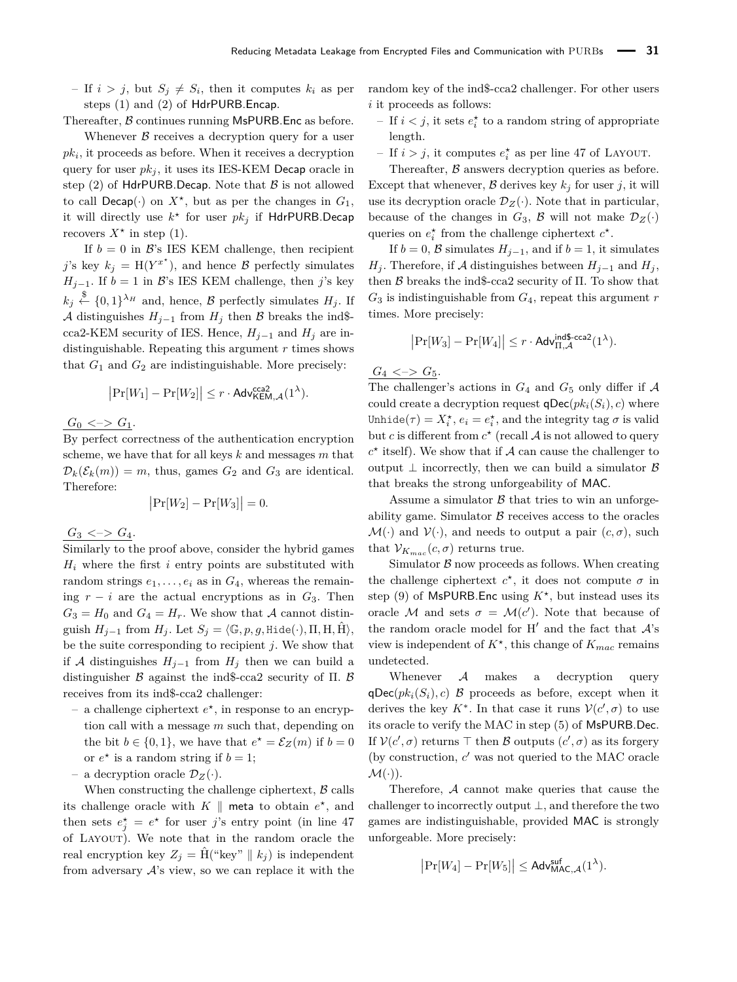$-$  If  $i > j$ , but  $S_j \neq S_i$ , then it computes  $k_i$  as per steps (1) and (2) of HdrPURB.Encap.

Thereafter, B continues running MsPURB. Enc as before.

Whenever  $\beta$  receives a decryption query for a user  $pk<sub>i</sub>$ , it proceeds as before. When it receives a decryption query for user  $pk_j$ , it uses its IES-KEM Decap oracle in step (2) of HdrPURB.Decap. Note that  $\beta$  is not allowed to call  $Decap(\cdot)$  on  $X^*$ , but as per the changes in  $G_1$ , it will directly use  $k^*$  for user  $pk_j$  if HdrPURB.Decap recovers  $X^*$  in step (1).

If  $b = 0$  in  $\mathcal{B}$ 's IES KEM challenge, then recipient *j*'s key  $k_j = H(Y^{x^*})$ , and hence B perfectly simulates  $H_{j-1}$ . If  $b = 1$  in B's IES KEM challenge, then *j*'s key  $k_j \stackrel{\$}{\leftarrow} \{0,1\}^{\lambda_H}$  and, hence,  $\beta$  perfectly simulates  $H_j$ . If A distinguishes  $H_{j-1}$  from  $H_j$  then B breaks the ind\$cca2-KEM security of IES. Hence,  $H_{i-1}$  and  $H_i$  are indistinguishable. Repeating this argument *r* times shows that  $G_1$  and  $G_2$  are indistinguishable. More precisely:

$$
\left|\Pr[W_1] - \Pr[W_2]\right| \le r \cdot \mathsf{Adv}_{\mathsf{KEM},\mathcal{A}}^{\mathsf{cca2}}(1^{\lambda}).
$$

 $G_0 \iff G_1$ .

By perfect correctness of the authentication encryption scheme, we have that for all keys *k* and messages *m* that  $\mathcal{D}_k(\mathcal{E}_k(m)) = m$ , thus, games  $G_2$  and  $G_3$  are identical. Therefore:

$$
\left|\Pr[W_2] - \Pr[W_3]\right| = 0.
$$

 $G_3 \iff G_4.$ 

Similarly to the proof above, consider the hybrid games  $H_i$  where the first *i* entry points are substituted with random strings  $e_1, \ldots, e_i$  as in  $G_4$ , whereas the remaining  $r - i$  are the actual encryptions as in  $G_3$ . Then  $G_3 = H_0$  and  $G_4 = H_r$ . We show that A cannot distinguish  $H_{j-1}$  from  $H_j$ . Let  $S_j = \langle \mathbb{G}, p, g, \text{Hide}(\cdot), \Pi, \text{H}, \text{H} \rangle$ , be the suite corresponding to recipient *j*. We show that if *A* distinguishes  $H_{j-1}$  from  $H_j$  then we can build a distinguisher  $\beta$  against the ind\$-cca2 security of  $\Pi$ .  $\beta$ receives from its ind\$-cca2 challenger:

- $-$  a challenge ciphertext  $e^*$ , in response to an encryption call with a message *m* such that, depending on the bit  $b \in \{0, 1\}$ , we have that  $e^* = \mathcal{E}_Z(m)$  if  $b = 0$ or  $e^*$  is a random string if  $b = 1$ ;
- a decryption oracle  $\mathcal{D}_Z(\cdot)$ .

When constructing the challenge ciphertext,  $\beta$  calls its challenge oracle with  $K \parallel$  meta to obtain  $e^*$ , and then sets  $e_j^* = e^*$  for user *j*'s entry point (in line 47 of Layout). We note that in the random oracle the real encryption key  $Z_j = \hat{H}$  ("key" ||  $k_j$ ) is independent from adversary  $A$ 's view, so we can replace it with the

random key of the ind\$-cca2 challenger. For other users *i* it proceeds as follows:

- If  $i < j$ , it sets  $e_i^*$  to a random string of appropriate length.
- If  $i > j$ , it computes  $e_i^*$  as per line 47 of LAYOUT.

Thereafter,  $\beta$  answers decryption queries as before. Except that whenever,  $\beta$  derives key  $k_j$  for user *j*, it will use its decryption oracle  $\mathcal{D}_Z(\cdot)$ . Note that in particular, because of the changes in  $G_3$ ,  $\beta$  will not make  $\mathcal{D}_Z(\cdot)$ queries on  $e_i^*$  from the challenge ciphertext  $c^*$ .

If  $b = 0$ ,  $\beta$  simulates  $H_{i-1}$ , and if  $b = 1$ , it simulates *H*<sup>*j*</sup>. Therefore, if *A* distinguishes between  $H_{i-1}$  and  $H_i$ , then  $\beta$  breaks the ind\$-cca2 security of  $\Pi$ . To show that  $G_3$  is indistinguishable from  $G_4$ , repeat this argument  $r$ times. More precisely:

$$
|\Pr[W_3] - \Pr[W_4]| \leq r \cdot \mathsf{Adv}_{\Pi, \mathcal{A}}^{\mathsf{ind\$-cca2}}(1^{\lambda}).
$$

 $G_4 \leq S$ 

The challenger's actions in  $G_4$  and  $G_5$  only differ if  $A$ could create a decryption request  $\mathsf{qDec}(pk_i(S_i), c)$  where Unhide( $\tau$ ) =  $X_i^*$ ,  $e_i = e_i^*$ , and the integrity tag  $\sigma$  is valid but *c* is different from  $c^*$  (recall  $A$  is not allowed to query  $c^*$  itself). We show that if  $A$  can cause the challenger to output  $\perp$  incorrectly, then we can build a simulator  $\beta$ that breaks the strong unforgeability of MAC.

Assume a simulator  $\beta$  that tries to win an unforgeability game. Simulator  $\beta$  receives access to the oracles  $\mathcal{M}(\cdot)$  and  $\mathcal{V}(\cdot)$ , and needs to output a pair  $(c, \sigma)$ , such that  $V_{K_{mac}}(c, \sigma)$  returns true.

Simulator  $\beta$  now proceeds as follows. When creating the challenge ciphertext  $c^*$ , it does not compute  $\sigma$  in step (9) of MsPURB.Enc using *K?* , but instead uses its oracle M and sets  $\sigma = \mathcal{M}(c')$ . Note that because of the random oracle model for H<sup> $\prime$ </sup> and the fact that  $\mathcal{A}$ 's view is independent of  $K^*$ , this change of  $K_{mac}$  remains undetected.

Whenever A makes a decryption query  $qDec(pk_i(S_i), c)$  B proceeds as before, except when it derives the key  $K^*$ . In that case it runs  $\mathcal{V}(c', \sigma)$  to use its oracle to verify the MAC in step (5) of MsPURB.Dec. If  $V(c', \sigma)$  returns  $\top$  then  $\mathcal B$  outputs  $(c', \sigma)$  as its forgery (by construction,  $c'$  was not queried to the MAC oracle  $\mathcal{M}(\cdot)$ ).

Therefore, A cannot make queries that cause the challenger to incorrectly output ⊥, and therefore the two games are indistinguishable, provided MAC is strongly unforgeable. More precisely:

$$
\left|\Pr[W_4]-\Pr[W_5]\right|\leq \mathsf{Adv}_{\mathsf{MAC},\mathcal{A}}^{\mathsf{suf}}(1^{\lambda}).
$$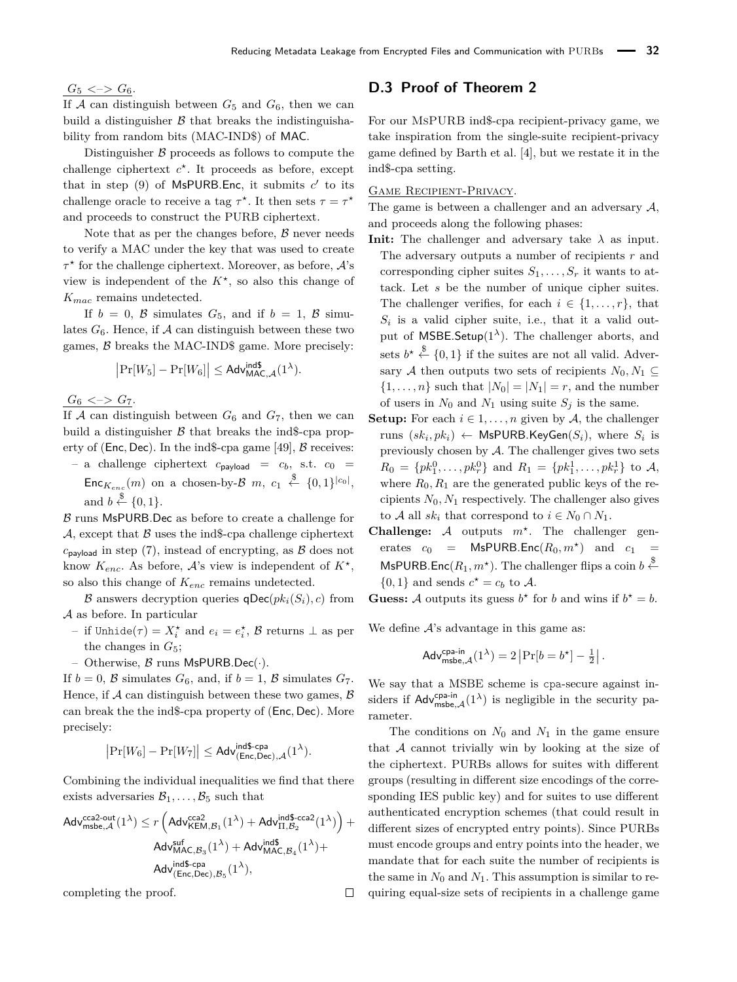$G_5 \iff G_6$ .

If  $A$  can distinguish between  $G_5$  and  $G_6$ , then we can build a distinguisher  $\beta$  that breaks the indistinguishability from random bits (MAC-IND\$) of MAC.

Distinguisher  $\beta$  proceeds as follows to compute the challenge ciphertext  $c^*$ . It proceeds as before, except that in step  $(9)$  of MsPURB.Enc, it submits  $c'$  to its challenge oracle to receive a tag  $\tau^*$ . It then sets  $\tau = \tau^*$ and proceeds to construct the PURB ciphertext.

Note that as per the changes before,  $\beta$  never needs to verify a MAC under the key that was used to create *τ ?* for the challenge ciphertext. Moreover, as before, A's view is independent of the *K?* , so also this change of *Kmac* remains undetected.

If  $b = 0$ ,  $\beta$  simulates  $G_5$ , and if  $b = 1$ ,  $\beta$  simulates  $G_6$ . Hence, if A can distinguish between these two games, B breaks the MAC-IND\$ game. More precisely:

$$
\left|\Pr[W_5]-\Pr[W_6]\right|\leq \mathsf{Adv}_{\mathsf{MAC},\mathcal{A}}^{\mathsf{ind\$}}(1^{\lambda}).
$$

 $G_6 \leq S \leq G_7$ .

If  $A$  can distinguish between  $G_6$  and  $G_7$ , then we can build a distinguisher  $\beta$  that breaks the ind\$-cpa property of (**Enc**, **Dec**). In the ind\$-cpa game [\[49\]](#page-19-19), **B** receives:  $-$  a challenge ciphertext  $c_{\text{payload}} = c_b$ , s.t.  $c_0 =$  $Enc_{K_{enc}}(m)$  on a chosen-by- $\mathcal{B}$   $m$ ,  $c_1 \stackrel{\$}{\leftarrow} \{0,1\}^{|c_0|},$ 

and  $b \stackrel{\$}{\leftarrow} \{0,1\}.$ 

 $\beta$  runs MsPURB. Dec as before to create a challenge for A, except that  $\beta$  uses the ind\$-cpa challenge ciphertext  $c_{\text{pavload}}$  in step (7), instead of encrypting, as  $\beta$  does not know  $K_{enc}$ . As before,  $\mathcal{A}$ 's view is independent of  $K^*$ , so also this change of *Kenc* remains undetected.

B answers decryption queries  $\mathsf{qDec}(pk_i(S_i), c)$  from A as before. In particular

- $-$  if Unhide( $τ$ ) =  $X_i^{\star}$  and  $e_i = e_i^{\star}$ ,  $\mathcal{B}$  returns  $\bot$  as per the changes in *G*5;
- Otherwise,  $\beta$  runs MsPURB.Dec( $\cdot$ ).

If  $b = 0$ , B simulates  $G_6$ , and, if  $b = 1$ , B simulates  $G_7$ . Hence, if  $A$  can distinguish between these two games,  $B$ can break the the ind\$-cpa property of (Enc*,* Dec). More precisely:

$$
\left|\Pr[W_6]-\Pr[W_7]\right|\leq \mathsf{Adv}_{(\mathsf{Enc},\mathsf{Dec}),\mathcal{A}}^{\mathsf{ind}\$\text{-}cpa}(1^\lambda).
$$

Combining the individual inequalities we find that there exists adversaries  $B_1, \ldots, B_5$  such that

$$
\begin{aligned} \mathsf{Adv}_{\mathsf{msbe},\mathcal{A}}^{\mathsf{cca2-out}}(1^\lambda) & \leq r \left( \mathsf{Adv}_{\mathsf{KEM},\mathcal{B}_1}^{\mathsf{cca2}}(1^\lambda) + \mathsf{Adv}_{\Pi,\mathcal{B}_2}^{\mathsf{ind\$}\text{-}\mathsf{cca2}}(1^\lambda) \right) + \\ & \mathsf{Adv}_{\mathsf{MAC},\mathcal{B}_3}^{\mathsf{auf}}(1^\lambda) + \mathsf{Adv}_{\mathsf{MAC},\mathcal{B}_4}^{\mathsf{ind\$}}(1^\lambda) + \\ & \mathsf{Adv}_{\mathsf{(Enc,Dec)},\mathcal{B}_5}^{\mathsf{inf}}(1^\lambda), \end{aligned}
$$

 $\Box$ 

completing the proof.

# <span id="page-26-0"></span>**D.3 Proof of Theorem [2](#page-8-2)**

For our MsPURB ind\$-cpa recipient-privacy game, we take inspiration from the single-suite recipient-privacy game defined by Barth et al. [\[4\]](#page-17-8), but we restate it in the ind\$-cpa setting.

### Game Recipient-Privacy.

The game is between a challenger and an adversary  $A$ , and proceeds along the following phases:

- **Init:** The challenger and adversary take  $\lambda$  as input. The adversary outputs a number of recipients *r* and corresponding cipher suites  $S_1, \ldots, S_r$  it wants to attack. Let *s* be the number of unique cipher suites. The challenger verifies, for each  $i \in \{1, \ldots, r\}$ , that  $S_i$  is a valid cipher suite, i.e., that it a valid output of MSBE.Setup $(1^{\lambda})$ . The challenger aborts, and sets  $b^* \stackrel{\$}{\leftarrow} \{0,1\}$  if the suites are not all valid. Adversary A then outputs two sets of recipients  $N_0, N_1 \subseteq$  $\{1, \ldots, n\}$  such that  $|N_0| = |N_1| = r$ , and the number of users in  $N_0$  and  $N_1$  using suite  $S_j$  is the same.
- **Setup:** For each  $i \in 1, \ldots, n$  given by A, the challenger  $r$ uns  $(sk_i, pk_i) \leftarrow \textsf{MsPURB.KeyGen}(S_i)$ , where  $S_i$  is previously chosen by  $A$ . The challenger gives two sets  $R_0 = \{pk_1^0, \ldots, pk_r^0\}$  and  $R_1 = \{pk_1^1, \ldots, pk_r^1\}$  to A, where  $R_0, R_1$  are the generated public keys of the recipients  $N_0, N_1$  respectively. The challenger also gives to A all  $sk_i$  that correspond to  $i \in N_0 \cap N_1$ .
- **Challenge:**  $A$  outputs  $m^*$ . The challenger generates  $c_0$  = MsPURB.Enc $(R_0, m^*)$  and  $c_1$  = MsPURB.Enc $(R_1, m^*$ ). The challenger flips a coin  $b \stackrel{\$}{\leftarrow}$  $\{0,1\}$  and sends  $c^* = c_b$  to A.

**Guess:** A outputs its guess  $b^*$  for *b* and wins if  $b^* = b$ .

We define  $A$ 's advantage in this game as:

$$
\mathsf{Adv}_{\mathsf{msbe},\mathcal{A}}^{\mathsf{cpa-in}}(1^{\lambda}) = 2 \left| \Pr[b = b^{\star}] - \frac{1}{2} \right|.
$$

We say that a MSBE scheme is cpa-secure against insiders if  $\mathsf{Adv}^{\mathsf{cpa-in}}_{\mathsf{msbe},\mathcal{A}}(1^{\lambda})$  is negligible in the security parameter.

The conditions on  $N_0$  and  $N_1$  in the game ensure that A cannot trivially win by looking at the size of the ciphertext. PURBs allows for suites with different groups (resulting in different size encodings of the corresponding IES public key) and for suites to use different authenticated encryption schemes (that could result in different sizes of encrypted entry points). Since PURBs must encode groups and entry points into the header, we mandate that for each suite the number of recipients is the same in  $N_0$  and  $N_1$ . This assumption is similar to requiring equal-size sets of recipients in a challenge game